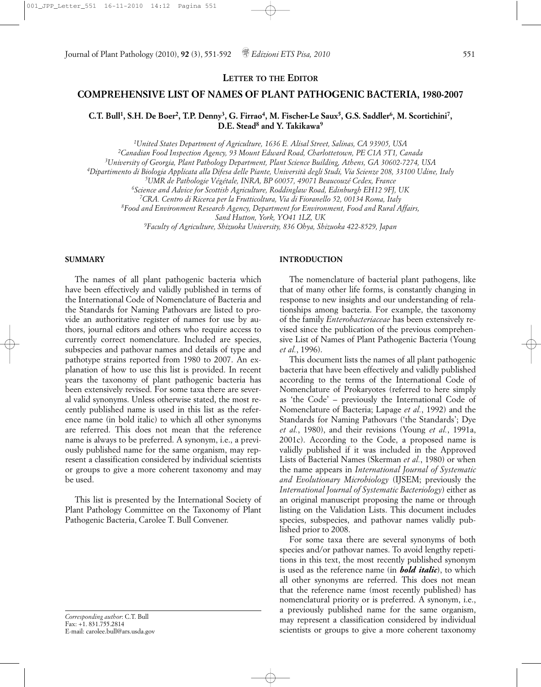**LETTER TO THE EDITOR**

# **COMPREHENSIVE LIST OF NAMES OF PLANT PATHOGENIC BACTERIA, 1980-2007**

# **C.T. Bull1, S.H. De Boer2, T.P. Denny3, G. Firrao4, M. Fischer-Le Saux5, G.S. Saddler6, M. Scortichini7, D.E. Stead8 and Y. Takikawa9**

*1United States Department of Agriculture, 1636 E. Alisal Street, Salinas, CA 93905, USA*

*2Canadian Food Inspection Agency, 93 Mount Edward Road, Charlottetown, PE C1A 5T1, Canada*

*3University of Georgia, Plant Pathology Department, Plant Science Building, Athens, GA 30602-7274, USA*

*4Dipartimento di Biologia Applicata alla Difesa delle Piante, Università degli Studi, Via Scienze 208, 33100 Udine, Italy*

*5UMR de Pathologie Végétale, INRA, BP 60057, 49071 Beaucouzé Cedex, France*

*6Science and Advice for Scottish Agriculture, Roddinglaw Road, Edinburgh EH12 9FJ, UK*

*7CRA. Centro di Ricerca per la Frutticoltura, Via di Fioranello 52, 00134 Roma, Italy*

*8Food and Environment Research Agency, Department for Environment, Food and Rural Affairs,* 

*Sand Hutton, York, YO41 1LZ, UK*

*9Faculty of Agriculture, Shizuoka University, 836 Ohya, Shizuoka 422-8529, Japan*

### **SUMMARY**

The names of all plant pathogenic bacteria which have been effectively and validly published in terms of the International Code of Nomenclature of Bacteria and the Standards for Naming Pathovars are listed to provide an authoritative register of names for use by authors, journal editors and others who require access to currently correct nomenclature. Included are species, subspecies and pathovar names and details of type and pathotype strains reported from 1980 to 2007. An explanation of how to use this list is provided. In recent years the taxonomy of plant pathogenic bacteria has been extensively revised. For some taxa there are several valid synonyms. Unless otherwise stated, the most recently published name is used in this list as the reference name (in bold italic) to which all other synonyms are referred. This does not mean that the reference name is always to be preferred. A synonym, i.e., a previously published name for the same organism, may represent a classification considered by individual scientists or groups to give a more coherent taxonomy and may be used.

This list is presented by the International Society of Plant Pathology Committee on the Taxonomy of Plant Pathogenic Bacteria, Carolee T. Bull Convener.

*Corresponding author*: C.T. Bull Fax: +1. 831.755.2814 E-mail: carolee.bull@ars.usda.gov

#### **INTRODUCTION**

The nomenclature of bacterial plant pathogens, like that of many other life forms, is constantly changing in response to new insights and our understanding of relationships among bacteria. For example, the taxonomy of the family *Enterobacteriaceae* has been extensively revised since the publication of the previous comprehensive List of Names of Plant Pathogenic Bacteria (Young *et al.*, 1996).

This document lists the names of all plant pathogenic bacteria that have been effectively and validly published according to the terms of the International Code of Nomenclature of Prokaryotes (referred to here simply as 'the Code' – previously the International Code of Nomenclature of Bacteria; Lapage *et al.*, 1992) and the Standards for Naming Pathovars ('the Standards'; Dye *et al.*, 1980), and their revisions (Young *et al.*, 1991a, 2001c). According to the Code, a proposed name is validly published if it was included in the Approved Lists of Bacterial Names (Skerman *et al.*, 1980) or when the name appears in *International Journal of Systematic and Evolutionary Microbiology* (IJSEM; previously the *International Journal of Systematic Bacteriology*) either as an original manuscript proposing the name or through listing on the Validation Lists. This document includes species, subspecies, and pathovar names validly published prior to 2008.

For some taxa there are several synonyms of both species and/or pathovar names. To avoid lengthy repetitions in this text, the most recently published synonym is used as the reference name (in *bold italic*), to which all other synonyms are referred. This does not mean that the reference name (most recently published) has nomenclatural priority or is preferred. A synonym, i.e., a previously published name for the same organism, may represent a classification considered by individual scientists or groups to give a more coherent taxonomy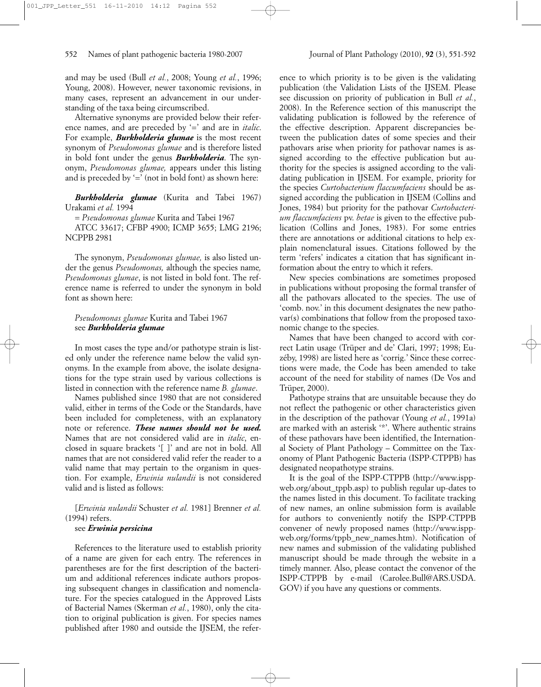and may be used (Bull *et al.*, 2008; Young *et al.*, 1996; Young, 2008). However, newer taxonomic revisions, in many cases, represent an advancement in our understanding of the taxa being circumscribed.

Alternative synonyms are provided below their reference names, and are preceded by '=' and are in *italic*. For example, *Burkholderia glumae* is the most recent synonym of *Pseudomonas glumae* and is therefore listed in bold font under the genus *Burkholderia*. The synonym, *Pseudomonas glumae,* appears under this listing and is preceded by  $\prime = '$  (not in bold font) as shown here:

*Burkholderia glumae* (Kurita and Tabei 1967) Urakami *et al.* 1994

= *Pseudomonas glumae* Kurita and Tabei 1967

ATCC 33617; CFBP 4900; ICMP 3655; LMG 2196; NCPPB 2981

The synonym, *Pseudomonas glumae,* is also listed under the genus *Pseudomonas,* although the species name*, Pseudomonas glumae*, is not listed in bold font. The reference name is referred to under the synonym in bold font as shown here:

# *Pseudomonas glumae* Kurita and Tabei 1967 see *Burkholderia glumae*

In most cases the type and/or pathotype strain is listed only under the reference name below the valid synonyms. In the example from above, the isolate designations for the type strain used by various collections is listed in connection with the reference name *B. glumae*.

Names published since 1980 that are not considered valid, either in terms of the Code or the Standards, have been included for completeness, with an explanatory note or reference. *These names should not be used.* Names that are not considered valid are in *italic*, enclosed in square brackets '[ ]' and are not in bold. All names that are not considered valid refer the reader to a valid name that may pertain to the organism in question. For example, *Erwinia nulandii* is not considered valid and is listed as follows:

[*Erwinia nulandii* Schuster *et al.* 1981] Brenner *et al.* (1994) refers.

### see *Erwinia persicina*

References to the literature used to establish priority of a name are given for each entry. The references in parentheses are for the first description of the bacterium and additional references indicate authors proposing subsequent changes in classification and nomenclature. For the species catalogued in the Approved Lists of Bacterial Names (Skerman *et al.*, 1980), only the citation to original publication is given. For species names published after 1980 and outside the IJSEM, the refer-

ence to which priority is to be given is the validating publication (the Validation Lists of the IJSEM. Please see discussion on priority of publication in Bull *et al.*, 2008). In the Reference section of this manuscript the validating publication is followed by the reference of the effective description. Apparent discrepancies between the publication dates of some species and their pathovars arise when priority for pathovar names is assigned according to the effective publication but authority for the species is assigned according to the validating publication in IJSEM. For example, priority for the species *Curtobacterium flaccumfaciens* should be assigned according the publication in IJSEM (Collins and Jones, 1984) but priority for the pathovar *Curtobacterium flaccumfaciens* pv. *betae* is given to the effective publication (Collins and Jones, 1983). For some entries there are annotations or additional citations to help explain nomenclatural issues. Citations followed by the term 'refers' indicates a citation that has significant information about the entry to which it refers.

New species combinations are sometimes proposed in publications without proposing the formal transfer of all the pathovars allocated to the species. The use of 'comb. nov.' in this document designates the new pathovar(s) combinations that follow from the proposed taxonomic change to the species.

Names that have been changed to accord with correct Latin usage (Trüper and de' Clari, 1997; 1998; Euzéby, 1998) are listed here as 'corrig.' Since these corrections were made, the Code has been amended to take account of the need for stability of names (De Vos and Trüper, 2000).

Pathotype strains that are unsuitable because they do not reflect the pathogenic or other characteristics given in the description of the pathovar (Young *et al.*, 1991a) are marked with an asterisk '\*'. Where authentic strains of these pathovars have been identified, the International Society of Plant Pathology – Committee on the Taxonomy of Plant Pathogenic Bacteria (ISPP-CTPPB) has designated neopathotype strains.

It is the goal of the ISPP-CTPPB (http://www.isppweb.org/about\_tppb.asp) to publish regular up-dates to the names listed in this document. To facilitate tracking of new names, an online submission form is available for authors to conveniently notify the ISPP-CTPPB convener of newly proposed names (http://www.isppweb.org/forms/tppb\_new\_names.htm). Notification of new names and submission of the validating published manuscript should be made through the website in a timely manner. Also, please contact the convenor of the ISPP-CTPPB by e-mail (Carolee.Bull@ARS.USDA. GOV) if you have any questions or comments.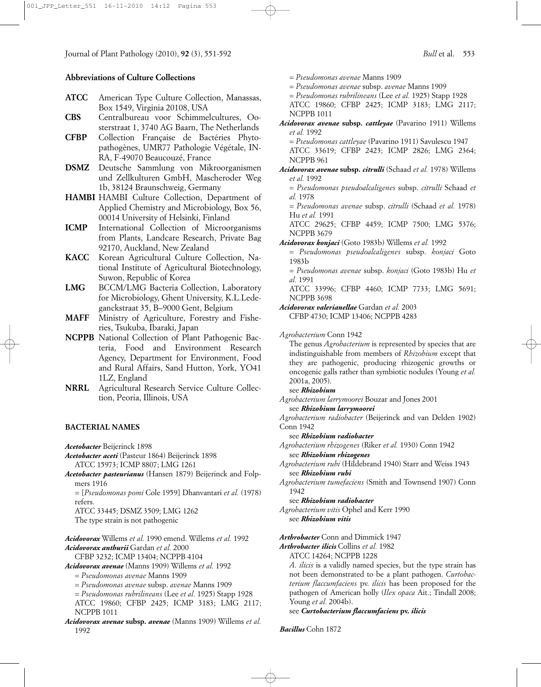# **Abbreviations of Culture Collections**

- **ATCC** American Type Culture Collection, Manassas, Box 1549, Virginia 20108, USA
- **CBS** Centralbureau voor Schimmelcultures, Oosterstraat 1, 3740 AG Baarn, The Netherlands
- **CFBP** Collection Française de Bactéries Phytopathogènes, UMR77 Pathologie Végétale, IN-RA, F-49070 Beaucouzé, France
- **DSMZ** Deutsche Sammlung von Mikroorganismen und Zellkulturen GmbH, Mascheroder Weg 1b, 38124 Braunschweig, Germany
- **HAMBI** HAMBI Culture Collection, Department of Applied Chemistry and Microbiology, Box 56, 00014 University of Helsinki, Finland
- **ICMP** International Collection of Microorganisms from Plants, Landcare Research, Private Bag 92170, Auckland, New Zealand
- **KACC** Korean Agricultural Culture Collection, National Institute of Agricultural Biotechnology, Suwon, Republic of Korea
- **LMG** BCCM/LMG Bacteria Collection, Laboratory for Microbiology, Ghent University, K.L.Ledeganckstraat 35, B–9000 Gent, Belgium
- **MAFF** Ministry of Agriculture, Forestry and Fisheries, Tsukuba, Ibaraki, Japan
- **NCPPB** National Collection of Plant Pathogenic Bacteria, Food and Environment Research Agency, Department for Environment, Food and Rural Affairs, Sand Hutton, York, YO41 1LZ, England
- **NRRL** Agricultural Research Service Culture Collection, Peoria, Illinois, USA

### **BACTERIAL NAMES**

*Acetobacter* Beijerinck 1898

*Acetobacter aceti* (Pasteur 1864) Beijerinck 1898 ATCC 15973; ICMP 8807; LMG 1261

*Acetobacter pasteurianus* (Hansen 1879) Beijerinck and Folpmers 1916

= [*Pseudomonas pomi* Cole 1959] Dhanvantari *et al.* (1978) refers.

ATCC 33445; DSMZ 3509; LMG 1262 The type strain is not pathogenic

*Acidovorax* Willems *et al.* 1990 emend. Willems *et al.* 1992 *Acidovorax anthurii* Gardan *et al.* 2000

CFBP 3232; ICMP 13404; NCPPB 4104

*Acidovorax avenae* (Manns 1909) Willems *et al.* 1992

- = *Pseudomonas avenae* Manns 1909
- = *Pseudomonas avenae* subsp. *avenae* Manns 1909

= *Pseudomonas rubrilineans* (Lee *et al.* 1925) Stapp 1928 ATCC 19860; CFBP 2425; ICMP 3183; LMG 2117; NCPPB 1011

*Acidovorax avenae* **subsp.** *avenae* (Manns 1909) Willems *et al.* 1992

- = *Pseudomonas avenae* Manns 1909
- = *Pseudomonas avenae* subsp. *avenae* Manns 1909
- = *Pseudomonas rubrilineans* (Lee *et al.* 1925) Stapp 1928

ATCC 19860; CFBP 2425; ICMP 3183; LMG 2117; NCPPB 1011

*Acidovorax avenae* **subsp.** *cattleyae* (Pavarino 1911) Willems *et al.* 1992

= *Pseudomonas cattleyae* (Pavarino 1911) Savulescu 1947

ATCC 33619; CFBP 2423; ICMP 2826; LMG 2364; NCPPB 961

*Acidovorax avenae* **subsp.** *citrulli* (Schaad *et al.* 1978) Willems *et al.* 1992

= *Pseudomonas pseudoalcaligenes* subsp. *citrulli* Schaad *et al.* 1978

= *Pseudomonas avenae* subsp. *citrulli* (Schaad *et al.* 1978) Hu *et al.* 1991

ATCC 29625; CFBP 4459; ICMP 7500; LMG 5376; NCPPB 3679

*Acidovorax konjaci* (Goto 1983b) Willems *et al.* 1992

= *Pseudomonas pseudoalcaligenes* subsp. *konjaci* Goto 1983b

= *Pseudomonas avenae* subsp. *konjaci* (Goto 1983b) Hu *et al.* 1991

ATCC 33996; CFBP 4460; ICMP 7733; LMG 5691; NCPPB 3698

*Acidovorax valerianellae* Gardan *et al.* 2003 CFBP 4730; ICMP 13406; NCPPB 4283

*Agrobacterium* Conn 1942

The genus *Agrobacterium* is represented by species that are indistinguishable from members of *Rhizobium* except that they are pathogenic, producing rhizogenic growths or oncogenic galls rather than symbiotic nodules (Young *et al.* 2001a, 2005).

see *Rhizobium*

*Agrobacterium larrymoorei* Bouzar and Jones 2001

see *Rhizobium larrymoorei* 

*Agrobacterium radiobacter* (Beijerinck and van Delden 1902) Conn 1942

see *Rhizobium radiobacter*

*Agrobacterium rhizogenes* (Riker *et al.* 1930) Conn 1942 see *Rhizobium rhizogenes*

*Agrobacterium rubi* (Hildebrand 1940) Starr and Weiss 1943 see *Rhizobium rubi*

*Agrobacterium tumefaciens* (Smith and Townsend 1907) Conn 1942

### see *Rhizobium radiobacter*

*Agrobacterium vitis* Ophel and Kerr 1990 see *Rhizobium vitis* 

*Arthrobacter* Conn and Dimmick 1947

*Arthrobacter ilicis* Collins *et al.* 1982

ATCC 14264; NCPPB 1228

*A*. *ilicis* is a validly named species, but the type strain has not been demonstrated to be a plant pathogen. *Curtobacterium flaccumfaciens* pv. *ilicis* has been proposed for the pathogen of American holly (*Ilex opaca* Ait.; Tindall 2008; Young *et al.* 2004b).

see *Curtobacterium flaccumfaciens* **pv.** *ilicis*

*Bacillus* Cohn 1872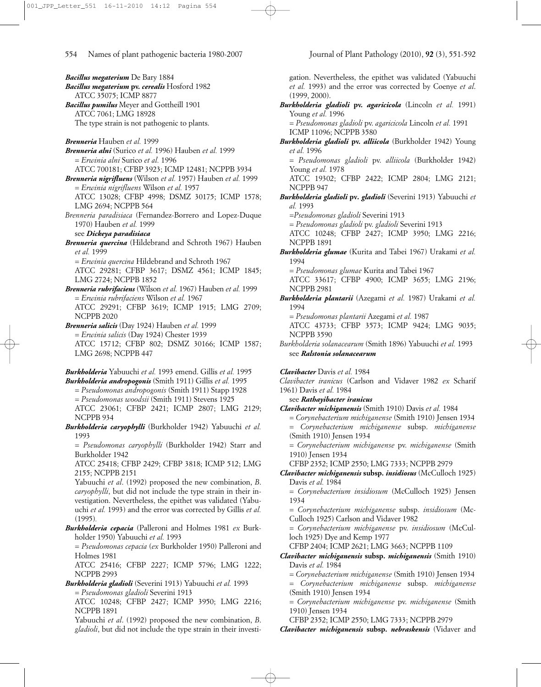*Bacillus megaterium* De Bary 1884 *Bacillus megaterium* **pv.** *cerealis* Hosford 1982 ATCC 35075; ICMP 8877 *Bacillus pumilus* Meyer and Gottheill 1901 ATCC 7061; LMG 18928 The type strain is not pathogenic to plants. *Brenneria* Hauben *et al.* 1999 *Brenneria alni* (Surico *et al.* 1996) Hauben *et al.* 1999 = *Erwinia alni* Surico *et al.* 1996 ATCC 700181; CFBP 3923; ICMP 12481; NCPPB 3934 *Brenneria nigrifluens* (Wilson *et al.* 1957) Hauben *et al.* 1999 = *Erwinia nigrifluens* Wilson *et al.* 1957 ATCC 13028; CFBP 4998; DSMZ 30175; ICMP 1578; LMG 2694; NCPPB 564 *Brenneria paradisiaca* (Fernandez-Borrero and Lopez-Duque 1970) Hauben *et al.* 1999 see *Dickeya paradisiaca Brenneria quercina* (Hildebrand and Schroth 1967) Hauben *et al.* 1999 = *Erwinia quercina* Hildebrand and Schroth 1967 ATCC 29281; CFBP 3617; DSMZ 4561; ICMP 1845; LMG 2724; NCPPB 1852 *Brenneria rubrifaciens* (Wilson *et al.* 1967) Hauben *et al.* 1999 = *Erwinia rubrifaciens* Wilson *et al.* 1967 ATCC 29291; CFBP 3619; ICMP 1915; LMG 2709; NCPPB 2020 *Brenneria salicis* (Day 1924) Hauben *et al.* 1999 = *Erwinia salicis* (Day 1924) Chester 1939 ATCC 15712; CFBP 802; DSMZ 30166; ICMP 1587; LMG 2698; NCPPB 447 *Burkholderia* Yabuuchi *et al.* 1993 emend. Gillis *et al.* 1995 *Burkholderia andropogonis* (Smith 1911) Gillis *et al.* 1995 = *Pseudomonas andropogonis* (Smith 1911) Stapp 1928 = *Pseudomonas woodsii* (Smith 1911) Stevens 1925 ATCC 23061; CFBP 2421; ICMP 2807; LMG 2129; NCPPB 934 *Burkholderia caryophylli* (Burkholder 1942) Yabuuchi *et al.* 1993 = *Pseudomonas caryophylli* (Burkholder 1942) Starr and Burkholder 1942 ATCC 25418; CFBP 2429; CFBP 3818; ICMP 512; LMG 2155; NCPPB 2151 Yabuuchi *et al*. (1992) proposed the new combination, *B*. *caryophylli*, but did not include the type strain in their investigation. Nevertheless, the epithet was validated (Yabuuchi *et al.* 1993) and the error was corrected by Gillis *et al.* (1995)*. Burkholderia cepacia* (Palleroni and Holmes 1981 *ex* Burkholder 1950) Yabuuchi *et al.* 1993 = *Pseudomonas cepacia* (*ex* Burkholder 1950) Palleroni and

ATCC 25416; CFBP 2227; ICMP 5796; LMG 1222;

ATCC 10248; CFBP 2427; ICMP 3950; LMG 2216;

Yabuuchi *et al*. (1992) proposed the new combination, *B*. *gladioli*, but did not include the type strain in their investi-

*Burkholderia gladioli* (Severini 1913) Yabuuchi *et al.* 1993

= *Pseudomonas gladioli* Severini 1913

Holmes 1981

NCPPB 2993

NCPPB 1891

gation. Nevertheless, the epithet was validated (Yabuuchi *et al.* 1993) and the error was corrected by Coenye *et al*. (1999, 2000). *Burkholderia gladioli* **pv.** *agaricicola* (Lincoln *et al.* 1991) Young *et al.* 1996 = *Pseudomonas gladioli* pv. *agaricicola* Lincoln *et al.* 1991 ICMP 11096; NCPPB 3580 *Burkholderia gladioli* **pv.** *alliicola* (Burkholder 1942) Young *et al.* 1996 = *Pseudomonas gladioli* pv. *alliicola* (Burkholder 1942) Young *et al.* 1978 ATCC 19302; CFBP 2422; ICMP 2804; LMG 2121; NCPPB 947 *Burkholderia gladioli* **pv***. gladioli* (Severini 1913) Yabuuchi *et al.* 1993 *=Pseudomonas gladioli* Severini 1913 = *Pseudomonas gladioli* pv. *gladioli* Severini 1913 ATCC 10248; CFBP 2427; ICMP 3950; LMG 2216; NCPPB 1891 *Burkholderia glumae* (Kurita and Tabei 1967) Urakami *et al.* 1994 = *Pseudomonas glumae* Kurita and Tabei 1967 ATCC 33617; CFBP 4900; ICMP 3655; LMG 2196; NCPPB 2981 *Burkholderia plantarii* (Azegami *et al.* 1987) Urakami *et al.* 1994 = *Pseudomonas plantarii* Azegami *et al.* 1987 ATCC 43733; CFBP 3573; ICMP 9424; LMG 9035; NCPPB 3590 *Burkholderia solanacearum* (Smith 1896) Yabuuchi *et al.* 1993 see *Ralstonia solanacearum Clavibacter* Davis *et al.* 1984 *Clavibacter iranicus* (Carlson and Vidaver 1982 *ex* Scharif 1961) Davis *et al.* 1984 see *Rathayibacter iranicus Clavibacter michiganensis* (Smith 1910) Davis *et al.* 1984 = *Corynebacterium michiganense* (Smith 1910) Jensen 1934 = *Corynebacterium michiganense* subsp. *michiganense* (Smith 1910) Jensen 1934 = *Corynebacterium michiganense* pv. *michiganense* (Smith 1910) Jensen 1934 CFBP 2352; ICMP 2550; LMG 7333; NCPPB 2979 *Clavibacter michiganensis* **subsp.** *insidiosus* (McCulloch 1925) Davis *et al.* 1984 = *Corynebacterium insidiosum* (McCulloch 1925) Jensen 1934 = *Corynebacterium michiganense* subsp. *insidiosum* (Mc-Culloch 1925) Carlson and Vidaver 1982 = *Corynebacterium michiganense* pv. *insidiosum* (McCulloch 1925) Dye and Kemp 1977 CFBP 2404; ICMP 2621; LMG 3663; NCPPB 1109 *Clavibacter michiganensis* **subsp.** *michiganensis* (Smith 1910) Davis *et al.* 1984 = *Corynebacterium michiganense* (Smith 1910) Jensen 1934 = *Corynebacterium michiganense* subsp. *michiganense* (Smith 1910) Jensen 1934 = *Corynebacterium michiganense* pv. *michiganense* (Smith

1910) Jensen 1934

CFBP 2352; ICMP 2550; LMG 7333; NCPPB 2979

*Clavibacter michiganensis* **subsp.** *nebraskensis* (Vidaver and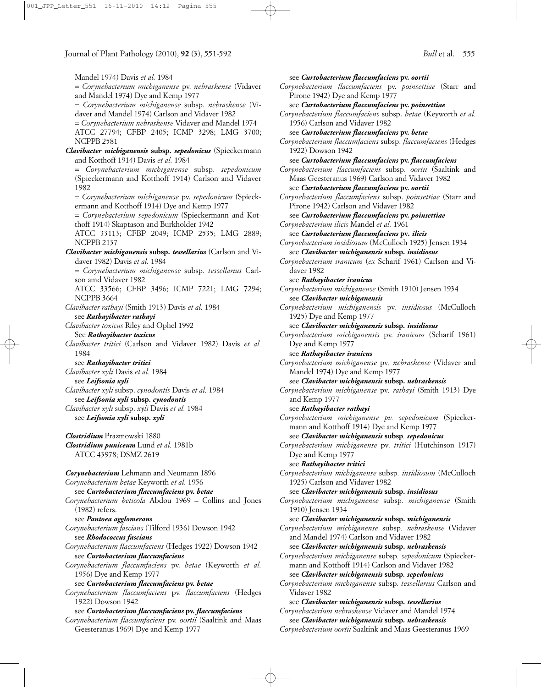Mandel 1974) Davis *et al.* 1984 = *Corynebacterium michiganense* pv. *nebraskense* (Vidaver and Mandel 1974) Dye and Kemp 1977 = *Corynebacterium michiganense* subsp. *nebraskense* (Vidaver and Mandel 1974) Carlson and Vidaver 1982 = *Corynebacterium nebraskense* Vidaver and Mandel 1974 ATCC 27794; CFBP 2405; ICMP 3298; LMG 3700; NCPPB 2581 *Clavibacter michiganensis* **subsp.** *sepedonicus* (Spieckermann and Kotthoff 1914) Davis *et al.* 1984 = *Corynebacterium michiganense* subsp. *sepedonicum* (Spieckermann and Kotthoff 1914) Carlson and Vidaver 1982 = *Corynebacterium michiganense* pv. *sepedonicum* (Spieckermann and Kotthoff 1914) Dye and Kemp 1977 = *Corynebacterium sepedonicum* (Spieckermann and Kotthoff 1914) Skaptason and Burkholder 1942 ATCC 33113; CFBP 2049; ICMP 2535; LMG 2889; NCPPB 2137 *Clavibacter michiganensis* **subsp.** *tessellarius* (Carlson and Vidaver 1982) Davis *et al.* 1984 = *Corynebacterium michiganense* subsp. *tessellarius* Carlson amd Vidaver 1982 ATCC 33566; CFBP 3496; ICMP 7221; LMG 7294; NCPPB 3664 *Clavibacter rathayi* (Smith 1913) Davis *et al.* 1984 see *Rathayibacter rathayi Clavibacter toxicus* Riley and Ophel 1992 See *Rathayibacter toxicus Clavibacter tritici* (Carlson and Vidaver 1982) Davis *et al.* 1984 see *Rathayibacter tritici Clavibacter xyli* Davis *et al.* 1984 see *Leifsonia xyli Clavibacter xyli* subsp. *cynodontis* Davis *et al.* 1984 see *Leifsonia xyli* **subsp.** *cynodontis Clavibacter xyli* subsp. *xyli* Davis *et al.* 1984 see *Leifsonia xyli* **subsp.** *xyli Clostridium* Prazmowski 1880 *Clostridium puniceum* Lund *et al.* 1981b ATCC 43978; DSMZ 2619 *Corynebacterium* Lehmann and Neumann 1896 *Corynebacterium betae* Keyworth *et al.* 1956 see *Curtobacterium flaccumfaciens* **pv.** *betae Corynebacterium beticola* Abdou 1969 – Collins and Jones (1982) refers. see *Pantoea agglomerans Corynebacterium fascians* (Tilford 1936) Dowson 1942 see *Rhodococcus fascians Corynebacterium flaccumfaciens* (Hedges 1922) Dowson 1942 see *Curtobacterium flaccumfaciens Corynebacterium flaccumfaciens* pv. *betae* (Keyworth *et al.* 1956) Dye and Kemp 1977 see *Curtobacterium flaccumfaciens* **pv.** *betae Corynebacterium flaccumfaciens* pv. *flaccumfaciens* (Hedges 1922) Dowson 1942 see *Curtobacterium flaccumfaciens* **pv.** *flaccumfaciens Corynebacterium flaccumfaciens* pv. *oortii* (Saaltink and Maas Geesteranus 1969) Dye and Kemp 1977 see *Curtobacterium flaccumfaciens* **pv.** *oortii Corynebacterium flaccumfaciens* pv. *poinsettiae* (Starr and Pirone 1942) Dye and Kemp 1977 see *Curtobacterium flaccumfaciens* **pv.** *poinsettiae Corynebacterium flaccumfaciens* subsp. *betae* (Keyworth *et al.* 1956) Carlson and Vidaver 1982 see *Curtobacterium flaccumfaciens* **pv.** *betae Corynebacterium flaccumfaciens* subsp. *flaccumfaciens* (Hedges 1922) Dowson 1942 see *Curtobacterium flaccumfaciens* **pv.** *flaccumfaciens Corynebacterium flaccumfaciens* subsp. *oortii* (Saaltink and Maas Geesteranus 1969) Carlson and Vidaver 1982 see *Curtobacterium flaccumfaciens* **pv.** *oortii Corynebacterium flaccumfaciens* subsp. *poinsettiae* (Starr and Pirone 1942) Carlson and Vidaver 1982 see *Curtobacterium flaccumfaciens* **pv.** *poinsettiae Corynebacterium ilicis* Mandel *et al.* 1961 see *Curtobacterium flaccumfaciens* **pv***. ilicis Corynebacterium insidiosum* (McCulloch 1925) Jensen 1934 see *Clavibacter michiganensis* **subsp***. insidiosus Corynebacterium iranicum* (*ex* Scharif 1961) Carlson and Vidaver 1982 see *Rathayibacter iranicus Corynebacterium michiganense* (Smith 1910) Jensen 1934 see *Clavibacter michiganensis Corynebacterium michiganensis* pv. *insidiosus* (McCulloch 1925) Dye and Kemp 1977 see *Clavibacter michiganensis* **subsp***. insidiosus Corynebacterium michiganensis* pv. *iranicum* (Scharif 1961) Dye and Kemp 1977 see *Rathayibacter iranicus Corynebacterium michiganense* pv*. nebraskense* (Vidaver and Mandel 1974) Dye and Kemp 1977 see *Clavibacter michiganensis* **subsp.** *nebraskensis Corynebacterium michiganense* pv*. rathayi* (Smith 1913) Dye and Kemp 1977 see *Rathayibacter rathayi Corynebacterium michiganense pv. sepedonicum* (Spieckermann and Kotthoff 1914) Dye and Kemp 1977 see *Clavibacter michiganensis* **subsp***. sepedonicus Corynebacterium michiganense* pv*. tritici* (Hutchinson 1917) Dye and Kemp 1977 see *Rathayibacter tritici Corynebacterium michiganense* subsp*. insidiosum* (McCulloch 1925) Carlson and Vidaver 1982 see *Clavibacter michiganensis* **subsp.** *insidiosus Corynebacterium michiganense* subsp*. michiganense* (Smith 1910) Jensen 1934 see *Clavibacter michiganensis* **subsp.** *michiganensis Corynebacterium michiganense* subsp*. nebraskense* (Vidaver and Mandel 1974) Carlson and Vidaver 1982 see *Clavibacter michiganensis* **subsp.** *nebraskensis Corynebacterium michiganense* subsp*. sepedonicum* (Spieckermann and Kotthoff 1914) Carlson and Vidaver 1982 see *Clavibacter michiganensis* **subsp***. sepedonicus Corynebacterium michiganense* subsp*. tessellarius* Carlson and Vidaver 1982 see *Clavibacter michiganensis* **subsp***. tessellarius Corynebacterium nebraskense* Vidaver and Mandel 1974 see *Clavibacter michiganensis* **subsp***. nebraskensis Corynebacterium oortii* Saaltink and Maas Geesteranus 1969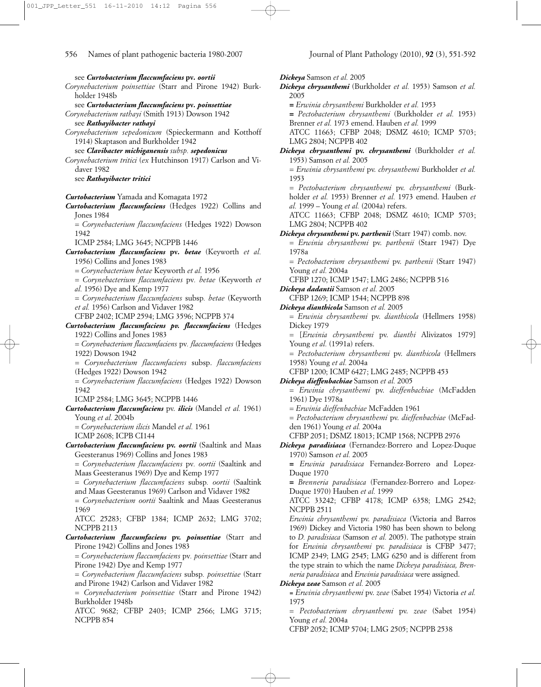see *Curtobacterium flaccumfaciens* **pv***. oortii Corynebacterium poinsettiae* (Starr and Pirone 1942) Burkholder 1948b see *Curtobacterium flaccumfaciens* **pv***. poinsettiae Corynebacterium rathayi* (Smith 1913) Dowson 1942 see *Rathayibacter rathayi Corynebacterium sepedonicum* (Spieckermann and Kotthoff 1914) Skaptason and Burkholder 1942 see *Clavibacter michiganensis subsp. sepedonicus Corynebacterium tritici* (*ex* Hutchinson 1917) Carlson and Vidaver 1982 see *Rathayibacter tritici Curtobacterium* Yamada and Komagata 1972 *Curtobacterium flaccumfaciens* (Hedges 1922) Collins and Jones 1984 = *Corynebacterium flaccumfaciens* (Hedges 1922) Dowson 1942 ICMP 2584; LMG 3645; NCPPB 1446 *Curtobacterium flaccumfaciens* **pv***. betae* (Keyworth *et al.* 1956) Collins and Jones 1983 = *Corynebacterium betae* Keyworth *et al.* 1956 = *Corynebacterium flaccumfaciens* pv*. betae* (Keyworth *et al.* 1956) Dye and Kemp 1977 = *Corynebacterium flaccumfaciens* subsp*. betae* (Keyworth *et al.* 1956) Carlson and Vidaver 1982 CFBP 2402; ICMP 2594; LMG 3596; NCPPB 374 *Curtobacterium flaccumfaciens pv. flaccumfaciens* (Hedges 1922) Collins and Jones 1983 = *Corynebacterium flaccumfaciens* pv*. flaccumfaciens* (Hedges 1922) Dowson 1942 *= Corynebacterium flaccumfaciens* subsp. *flaccumfaciens* (Hedges 1922) Dowson 1942 = *Corynebacterium flaccumfaciens* (Hedges 1922) Dowson 1942 ICMP 2584; LMG 3645; NCPPB 1446 *Curtobacterium flaccumfaciens* pv. *ilicis* (Mandel *et al.* 1961) Young *et al.* 2004b = *Corynebacterium ilicis* Mandel *et al.* 1961 ICMP 2608; ICPB CI144 *Curtobacterium flaccumfaciens* **pv.** *oortii* (Saaltink and Maas Geesteranus 1969) Collins and Jones 1983 = *Corynebacterium flaccumfaciens* pv*. oortii* (Saaltink and Maas Geesteranus 1969) Dye and Kemp 1977 = *Corynebacterium flaccumfaciens* subsp*. oortii* (Saaltink and Maas Geesteranus 1969) Carlson and Vidaver 1982 = *Corynebacterium oortii* Saaltink and Maas Geesteranus 1969 ATCC 25283; CFBP 1384; ICMP 2632; LMG 3702; NCPPB 2113 *Curtobacterium flaccumfaciens* **pv.** *poinsettiae* (Starr and Pirone 1942) Collins and Jones 1983 = *Corynebacterium flaccumfaciens* pv*. poinsettiae* (Starr and Pirone 1942) Dye and Kemp 1977 = *Corynebacterium flaccumfaciens* subsp*. poinsettiae* (Starr and Pirone 1942) Carlson and Vidaver 1982 = *Corynebacterium poinsettiae* (Starr and Pirone 1942) Burkholder 1948b

ATCC 9682; CFBP 2403; ICMP 2566; LMG 3715; NCPPB 854

*Dickeya* Samson *et al.* 2005 *Dickeya chrysanthemi* (Burkholder *et al.* 1953) Samson *et al.* 2005 **=** *Erwinia chrysanthemi* Burkholder *et al.* 1953 **=** *Pectobacterium chrysanthemi* (Burkholder *et al.* 1953) Brenner *et al.* 1973 emend. Hauben *et al.* 1999 ATCC 11663; CFBP 2048; DSMZ 4610; ICMP 5703; LMG 2804; NCPPB 402 *Dickeya chrysanthemi* **pv.** *chrysanthemi* (Burkholder *et al.* 1953) Samson *et al.* 2005 = *Erwinia chrysanthemi* pv. *chrysanthemi* Burkholder *et al.* 1953 = *Pectobacterium chrysanthemi* pv. *chrysanthemi* (Burkholder *et al.* 1953) Brenner *et al.* 1973 emend. Hauben *et al.* 1999 – Young *et al.* (2004a) refers. ATCC 11663; CFBP 2048; DSMZ 4610; ICMP 5703; LMG 2804; NCPPB 402 *Dickeya chrysanthemi* **pv.** *parthenii* (Starr 1947) comb. nov. = *Erwinia chrysanthemi* pv. *parthenii* (Starr 1947) Dye 1978a = *Pectobacterium chrysanthemi* pv. *parthenii* (Starr 1947) Young *et al.* 2004a CFBP 1270; ICMP 1547; LMG 2486; NCPPB 516 *Dickeya dadantii* Samson *et al.* 2005 CFBP 1269; ICMP 1544; NCPPB 898 *Dickeya dianthicola* Samson *et al.* 2005 = *Erwinia chrysanthemi* pv. *dianthicola* (Hellmers 1958) Dickey 1979 = [*Erwinia chrysanthemi* pv. *dianthi* Alivizatos 1979] Young et al. (1991a) refers. = *Pectobacterium chrysanthemi* pv. *dianthicola* (Hellmers 1958) Young *et al.* 2004a CFBP 1200; ICMP 6427; LMG 2485; NCPPB 453 *Dickeya dieffenbachiae* Samson *et al.* 2005 = *Erwinia chrysanthemi* pv. *dieffenbachiae* (McFadden 1961) Dye 1978a = *Erwinia dieffenbachiae* McFadden 1961 = *Pectobacterium chrysanthemi* pv. *dieffenbachiae* (McFadden 1961) Young *et al.* 2004a CFBP 2051; DSMZ 18013; ICMP 1568; NCPPB 2976 *Dickeya paradisiaca* (Fernandez-Borrero and Lopez-Duque 1970) Samson *et al.* 2005 **=** *Erwinia paradisiaca* Fernandez-Borrero and Lopez-Duque 1970 **=** *Brenneria paradisiaca* (Fernandez-Borrero and Lopez-Duque 1970) Hauben *et al.* 1999 ATCC 33242; CFBP 4178; ICMP 6358; LMG 2542; NCPPB 2511 *Erwinia chrysanthemi* pv. *paradisiaca* (Victoria and Barros 1969) Dickey and Victoria 1980 has been shown to belong to *D. paradisiaca* (Samson *et al.* 2005). The pathotype strain for *Erwinia chrysanthemi* pv. *paradisiaca* is CFBP 3477; ICMP 2349; LMG 2545; LMG 6250 and is different from the type strain to which the name *Dickeya paradisiaca, Brenneria paradisiaca* and *Erwinia paradisiaca* were assigned. *Dickeya zeae* Samson *et al.* 2005 *= Erwinia chrysanthemi* pv. *zeae* (Sabet 1954) Victoria *et al.* 1975

= *Pectobacterium chrysanthemi* pv. *zeae* (Sabet 1954) Young *et al.* 2004a

CFBP 2052; ICMP 5704; LMG 2505; NCPPB 2538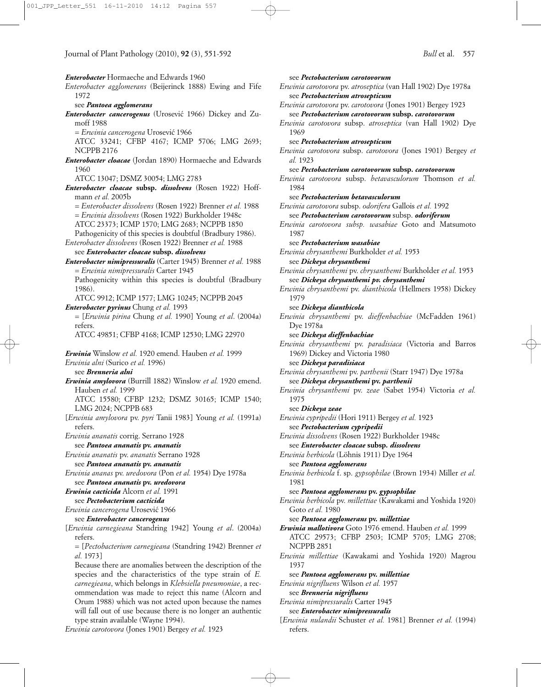*Enterobacter* Hormaeche and Edwards 1960 *Enterobacter agglomerans* (Beijerinck 1888) Ewing and Fife 1972 see *Pantoea agglomerans Enterobacter cancerogenus* (Urosevic´ 1966) Dickey and Zumoff 1988 = *Erwinia cancerogena* Urosevic´ 1966 ATCC 33241; CFBP 4167; ICMP 5706; LMG 2693; NCPPB 2176 *Enterobacter cloacae* (Jordan 1890) Hormaeche and Edwards 1960 ATCC 13047; DSMZ 30054; LMG 2783 *Enterobacter cloacae* **subsp.** *dissolvens* (Rosen 1922) Hoffmann *et al.* 2005b *= Enterobacter dissolvens* (Rosen 1922) Brenner *et al.* 1988 = *Erwinia dissolvens* (Rosen 1922) Burkholder 1948c ATCC 23373; ICMP 1570; LMG 2683; NCPPB 1850 Pathogenicity of this species is doubtful (Bradbury 1986). *Enterobacter dissolvens* (Rosen 1922) Brenner *et al.* 1988 see *Enterobacter cloacae* **subsp.** *dissolvens Enterobacter nimipressuralis* (Carter 1945) Brenner *et al.* 1988 = *Erwinia nimipressuralis* Carter 1945 Pathogenicity within this species is doubtful (Bradbury 1986). ATCC 9912; ICMP 1577; LMG 10245; NCPPB 2045 *Enterobacter pyrinus* Chung *et al.* 1993 = [*Erwinia pirina* Chung *et al.* 1990] Young *et al*. (2004a) refers. ATCC 49851; CFBP 4168; ICMP 12530; LMG 22970 *Erwinia* Winslow *et al.* 1920 emend. Hauben *et al.* 1999 *Erwinia alni* (Surico *et al.* 1996) see *Brenneria alni Erwinia amylovora* (Burrill 1882) Winslow *et al.* 1920 emend. Hauben *et al.* 1999 ATCC 15580; CFBP 1232; DSMZ 30165; ICMP 1540; LMG 2024; NCPPB 683 [*Erwinia amylovora* pv. *pyri* Tanii 1983] Young *et al.* (1991a) refers. *Erwinia ananatis* corrig. Serrano 1928 see *Pantoea ananatis* **pv.** *ananatis Erwinia ananatis* pv. *ananatis* Serrano 1928 see *Pantoea ananatis* **pv.** *ananatis Erwinia ananas* pv. *uredovora* (Pon *et al.* 1954) Dye 1978a see *Pantoea ananatis* **pv.** *uredovora Erwinia cacticida* Alcorn *et al.* 1991 see *Pectobacterium cacticida Erwinia cancerogena* Urosevic´ 1966 see *Enterobacter cancerogenus* [*Erwinia carnegieana* Standring 1942] Young *et al*. (2004a) refers. = [*Pectobacterium carnegieana* (Standring 1942) Brenner *et al.* 1973] Because there are anomalies between the description of the species and the characteristics of the type strain of *E. carnegieana*, which belongs in *Klebsiella pneumoniae*, a recommendation was made to reject this name (Alcorn and Orum 1988) which was not acted upon because the names will fall out of use because there is no longer an authentic type strain available (Wayne 1994).

*Erwinia carotovora* (Jones 1901) Bergey *et al.* 1923

see *Pectobacterium carotovorum Erwinia carotovora* pv. *atroseptica* (van Hall 1902) Dye 1978a see *Pectobacterium atrosepticum Erwinia carotovora* pv. *carotovora* (Jones 1901) Bergey 1923 see *Pectobacterium carotovorum* **subsp.** *carotovorum Erwinia carotovora* subsp. *atroseptica* (van Hall 1902) Dye 1969 see *Pectobacterium atrosepticum Erwinia carotovora* subsp. *carotovora* (Jones 1901) Bergey *et al.* 1923 see *Pectobacterium carotovorum* **subsp.** *carotovorum Erwinia carotovora* subsp. *betavasculorum* Thomson *et al.* 1984 see *Pectobacterium betavasculorum Erwinia carotovora* subsp. *odorifera* Gallois *et al.* 1992 see *Pectobacterium carotovorum* subsp. *odoriferum Erwinia carotovora subsp. wasabiae* Goto and Matsumoto 1987 see *Pectobacterium wasabiae Erwinia chrysanthemi* Burkholder *et al.* 1953 see *Dickeya chrysanthemi Erwinia chrysanthemi* pv. *chrysanthemi* Burkholder *et al.* 1953 see *Dickeya chrysanthemi pv. chrysanthemi Erwinia chrysanthemi* pv. *dianthicola* (Hellmers 1958) Dickey 1979 see *Dickeya dianthicola Erwinia chrysanthemi* pv. *dieffenbachiae* (McFadden 1961) Dye 1978a see *Dickeya dieffenbachiae Erwinia chrysanthemi* pv. *paradisiaca* (Victoria and Barros 1969) Dickey and Victoria 1980 see *Dickeya paradisiaca Erwinia chrysanthemi* pv. *parthenii* (Starr 1947) Dye 1978a see *Dickeya chrysanthemi* **pv.** *parthenii Erwinia chrysanthemi* pv. *zeae* (Sabet 1954) Victoria *et al.* 1975 see *Dickeya zeae Erwinia cypripedii* (Hori 1911) Bergey *et al.* 1923 see *Pectobacterium cypripedii Erwinia dissolvens* (Rosen 1922) Burkholder 1948c see *Enterobacter cloacae* **subsp***. dissolvens Erwinia herbicola* (Löhnis 1911) Dye 1964 see *Pantoea agglomerans Erwinia herbicola* f. sp. *gypsophilae* (Brown 1934) Miller *et al.* 1981 see *Pantoea agglomerans* **pv.** *gypsophilae Erwinia herbicola* pv. *millettiae* (Kawakami and Yoshida 1920) Goto *et al.* 1980 see *Pantoea agglomerans* **pv.** *millettiae Erwinia mallotivora* Goto 1976 emend. Hauben *et al.* 1999 ATCC 29573; CFBP 2503; ICMP 5705; LMG 2708; NCPPB 2851 *Erwinia millettiae* (Kawakami and Yoshida 1920) Magrou 1937 see *Pantoea agglomerans* **pv.** *millettiae Erwinia nigrifluens* Wilson *et al.* 1957 see *Brenneria nigrifluens Erwinia nimipressuralis* Carter 1945 see *Enterobacter nimipressuralis* [*Erwinia nulandii* Schuster *et al.* 1981] Brenner *et al.* (1994)

refers.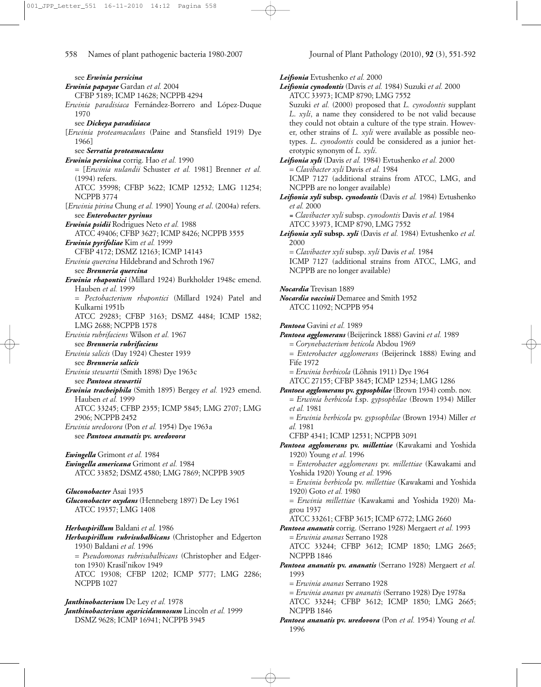see *Erwinia persicina Erwinia papayae* Gardan *et al.* 2004 CFBP 5189; ICMP 14628; NCPPB 4294 *Erwinia paradisiaca* Fernández-Borrero and López-Duque 1970 see *Dickeya paradisiaca* [*Erwinia proteamaculans* (Paine and Stansfield 1919) Dye 1966] see *Serratia proteamaculans Erwinia persicina* corrig. Hao *et al.* 1990 = [*Erwinia nulandii* Schuster *et al.* 1981] Brenner *et al.* (1994) refers. ATCC 35998; CFBP 3622; ICMP 12532; LMG 11254; NCPPB 3774 [*Erwinia pirina* Chung *et al.* 1990] Young *et al*. (2004a) refers. see *Enterobacter pyrinus Erwinia psidii* Rodrigues Neto *et al.* 1988 ATCC 49406; CFBP 3627; ICMP 8426; NCPPB 3555 *Erwinia pyrifoliae* Kim *et al.* 1999 CFBP 4172; DSMZ 12163; ICMP 14143 *Erwinia quercina* Hildebrand and Schroth 1967 see *Brenneria quercina Erwinia rhapontici* (Millard 1924) Burkholder 1948c emend. Hauben *et al.* 1999 = *Pectobacterium rhapontici* (Millard 1924) Patel and Kulkarni 1951b ATCC 29283; CFBP 3163; DSMZ 4484; ICMP 1582; LMG 2688; NCPPB 1578 *Erwinia rubrifaciens* Wilson *et al.* 1967 see *Brenneria rubrifaciens Erwinia salicis* (Day 1924) Chester 1939 see *Brenneria salicis Erwinia stewartii* (Smith 1898) Dye 1963c see *Pantoea stewartii Erwinia tracheiphila* (Smith 1895) Bergey *et al.* 1923 emend. Hauben *et al.* 1999 ATCC 33245; CFBP 2355; ICMP 5845; LMG 2707; LMG 2906; NCPPB 2452 *Erwinia uredovora* (Pon *et al.* 1954) Dye 1963a see *Pantoea ananatis* **pv.** *uredovora Ewingella* Grimont *et al.* 1984 *Ewingella americana* Grimont *et al.* 1984 ATCC 33852; DSMZ 4580; LMG 7869; NCPPB 3905 *Gluconobacter* Asai 1935 *Gluconobacter oxydans* (Henneberg 1897) De Ley 1961 ATCC 19357; LMG 1408 *Herbaspirillum* Baldani *et al.* 1986 *Herbaspirillum rubrisubalbicans* (Christopher and Edgerton 1930) Baldani *et al.* 1996 = *Pseudomonas rubrisubalbicans* (Christopher and Edgerton 1930) Krasil'nikov 1949 ATCC 19308; CFBP 1202; ICMP 5777; LMG 2286; NCPPB 1027 *Janthinobacterium* De Ley *et al.* 1978

*Janthinobacterium agaricidamnosum* Lincoln *et al.* 1999 DSMZ 9628; ICMP 16941; NCPPB 3945

*Leifsonia* Evtushenko *et al.* 2000 *Leifsonia cynodontis* (Davis *et al.* 1984) Suzuki *et al.* 2000 ATCC 33973; ICMP 8790; LMG 7552 Suzuki *et al.* (2000) proposed that *L. cynodontis* supplant *L*. *xyli*, a name they considered to be not valid because they could not obtain a culture of the type strain. However, other strains of *L. xyli* were available as possible neotypes. *L*. *cynodontis* could be considered as a junior heterotypic synonym of *L. xyli*. *Leifsonia xyli* (Davis *et al.* 1984) Evtushenko *et al.* 2000 = *Clavibacter xyli* Davis *et al.* 1984 ICMP 7127 (additional strains from ATCC, LMG, and NCPPB are no longer available) *Leifsonia xyli* **subsp.** *cynodontis* (Davis *et al.* 1984) Evtushenko *et al.* 2000 *= Clavibacter xyli* subsp. *cynodontis* Davis *et al.* 1984 ATCC 33973, ICMP 8790, LMG 7552 *Leifsonia xyli* **subsp.** *xyli* (Davis *et al.* 1984) Evtushenko *et al.* 2000 = *Clavibacter xyli* subsp. *xyli* Davis *et al.* 1984 ICMP 7127 (additional strains from ATCC, LMG, and NCPPB are no longer available) *Nocardia* Trevisan 1889 *Nocardia vaccinii* Demaree and Smith 1952 ATCC 11092; NCPPB 954 *Pantoea* Gavini *et al.* 1989 *Pantoea agglomerans* (Beijerinck 1888) Gavini *et al.* 1989 = *Corynebacterium beticola* Abdou 1969 = *Enterobacter agglomerans* (Beijerinck 1888) Ewing and Fife 1972 = *Erwinia herbicola* (Löhnis 1911) Dye 1964 ATCC 27155; CFBP 3845; ICMP 12534; LMG 1286 *Pantoea agglomerans* **pv.** *gypsophilae* (Brown 1934) comb. nov. = *Erwinia herbicola* f.sp. *gypsophilae* (Brown 1934) Miller *et al.* 1981 = *Erwinia herbicola* pv. *gypsophilae* (Brown 1934) Miller *et al.* 1981 CFBP 4341; ICMP 12531; NCPPB 3091 *Pantoea agglomerans* **pv.** *millettiae* (Kawakami and Yoshida 1920) Young *et al.* 1996 = *Enterobacter agglomerans* pv. *millettiae* (Kawakami and Yoshida 1920) Young *et al.* 1996 = *Erwinia herbicola* pv. *millettiae* (Kawakami and Yoshida 1920) Goto *et al.* 1980 = *Erwinia millettiae* (Kawakami and Yoshida 1920) Magrou 1937 ATCC 33261; CFBP 3615; ICMP 6772; LMG 2660 *Pantoea ananatis* corrig. (Serrano 1928) Mergaert *et al.* 1993 = *Erwinia ananas* Serrano 1928 ATCC 33244; CFBP 3612; ICMP 1850; LMG 2665; NCPPB 1846 *Pantoea ananatis* **pv.** *ananatis* (Serrano 1928) Mergaert *et al.* 1993 = *Erwinia ananas* Serrano 1928 = *Erwinia ananas* pv *ananatis* (Serrano 1928) Dye 1978a ATCC 33244; CFBP 3612; ICMP 1850; LMG 2665; NCPPB 1846

*Pantoea ananatis* **pv.** *uredovora* (Pon *et al.* 1954) Young *et al.* 1996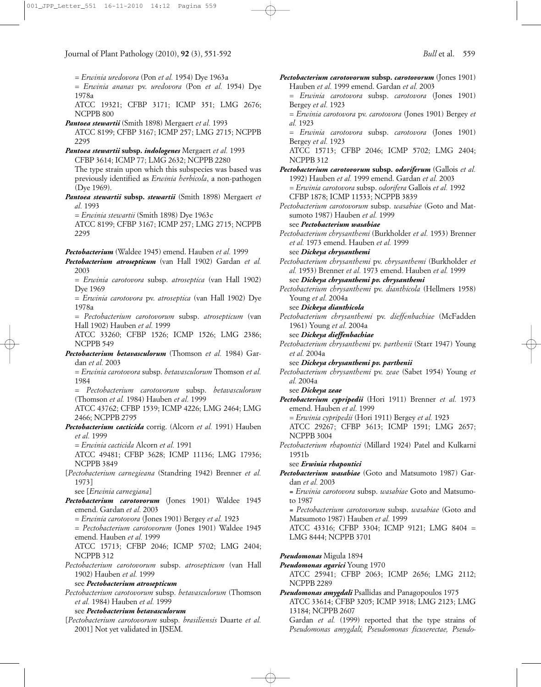= *Erwinia uredovora* (Pon *et al.* 1954) Dye 1963a

= *Erwinia ananas* pv. *uredovora* (Pon *et al.* 1954) Dye 1978a

ATCC 19321; CFBP 3171; ICMP 351; LMG 2676; NCPPB 800

- *Pantoea stewartii* (Smith 1898) Mergaert *et al.* 1993 ATCC 8199; CFBP 3167; ICMP 257; LMG 2715; NCPPB 2295
- *Pantoea stewartii* **subsp.** *indologenes* Mergaert *et al.* 1993 CFBP 3614; ICMP 77; LMG 2632; NCPPB 2280 The type strain upon which this subspecies was based was previously identified as *Erwinia herbicola*, a non-pathogen (Dye 1969).
- *Pantoea stewartii* **subsp.** *stewartii* (Smith 1898) Mergaert *et al.* 1993
	- = *Erwinia stewartii* (Smith 1898) Dye 1963c

ATCC 8199; CFBP 3167; ICMP 257; LMG 2715; NCPPB 2295

*Pectobacterium* (Waldee 1945) emend. Hauben *et al.* 1999

- *Pectobacterium atrosepticum* (van Hall 1902) Gardan *et al.* 2003
	- = *Erwinia carotovora* subsp. *atroseptica* (van Hall 1902) Dye 1969
	- = *Erwinia carotovora* pv. *atroseptica* (van Hall 1902) Dye 1978a

= *Pectobacterium carotovorum* subsp. *atrosepticum* (van Hall 1902) Hauben *et al.* 1999

ATCC 33260; CFBP 1526; ICMP 1526; LMG 2386; NCPPB 549

*Pectobacterium betavasculorum* (Thomson *et al.* 1984) Gardan *et al.* 2003

= *Erwinia carotovora* subsp. *betavasculorum* Thomson *et al.* 1984

= *Pectobacterium carotovorum* subsp. *betavasculorum* (Thomson *et al.* 1984) Hauben *et al.* 1999

ATCC 43762; CFBP 1539; ICMP 4226; LMG 2464; LMG 2466; NCPPB 2795

*Pectobacterium cacticida* corrig. (Alcorn *et al.* 1991) Hauben *et al.* 1999

= *Erwinia cacticida* Alcorn *et al.* 1991

ATCC 49481; CFBP 3628; ICMP 11136; LMG 17936; NCPPB 3849

[*Pectobacterium carnegieana* (Standring 1942) Brenner *et al.* 1973]

see [*Erwinia carnegiana*]

- *Pectobacterium carotovorum* (Jones 1901) Waldee 1945 emend. Gardan *et al.* 2003
	- = *Erwinia carotovora* (Jones 1901) Bergey *et al.* 1923
	- = *Pectobacterium carotovorum* (Jones 1901) Waldee 1945 emend. Hauben *et al.* 1999

ATCC 15713; CFBP 2046; ICMP 5702; LMG 2404; NCPPB 312

*Pectobacterium carotovorum* subsp. *atrosepticum* (van Hall 1902) Hauben *et al.* 1999

see *Pectobacterium atrosepticum*

*Pectobacterium carotovorum* subsp. *betavasculorum* (Thomson *et al.* 1984) Hauben *et al.* 1999

#### see *Pectobacterium betavasculorum*

[*Pectobacterium carotovorum* subsp*. brasiliensis* Duarte *et al.* 2001] Not yet validated in IJSEM.

*Pectobacterium carotovorum* **subsp.** *carotovorum* (Jones 1901) Hauben *et al.* 1999 emend. Gardan *et al.* 2003 = *Erwinia carotovora* subsp. *carotovora* (Jones 1901) Bergey *et al.* 1923 = *Erwinia carotovora* pv. *carotovora* (Jones 1901) Bergey *et al.* 1923 = *Erwinia carotovora* subsp. *carotovora* (Jones 1901) Bergey *et al.* 1923 ATCC 15713; CFBP 2046; ICMP 5702; LMG 2404; NCPPB 312 *Pectobacterium carotovorum* **subsp.** *odoriferum* (Gallois *et al.* 1992) Hauben *et al.* 1999 emend. Gardan *et al.* 2003 *= Erwinia carotovora* subsp. *odorifera* Gallois *et al.* 1992 CFBP 1878; ICMP 11533; NCPPB 3839 *Pectobacterium carotovorum* subsp. *wasabiae* (Goto and Matsumoto 1987) Hauben *et al.* 1999 see *Pectobacterium wasabiae Pectobacterium chrysanthemi* (Burkholder *et al.* 1953) Brenner *et al.* 1973 emend. Hauben *et al.* 1999 see *Dickeya chrysanthemi Pectobacterium chrysanthemi* pv. *chrysanthemi* (Burkholder *et al.* 1953) Brenner *et al.* 1973 emend. Hauben *et al.* 1999 see *Dickeya chrysanthemi pv. chrysanthemi Pectobacterium chrysanthemi* pv. *dianthicola* (Hellmers 1958) Young *et al.* 2004a see *Dickeya dianthicola Pectobacterium chrysanthemi* pv. *dieffenbachiae* (McFadden 1961) Young *et al.* 2004a see *Dickeya dieffenbachiae Pectobacterium chrysanthemi* pv. *parthenii* (Starr 1947) Young *et al.* 2004a see *Dickeya chrysanthemi pv. parthenii Pectobacterium chrysanthemi* pv. *zeae* (Sabet 1954) Young *et al.* 2004a see *Dickeya zeae Pectobacterium cypripedii* (Hori 1911) Brenner *et al.* 1973 emend. Hauben *et al.* 1999 = *Erwinia cypripedii* (Hori 1911) Bergey *et al.* 1923 ATCC 29267; CFBP 3613; ICMP 1591; LMG 2657; NCPPB 3004 *Pectobacterium rhapontici* (Millard 1924) Patel and Kulkarni 1951b see *Erwinia rhapontici Pectobacterium wasabiae* (Goto and Matsumoto 1987) Gardan *et al.* 2003 *= Erwinia carotovora* subsp. *wasabiae* Goto and Matsumoto 1987 *= Pectobacterium carotovorum* subsp. *wasabiae* (Goto and Matsumoto 1987) Hauben *et al.* 1999 ATCC 43316; CFBP 3304; ICMP 9121; LMG 8404 = LMG 8444; NCPPB 3701 *Pseudomonas* Migula 1894 *Pseudomonas agarici* Young 1970 ATCC 25941; CFBP 2063; ICMP 2656; LMG 2112; NCPPB 2289

*Pseudomonas amygdali* Psallidas and Panagopoulos 1975 ATCC 33614; CFBP 3205; ICMP 3918; LMG 2123; LMG 13184; NCPPB 2607

Gardan *et al.* (1999) reported that the type strains of *Pseudomonas amygdali, Pseudomonas ficuserectae, Pseudo-*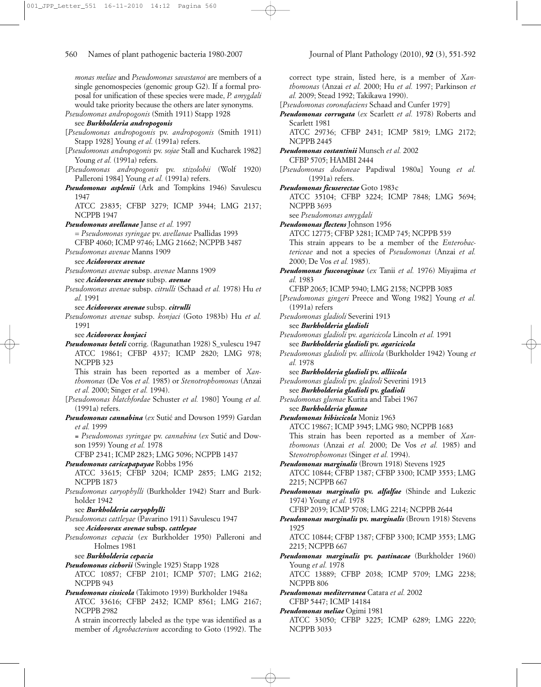*monas meliae* and *Pseudomonas savastanoi* are members of a single genomospecies (genomic group G2). If a formal proposal for unification of these species were made, *P. amygdali* would take priority because the others are later synonyms. *Pseudomonas andropogonis* (Smith 1911) Stapp 1928 see *Burkholderia andropogonis* [*Pseudomonas andropogonis* pv. *andropogonis* (Smith 1911) Stapp 1928] Young *et al.* (1991a) refers. [*Pseudomonas andropogonis* pv. *sojae* Stall and Kucharek 1982] Young et al. (1991a) refers. [*Pseudomonas andropogonis* pv. *stizolobii* (Wolf 1920) Palleroni 1984] Young et al. (1991a) refers. *Pseudomonas asplenii* (Ark and Tompkins 1946) Savulescu 1947 ATCC 23835; CFBP 3279; ICMP 3944; LMG 2137; NCPPB 1947 *Pseudomonas avellanae* Janse *et al.* 1997 = *Pseudomonas syringae* pv. *avellanae* Psallidas 1993 CFBP 4060; ICMP 9746; LMG 21662; NCPPB 3487 *Pseudomonas avenae* Manns 1909 see *Acidovorax avenae Pseudomonas avenae* subsp. *avenae* Manns 1909 see *Acidovorax avenae* subsp. *avenae Pseudomonas avenae* subsp. *citrulli* (Schaad *et al.* 1978) Hu *et al.* 1991 see *Acidovorax avenae* subsp. *citrulli Pseudomonas avenae* subsp. *konjaci* (Goto 1983b) Hu *et al.* 1991 see *Acidovorax konjaci Pseudomonas beteli* corrig. (Ragunathan 1928) S\_vulescu 1947 ATCC 19861; CFBP 4337; ICMP 2820; LMG 978; NCPPB 323 This strain has been reported as a member of *Xanthomonas* (De Vos *et al.* 1985) or *Stenotrophomonas* (Anzai *et al.* 2000; Singer *et al.* 1994). [*Pseudomonas blatchfordae* Schuster *et al.* 1980] Young *et al.* (1991a) refers. *Pseudomonas cannabina* (*ex Sutic* and Dowson 1959) Gardan *et al.* 1999 *= Pseudomonas syringae* pv. *cannabina* (*ex* Sutic´ and Dowson 1959) Young *et al.* 1978 CFBP 2341; ICMP 2823; LMG 5096; NCPPB 1437 *Pseudomonas caricapapayae* Robbs 1956 ATCC 33615; CFBP 3204; ICMP 2855; LMG 2152; NCPPB 1873 *Pseudomonas caryophylli* (Burkholder 1942) Starr and Burkholder 1942 see *Burkholderia caryophylli Pseudomonas cattleyae* (Pavarino 1911) Savulescu 1947 see *Acidovorax avenae* **subsp.** *cattleyae Pseudomonas cepacia* (*ex* Burkholder 1950) Palleroni and Holmes 1981 see *Burkholderia cepacia Pseudomonas cichorii* (Swingle 1925) Stapp 1928 ATCC 10857; CFBP 2101; ICMP 5707; LMG 2162; NCPPB 943 *Pseudomonas cissicola* (Takimoto 1939) Burkholder 1948a ATCC 33616; CFBP 2432; ICMP 8561; LMG 2167; NCPPB 2982

A strain incorrectly labeled as the type was identified as a member of *Agrobacterium* according to Goto (1992). The correct type strain, listed here, is a member of *Xanthomonas* (Anzai *et al.* 2000; Hu *et al.* 1997; Parkinson *et al.* 2009; Stead 1992; Takikawa 1990).

[*Pseudomonas coronafaciens* Schaad and Cunfer 1979]

*Pseudomonas corrugata* (*ex* Scarlett *et al.* 1978) Roberts and Scarlett 1981

ATCC 29736; CFBP 2431; ICMP 5819; LMG 2172; NCPPB 2445

- *Pseudomonas costantinii* Munsch *et al.* 2002 CFBP 5705; HAMBI 2444
- [*Pseudomonas dodoneae* Papdiwal 1980a] Young *et al.* (1991a) refers.
- *Pseudomonas ficuserectae* Goto 1983c

ATCC 35104; CFBP 3224; ICMP 7848; LMG 5694; NCPPB 3693

see *Pseudomonas amygdali*

*Pseudomonas flectens* Johnson 1956

ATCC 12775; CFBP 3281; ICMP 745; NCPPB 539 This strain appears to be a member of the *Enterobactericeae* and not a species of *Pseudomonas* (Anzai *et al.* 2000; De Vos *et al.* 1985).

- *Pseudomonas fuscovaginae* (*ex* Tanii *et al.* 1976) Miyajima *et al.* 1983
	- CFBP 2065; ICMP 5940; LMG 2158; NCPPB 3085
- [*Pseudomonas gingeri* Preece and Wong 1982] Young *et al.* (1991a) refers
- *Pseudomonas gladioli* Severini 1913
- see *Burkholderia gladioli*
- *Pseudomonas gladioli* pv. *agaricicola* Lincoln *et al.* 1991 see *Burkholderia gladioli* **pv.** *agaricicola*
- *Pseudomonas gladioli* pv. *alliicola* (Burkholder 1942) Young *et al.* 1978

see *Burkholderia gladioli* **pv.** *alliicola*

- *Pseudomonas gladioli* pv. *gladioli* Severini 1913 see *Burkholderia gladioli* **pv.** *gladioli*
- *Pseudomonas glumae* Kurita and Tabei 1967 see *Burkholderia glumae*

*Pseudomonas hibiscicola* Moniz 1963

ATCC 19867; ICMP 3945; LMG 980; NCPPB 1683 This strain has been reported as a member of *Xan-*

*thomonas* (Anzai *et al.* 2000; De Vos *et al.* 1985) and S*tenotrophomonas* (Singer *et al.* 1994).

- *Pseudomonas marginalis* (Brown 1918) Stevens 1925 ATCC 10844; CFBP 1387; CFBP 3300; ICMP 3553; LMG 2215; NCPPB 667
- *Pseudomonas marginalis* **pv.** *alfalfae* (Shinde and Lukezic 1974) Young *et al.* 1978

CFBP 2039; ICMP 5708; LMG 2214; NCPPB 2644

*Pseudomonas marginalis* **pv.** *marginalis* (Brown 1918) Stevens 1925

ATCC 10844; CFBP 1387; CFBP 3300; ICMP 3553; LMG 2215; NCPPB 667

*Pseudomonas marginalis* **pv.** *pastinacae* (Burkholder 1960) Young *et al.* 1978

ATCC 13889; CFBP 2038; ICMP 5709; LMG 2238; NCPPB 806

- *Pseudomonas mediterranea* Catara *et al.* 2002 CFBP 5447; ICMP 14184
- *Pseudomonas meliae* Ogimi 1981

ATCC 33050; CFBP 3225; ICMP 6289; LMG 2220; NCPPB 3033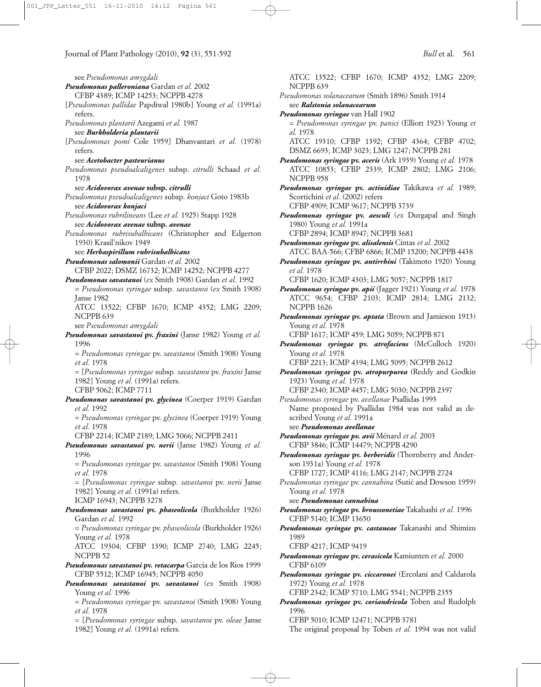see *Pseudomonas amygdali Pseudomonas palleroniana* Gardan *et al.* 2002 CFBP 4389; ICMP 14253; NCPPB 4278 [*Pseudomonas pallidae* Papdiwal 1980b] Young *et al.* (1991a) refers. *Pseudomonas plantarii* Azegami *et al.* 1987 see *Burkholderia plantarii* [*Pseudomonas pomi* Cole 1959] Dhanvantari *et al.* (1978) refers. see *Acetobacter pasteurianus Pseudomonas pseudoalcaligenes* subsp. *citrulli* Schaad *et al.* 1978 see *Acidovorax avenae* **subsp.** *citrulli Pseudomonas pseudoalcaligenes* subsp. *konjaci* Goto 1983b see *Acidovorax konjaci Pseudomonas rubrilineans* (Lee *et al.* 1925) Stapp 1928 see *Acidovorax avenae* **subsp.** *avenae Pseudomonas rubrisubalbicans* (Christopher and Edgerton 1930) Krasil'nikov 1949 see *Herbaspirillum rubrisubalbicans Pseudomonas salomonii* Gardan *et al.* 2002 CFBP 2022; DSMZ 16732; ICMP 14252; NCPPB 4277 *Pseudomonas savastanoi* (*ex* Smith 1908) Gardan *et al.* 1992 = *Pseudomonas syringae* subsp. *savastanoi* (*ex* Smith 1908) Janse 1982 ATCC 13522; CFBP 1670; ICMP 4352; LMG 2209; NCPPB 639 see *Pseudomonas amygdali Pseudomonas savastanoi* **pv.** *fraxini* (Janse 1982) Young *et al.* 1996 = *Pseudomonas syringae* pv. *savastanoi* (Smith 1908) Young *et al.* 1978 *=* [*Pseudomonas syringae* subsp*. savastanoi* pv. *fraxini* Janse 1982] Young *et al.* (1991a) refers. CFBP 5062; ICMP 7711 *Pseudomonas savastanoi* **pv.** *glycinea* (Coerper 1919) Gardan *et al.* 1992 = *Pseudomonas syringae* pv. *glycinea* (Coerper 1919) Young *et al.* 1978 CFBP 2214; ICMP 2189; LMG 5066; NCPPB 2411 *Pseudomonas savastanoi* **pv.** *nerii* (Janse 1982) Young *et al.* 1996 = *Pseudomonas syringae* pv. *savastanoi* (Smith 1908) Young *et al.* 1978 = [*Pseudomonas syringae* subsp*. savastanoi* pv. *nerii* Janse 1982] Young *et al.* (1991a) refers. ICMP 16943; NCPPB 3278 *Pseudomonas savastanoi* **pv.** *phaseolicola* (Burkholder 1926) Gardan *et al.* 1992 = *Pseudomonas syringae* pv. *phaseolicola* (Burkholder 1926) Young *et al.* 1978 ATCC 19304; CFBP 1390; ICMP 2740; LMG 2245; NCPPB 52 *Pseudomonas savastanoi* **pv.** *retacarpa* Garcia de los Rios 1999 CFBP 5512; ICMP 16945; NCPPB 4050 *Pseudomonas savastanoi* **pv.** *savastanoi* (*ex* Smith 1908) Young *et al.* 1996 = *Pseudomonas syringae* pv. *savastanoi* (Smith 1908) Young *et al.* 1978

= [*Pseudomonas syringae* subsp. *savastanoi* pv. *oleae* Janse 1982] Young *et al.* (1991a) refers.

ATCC 13522; CFBP 1670; ICMP 4352; LMG 2209; NCPPB 639 *Pseudomonas solanacearum* (Smith 1896) Smith 1914 see *Ralstonia solanacearum Pseudomonas syringae* van Hall 1902 = *Pseudomonas syringae* pv. *panici* (Elliott 1923) Young *et al.* 1978 ATCC 19310; CFBP 1392; CFBP 4364; CFBP 4702; DSMZ 6693; ICMP 3023; LMG 1247; NCPPB 281 *Pseudomonas syringae* **pv.** *aceris* (Ark 1939) Young *et al.* 1978 ATCC 10853; CFBP 2339; ICMP 2802; LMG 2106; NCPPB 958 *Pseudomonas syringae* **pv.** *actinidiae* Takikawa *et al.* 1989; Scortichini *et al*. (2002) refers CFBP 4909; ICMP 9617; NCPPB 3739 *Pseudomonas syringae* **pv.** *aesculi* (*ex* Durgapal and Singh 1980) Young *et al.* 1991a CFBP 2894; ICMP 8947; NCPPB 3681 *Pseudomonas syringae* **pv.** *alisalensis* Cintas *et al.* 2002 ATCC BAA-566; CFBP 6866; ICMP 15200; NCPPB 4438 *Pseudomonas syringae* **pv.** *antirrhini* (Takimoto 1920) Young *et al.* 1978 CFBP 1620; ICMP 4303; LMG 5057; NCPPB 1817 *Pseudomonas syringae* **pv.** *apii* (Jagger 1921) Young *et al.* 1978 ATCC 9654; CFBP 2103; ICMP 2814; LMG 2132; NCPPB 1626 *Pseudomonas syringae* **pv.** *aptata* (Brown and Jamieson 1913) Young *et al.* 1978 CFBP 1617; ICMP 459; LMG 5059; NCPPB 871 *Pseudomonas syringae* **pv.** *atrofaciens* (McCulloch 1920) Young *et al.* 1978 CFBP 2213; ICMP 4394; LMG 5095; NCPPB 2612 *Pseudomonas syringae* **pv.** *atropurpurea* (Reddy and Godkin 1923) Young *et al.* 1978 CFBP 2340; ICMP 4457; LMG 5030; NCPPB 2397 *Pseudomonas syringae* pv. *avellanae* Psallidas 1993 Name proposed by Psallidas 1984 was not valid as described Young *et al.* 1991a see *Pseudomonas avellanae Pseudomonas syringae pv. avii* Ménard *et al.* 2003 CFBP 3846; ICMP 14479; NCPPB 4290 *Pseudomonas syringae* **pv.** *berberidis* (Thornberry and Anderson 1931a) Young *et al.* 1978 CFBP 1727; ICMP 4116; LMG 2147; NCPPB 2724 *Pseudomonas syringae* pv. *cannabina* (Sutic´ and Dowson 1959) Young *et al.* 1978 see *Pseudomonas cannabina Pseudomonas syringae* **pv.** *broussonetiae* Takahashi *et al.* 1996 CFBP 5140; ICMP 13650 *Pseudomonas syringae* **pv.** *castaneae* Takanashi and Shimizu 1989 CFBP 4217; ICMP 9419 *Pseudomonas syringae* **pv.** *cerasicola* Kamiunten *et al.* 2000 CFBP 6109 *Pseudomonas syringae* **pv.** *ciccaronei* (Ercolani and Caldarola 1972) Young *et al.* 1978 CFBP 2342; ICMP 5710; LMG 5541; NCPPB 2355 *Pseudomonas syringae* **pv.** *coriandricola* Toben and Rudolph 1996 CFBP 5010; ICMP 12471; NCPPB 3781

The original proposal by Toben *et al.* 1994 was not valid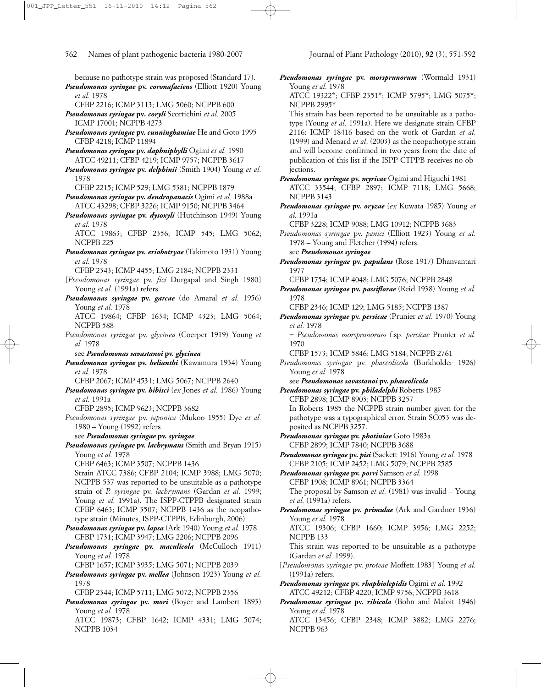because no pathotype strain was proposed (Standard 17). *Pseudomonas syringae* **pv.** *coronafaciens* (Elliott 1920) Young *et al.* 1978 CFBP 2216; ICMP 3113; LMG 5060; NCPPB 600 *Pseudomonas syringae* **pv***. coryli* Scortichini *et al.* 2005 ICMP 17001; NCPPB 4273 *Pseudomonas syringae* **pv.** *cunninghamiae* He and Goto 1995 CFBP 4218; ICMP 11894 *Pseudomonas syringae* **pv.** *daphniphylli* Ogimi *et al.* 1990 ATCC 49211; CFBP 4219; ICMP 9757; NCPPB 3617 *Pseudomonas syringae* **pv.** *delphinii* (Smith 1904) Young *et al.* 1978 CFBP 2215; ICMP 529; LMG 5381; NCPPB 1879 *Pseudomonas syringae* **pv.** *dendropanacis* Ogimi *et al.* 1988a ATCC 43298; CFBP 3226; ICMP 9150; NCPPB 3464 *Pseudomonas syringae* **pv.** *dysoxyli* (Hutchinson 1949) Young *et al.* 1978 ATCC 19863; CFBP 2356; ICMP 545; LMG 5062; NCPPB 225 *Pseudomonas syringae* **pv.** *eriobotryae* (Takimoto 1931) Young *et al.* 1978 CFBP 2343; ICMP 4455; LMG 2184; NCPPB 2331 [*Pseudomonas syringae* pv. *fici* Durgapal and Singh 1980] Young et al. (1991a) refers. *Pseudomonas syringae* **pv.** *garcae* (do Amaral *et al.* 1956) Young *et al.* 1978 ATCC 19864; CFBP 1634; ICMP 4323; LMG 5064; NCPPB 588 *Pseudomonas syringae* pv. *glycinea* (Coerper 1919) Young *et al.* 1978 see *Pseudomonas savastanoi* **pv.** *glycinea Pseudomonas syringae* **pv.** *helianthi* (Kawamura 1934) Young *et al.* 1978 CFBP 2067; ICMP 4531; LMG 5067; NCPPB 2640 *Pseudomonas syringae* **pv.** *hibisci* (*ex* Jones *et al.* 1986) Young *et al.* 1991a CFBP 2895; ICMP 9623; NCPPB 3682 *Pseudomonas syringae* pv. *japonica* (Mukoo 1955) Dye *et al.* 1980 – Young (1992) refers see *Pseudomonas syringae* **pv.** *syringae Pseudomonas syringae* **pv.** *lachrymans* (Smith and Bryan 1915) Young *et al.* 1978 CFBP 6463; ICMP 3507; NCPPB 1436 Strain ATCC 7386; CFBP 2104; ICMP 3988; LMG 5070; NCPPB 537 was reported to be unsuitable as a pathotype strain of *P. syringae* pv. *lachrymans* (Gardan *et al.* 1999; Young et al. 1991a). The ISPP-CTPPB designated strain CFBP 6463; ICMP 3507; NCPPB 1436 as the neopathotype strain (Minutes, ISPP-CTPPB, Edinburgh, 2006) *Pseudomonas syringae* **pv.** *lapsa* (Ark 1940) Young *et al.* 1978 CFBP 1731; ICMP 3947; LMG 2206; NCPPB 2096 *Pseudomonas syringae* **pv.** *maculicola* (McCulloch 1911) Young *et al.* 1978 CFBP 1657; ICMP 3935; LMG 5071; NCPPB 2039 *Pseudomonas syringae* **pv.** *mellea* (Johnson 1923) Young *et al.*

1978

CFBP 2344; ICMP 5711; LMG 5072; NCPPB 2356

NCPPB 1034

*Pseudomonas syringae* **pv.** *mori* (Boyer and Lambert 1893) Young *et al.* 1978 ATCC 19873; CFBP 1642; ICMP 4331; LMG 5074;

*Pseudomonas syringae* **pv.** *morsprunorum* (Wormald 1931) Young *et al.* 1978

ATCC 19322\*; CFBP 2351\*; ICMP 5795\*; LMG 5075\*; NCPPB 2995\*

This strain has been reported to be unsuitable as a pathotype (Young *et al.* 1991a). Here we designate strain CFBP 2116: ICMP 18416 based on the work of Gardan *et al*. (1999) and Menard *et al*. (2003) as the neopathotype strain and will become confirmed in two years from the date of publication of this list if the ISPP-CTPPB receives no objections.

*Pseudomonas syringae* **pv.** *myricae* Ogimi and Higuchi 1981 ATCC 33544; CFBP 2897; ICMP 7118; LMG 5668; NCPPB 3143

*Pseudomonas syringae* **pv.** *oryzae* (*ex* Kuwata 1985) Young *et al.* 1991a

CFBP 3228; ICMP 9088; LMG 10912; NCPPB 3683

*Pseudomonas syringae* pv. *panici* (Elliott 1923) Young *et al.* 1978 – Young and Fletcher (1994) refers. see *Pseudomonas syringae*

*Pseudomonas syringae* **pv.** *papulans* (Rose 1917) Dhanvantari 1977

CFBP 1754; ICMP 4048; LMG 5076; NCPPB 2848

*Pseudomonas syringae* **pv.** *passiflorae* (Reid 1938) Young *et al.* 1978

CFBP 2346; ICMP 129; LMG 5185; NCPPB 1387

*Pseudomonas syringae* **pv.** *persicae* (Prunier *et al.* 1970) Young *et al.* 1978

= *Pseudomonas morsprunorum* f.sp. *persicae* Prunier *et al.* 1970

CFBP 1573; ICMP 5846; LMG 5184; NCPPB 2761

*Pseudomonas syringae* pv. *phaseolicola* (Burkholder 1926) Young *et al.* 1978

see *Pseudomonas savastanoi* **pv.** *phaseolicola Pseudomonas syringae* **pv.** *philadelphi* Roberts 1985

CFBP 2898; ICMP 8903; NCPPB 3257 In Roberts 1985 the NCPPB strain number given for the pathotype was a typographical error. Strain SC053 was deposited as NCPPB 3257.

*Pseudomonas syringae* **pv.** *photiniae* Goto 1983a CFBP 2899; ICMP 7840; NCPPB 3688

*Pseudomonas syringae* **pv.** *pisi* (Sackett 1916) Young *et al.* 1978 CFBP 2105; ICMP 2452; LMG 5079; NCPPB 2585

- *Pseudomonas syringae* **pv.** *porri* Samson *et al.* 1998 CFBP 1908; ICMP 8961; NCPPB 3364 The proposal by Samson *et al.* (1981) was invalid – Young *et al.* (1991a) refers.
- *Pseudomonas syringae* **pv.** *primulae* (Ark and Gardner 1936) Young *et al.* 1978

ATCC 19306; CFBP 1660; ICMP 3956; LMG 2252; NCPPB 133

This strain was reported to be unsuitable as a pathotype (Gardan *et al.* 1999).

[*Pseudomonas syringae* pv. *proteae* Moffett 1983] Young *et al.* (1991a) refers.

*Pseudomonas syringae* **pv.** *rhaphiolepidis* Ogimi *et al.* 1992 ATCC 49212; CFBP 4220; ICMP 9756; NCPPB 3618

*Pseudomonas syringae* **pv.** *ribicola* (Bohn and Maloit 1946) Young *et al.* 1978

ATCC 13456; CFBP 2348; ICMP 3882; LMG 2276; NCPPB 963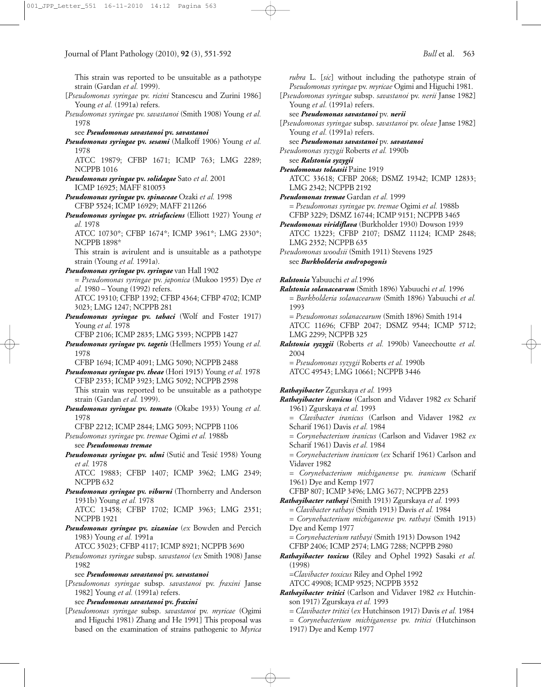This strain was reported to be unsuitable as a pathotype strain (Gardan *et al.* 1999).

- [*Pseudomonas syringae* pv. *ricini* Stancescu and Zurini 1986] Young et al. (1991a) refers.
- *Pseudomonas syringae* pv. *savastanoi* (Smith 1908) Young *et al.* 1978

### see *Pseudomonas savastanoi* **pv.** *savastanoi*

*Pseudomonas syringae* **pv.** *sesami* (Malkoff 1906) Young *et al.* 1978

ATCC 19879; CFBP 1671; ICMP 763; LMG 2289; NCPPB 1016

- *Pseudomonas syringae* **pv.** *solidagae* Sato *et al.* 2001 ICMP 16925; MAFF 810053
- *Pseudomonas syringae* **pv.** *spinaceae* Ozaki *et al.* 1998 CFBP 5524; ICMP 16929; MAFF 211266
- *Pseudomonas syringae* **pv.** *striafaciens* (Elliott 1927) Young *et al.* 1978

ATCC 10730\*; CFBP 1674\*; ICMP 3961\*; LMG 2330\*; NCPPB 1898\*

This strain is avirulent and is unsuitable as a pathotype strain (Young *et al.* 1991a).

*Pseudomonas syringae* **pv.** *syringae* van Hall 1902

= *Pseudomonas syringae* pv. *japonica* (Mukoo 1955) Dye *et al.* 1980 – Young (1992) refers.

ATCC 19310; CFBP 1392; CFBP 4364; CFBP 4702; ICMP 3023; LMG 1247; NCPPB 281

*Pseudomonas syringae* **pv.** *tabaci* (Wolf and Foster 1917) Young *et al.* 1978

CFBP 2106; ICMP 2835; LMG 5393; NCPPB 1427

*Pseudomonas syringae* **pv.** *tagetis* (Hellmers 1955) Young *et al.* 1978

CFBP 1694; ICMP 4091; LMG 5090; NCPPB 2488

- *Pseudomonas syringae* **pv.** *theae* (Hori 1915) Young *et al.* 1978 CFBP 2353; ICMP 3923; LMG 5092; NCPPB 2598 This strain was reported to be unsuitable as a pathotype strain (Gardan *et al.* 1999).
- *Pseudomonas syringae* **pv.** *tomato* (Okabe 1933) Young *et al.* 1978

CFBP 2212; ICMP 2844; LMG 5093; NCPPB 1106 *Pseudomonas syringae* pv. *tremae* Ogimi *et al.* 1988b

see *Pseudomonas tremae*

*Pseudomonas syringae* pv. *ulmi* (Sutic´ and Tesic´ 1958) Young *et al.* 1978

ATCC 19883; CFBP 1407; ICMP 3962; LMG 2349; NCPPB 632

*Pseudomonas syringae* **pv.** *viburni* (Thornberry and Anderson 1931b) Young *et al.* 1978

ATCC 13458; CFBP 1702; ICMP 3963; LMG 2351; NCPPB 1921

*Pseudomonas syringae* **pv.** *zizaniae* (*ex* Bowden and Percich 1983) Young *et al.* 1991a

ATCC 35023; CFBP 4117; ICMP 8921; NCPPB 3690

*Pseudomonas syringae* subsp. *savastanoi* (*ex* Smith 1908) Janse 1982

see *Pseudomonas savastanoi* **pv.** *savastanoi*

[*Pseudomonas syringae* subsp. *savastanoi* pv. *fraxini* Janse 1982] Young *et al.* (1991a) refers.

see *Pseudomonas savastanoi* **pv.** *fraxini*

[*Pseudomonas syringae* subsp. *savastanoi* pv. *myricae* (Ogimi and Higuchi 1981) Zhang and He 1991] This proposal was based on the examination of strains pathogenic to *Myrica*

*rubra* L. [*sic*] without including the pathotype strain of *Pseudomonas syringae* pv. *myricae* Ogimi and Higuchi 1981. [*Pseudomonas syringae* subsp. *savastanoi* pv. *nerii* Janse 1982]

- Young et al. (1991a) refers. see *Pseudomonas savastanoi* pv. *nerii*
- [*Pseudomonas syringae* subsp. *savastanoi* pv. *oleae* Janse 1982] Young *et al.* (1991a) refers.
- see *Pseudomonas savastanoi* pv. *savastanoi*
- *Pseudomonas syzygii* Roberts *et al.* 1990b

see *Ralstonia syzygii*

- *Pseudomonas tolaasii* Paine 1919 ATCC 33618; CFBP 2068; DSMZ 19342; ICMP 12833; LMG 2342; NCPPB 2192
- *Pseudomonas tremae* Gardan *et al.* 1999 = *Pseudomonas syringae* pv. *tremae* Ogimi *et al.* 1988b
- CFBP 3229; DSMZ 16744; ICMP 9151; NCPPB 3465 *Pseudomonas viridiflava* (Burkholder 1930) Dowson 1939 ATCC 13223; CFBP 2107; DSMZ 11124; ICMP 2848; LMG 2352; NCPPB 635

*Pseudomonas woodsii* (Smith 1911) Stevens 1925 see *Burkholderia andropogonis* 

*Ralstonia* Yabuuchi *et al.*1996

*Ralstonia solanacearum* (Smith 1896) Yabuuchi *et al.* 1996 = *Burkholderia solanacearum* (Smith 1896) Yabuuchi *et al.* 1993

= *Pseudomonas solanacearum* (Smith 1896) Smith 1914 ATCC 11696; CFBP 2047; DSMZ 9544; ICMP 5712; LMG 2299; NCPPB 325

*Ralstonia syzygii* (Roberts *et al.* 1990b) Vaneechoutte *et al.* 2004

= *Pseudomonas syzygii* Roberts *et al.* 1990b ATCC 49543; LMG 10661; NCPPB 3446

*Rathayibacter* Zgurskaya *et al.* 1993

*Rathayibacter iranicus* (Carlson and Vidaver 1982 *ex* Scharif 1961) Zgurskaya *et al.* 1993

- = *Clavibacter iranicus* (Carlson and Vidaver 1982 *ex* Scharif 1961) Davis *et al.* 1984
- = *Corynebacterium iranicus* (Carlson and Vidaver 1982 *ex* Scharif 1961) Davis *et al.* 1984
- = *Corynebacterium iranicum* (*ex* Scharif 1961) Carlson and Vidaver 1982
- = *Corynebacterium michiganense* pv. *iranicum* (Scharif 1961) Dye and Kemp 1977
- CFBP 807; ICMP 3496; LMG 3677; NCPPB 2253
- *Rathayibacter rathayi* (Smith 1913) Zgurskaya *et al.* 1993

= *Clavibacter rathayi* (Smith 1913) Davis *et al.* 1984

- = *Corynebacterium michiganense* pv. *rathayi* (Smith 1913) Dye and Kemp 1977
- = *Corynebacterium rathayi* (Smith 1913) Dowson 1942 CFBP 2406; ICMP 2574; LMG 7288; NCPPB 2980
- *Rathayibacter toxicus* **(**Riley and Ophel 1992**)** Sasaki *et al.* (1998)
	- =*Clavibacter toxicus* Riley and Ophel 1992

ATCC 49908; ICMP 9525; NCPPB 3552

- *Rathayibacter tritici* (Carlson and Vidaver 1982 *ex* Hutchinson 1917) Zgurskaya *et al.* 1993
	- = *Clavibacter tritici* (*ex* Hutchinson 1917) Davis *et al.* 1984
	- = *Corynebacterium michiganense* pv. *tritici* (Hutchinson 1917) Dye and Kemp 1977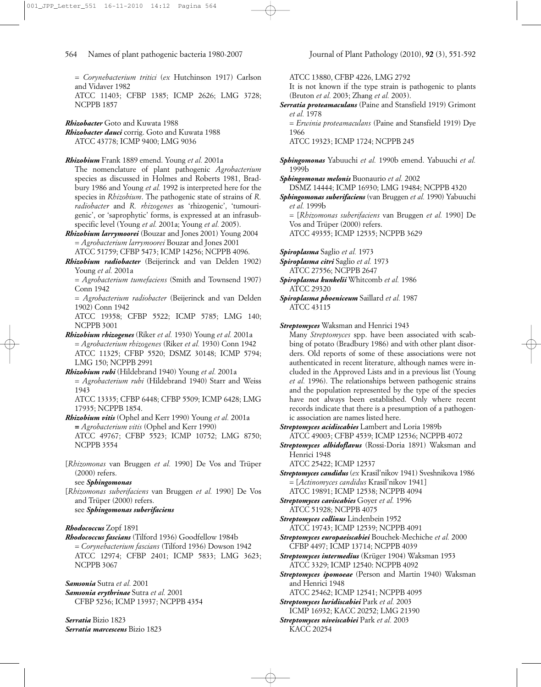= *Corynebacterium tritici* (*ex* Hutchinson 1917) Carlson and Vidaver 1982

ATCC 11403; CFBP 1385; ICMP 2626; LMG 3728; NCPPB 1857

*Rhizobacter* Goto and Kuwata 1988 *Rhizobacter dauci* corrig. Goto and Kuwata 1988 ATCC 43778; ICMP 9400; LMG 9036

*Rhizobium* Frank 1889 emend. Young *et al.* 2001a

The nomenclature of plant pathogenic *Agrobacterium* species as discussed in Holmes and Roberts 1981, Bradbury 1986 and Young *et al.* 1992 is interpreted here for the species in *Rhizobium*. The pathogenic state of strains of *R. radiobacter* and *R. rhizogenes* as 'rhizogenic', 'tumourigenic', or 'saprophytic' forms, is expressed at an infrasubspecific level (Young *et al.* 2001a; Young *et al.* 2005).

*Rhizobium larrymoorei* (Bouzar and Jones 2001) Young 2004 = *Agrobacterium larrymoorei* Bouzar and Jones 2001 ATCC 51759; CFBP 5473; ICMP 14256; NCPPB 4096.

*Rhizobium radiobacter* (Beijerinck and van Delden 1902) Young *et al.* 2001a

= *Agrobacterium tumefaciens* (Smith and Townsend 1907) Conn 1942

= *Agrobacterium radiobacter* (Beijerinck and van Delden 1902) Conn 1942

ATCC 19358; CFBP 5522; ICMP 5785; LMG 140; NCPPB 3001

- *Rhizobium rhizogenes* (Riker *et al.* 1930) Young *et al.* 2001a = *Agrobacterium rhizogenes* (Riker *et al.* 1930) Conn 1942 ATCC 11325; CFBP 5520; DSMZ 30148; ICMP 5794; LMG 150; NCPPB 2991
- *Rhizobium rubi* (Hildebrand 1940) Young *et al.* 2001a = *Agrobacterium rubi* (Hildebrand 1940) Starr and Weiss 1943

ATCC 13335; CFBP 6448; CFBP 5509; ICMP 6428; LMG 17935; NCPPB 1854.

*Rhizobium vitis* (Ophel and Kerr 1990) Young *et al.* 2001a **=** *Agrobacterium vitis* (Ophel and Kerr 1990) ATCC 49767; CFBP 5523; ICMP 10752; LMG 8750; NCPPB 3554

[*Rhizomonas* van Bruggen *et al.* 1990] De Vos and Trüper (2000) refers.

see *Sphingomonas*

[*Rhizomonas suberifaciens* van Bruggen *et al.* 1990] De Vos and Trüper (2000) refers. see *Sphingomonas suberifaciens*

# *Rhodococcus* Zopf 1891

*Rhodococcus fascians* (Tilford 1936) Goodfellow 1984b = *Corynebacterium fascians* (Tilford 1936) Dowson 1942 ATCC 12974; CFBP 2401; ICMP 5833; LMG 3623; NCPPB 3067

*Samsonia* Sutra *et al.* 2001

*Samsonia erythrinae* Sutra *et al.* 2001 CFBP 5236; ICMP 13937; NCPPB 4354

*Serratia* Bizio 1823 *Serratia marcescens* Bizio 1823 ATCC 13880, CFBP 4226, LMG 2792

It is not known if the type strain is pathogenic to plants (Bruton *et al.* 2003; Zhang *et al.* 2003).

*Serratia proteamaculans* (Paine and Stansfield 1919) Grimont *et al.* 1978

= *Erwinia proteamaculans* (Paine and Stansfield 1919) Dye 1966

ATCC 19323; ICMP 1724; NCPPB 245

*Sphingomonas* Yabuuchi *et al.* 1990b emend. Yabuuchi *et al.* 1999b

*Sphingomonas melonis* Buonaurio *et al.* 2002

DSMZ 14444; ICMP 16930; LMG 19484; NCPPB 4320

*Sphingomonas suberifaciens* (van Bruggen *et al.* 1990) Yabuuchi *et al.* 1999b

= [*Rhizomonas suberifaciens* van Bruggen *et al.* 1990] De Vos and Trüper (2000) refers.

ATCC 49355; ICMP 12535; NCPPB 3629

*Spiroplasma* Saglio *et al.* 1973

*Spiroplasma citri* Saglio *et al.* 1973

ATCC 27556; NCPPB 2647

*Spiroplasma kunkelii* Whitcomb *et al.* 1986 ATCC 29320

*Spiroplasma phoeniceum* Saillard *et al.* 1987 ATCC 43115

*Streptomyces* Waksman and Henrici 1943

Many *Streptomyces* spp. have been associated with scabbing of potato (Bradbury 1986) and with other plant disorders. Old reports of some of these associations were not authenticated in recent literature, although names were included in the Approved Lists and in a previous list (Young *et al.* 1996). The relationships between pathogenic strains and the population represented by the type of the species have not always been established. Only where recent records indicate that there is a presumption of a pathogenic association are names listed here.

*Streptomyces acidiscabies* Lambert and Loria 1989b ATCC 49003; CFBP 4539; ICMP 12536; NCPPB 4072

*Streptomyces albidoflavus* (Rossi-Doria 1891) Waksman and Henrici 1948

ATCC 25422; ICMP 12537

*Streptomyces candidus* (*ex* Krasil'nikov 1941) Sveshnikova 1986 = [*Actinomyces candidus* Krasil'nikov 1941]

ATCC 19891; ICMP 12538; NCPPB 4094

*Streptomyces caviscabies* Goyer *et al.* 1996 ATCC 51928; NCPPB 4075

*Streptomyces collinus* Lindenbein 1952 ATCC 19743; ICMP 12539; NCPPB 4091

- *Streptomyces europaeiscabiei* Bouchek-Mechiche *et al.* 2000 CFBP 4497; ICMP 13714; NCPPB 4039
- *Streptomyces intermedius* (Krüger 1904) Waksman 1953 ATCC 3329; ICMP 12540: NCPPB 4092
- *Streptomyces ipomoeae* (Person and Martin 1940) Waksman and Henrici 1948
	- ATCC 25462; ICMP 12541; NCPPB 4095

*Streptomyces luridiscabiei* Park *et al.* 2003 ICMP 16932; KACC 20252; LMG 21390

*Streptomyces niveiscabiei* Park *et al.* 2003 KACC 20254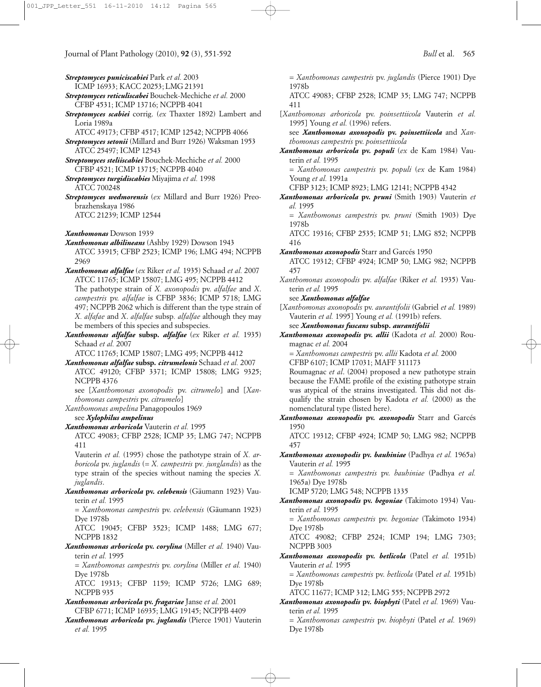- *Streptomyces puniciscabiei* Park *et al.* 2003
- ICMP 16933; KACC 20253; LMG 21391
- *Streptomyces reticuliscabei* Bouchek-Mechiche *et al.* 2000 CFBP 4531; ICMP 13716; NCPPB 4041
- *Streptomyces scabiei* corrig. (*ex* Thaxter 1892) Lambert and Loria 1989a
	- ATCC 49173; CFBP 4517; ICMP 12542; NCPPB 4066
- *Streptomyces setonii* (Millard and Burr 1926) Waksman 1953 ATCC 25497; ICMP 12543
- *Streptomyces steliiscabiei* Bouchek-Mechiche *et al.* 2000 CFBP 4521; ICMP 13715; NCPPB 4040
- *Streptomyces turgidiscabies* Miyajima *et al.* 1998 ATCC 700248
- *Streptomyces wedmorensis* (*ex* Millard and Burr 1926) Preobrazhenskaya 1986 ATCC 21239; ICMP 12544
- *Xanthomonas* Dowson 1939
- *Xanthomonas albilineans* (Ashby 1929) Dowson 1943 ATCC 33915; CFBP 2523; ICMP 196; LMG 494; NCPPB 2969
- *Xanthomonas alfalfae* (*ex* Riker *et al.* 1935) Schaad *et al.* 2007 ATCC 11765; ICMP 15807; LMG 495; NCPPB 4412 The pathotype strain of *X. axonopodis* pv. *alfalfae* and *X*. *campestris* pv. *alfalfae* is CFBP 3836; ICMP 5718; LMG 497; NCPPB 2062 which is different than the type strain of *X. alfafae* and *X*. *alfalfae* subsp*. alfalfae* although they may be members of this species and subspecies.
- *Xanthomonas alfalfae* **subsp***. alfalfae* (*ex* Riker *et al.* 1935) Schaad *et al.* 2007

ATCC 11765; ICMP 15807; LMG 495; NCPPB 4412

- *Xanthomonas alfalfae* **subsp***. citrumelonis* Schaad *et al.* 2007 ATCC 49120; CFBP 3371; ICMP 15808; LMG 9325; NCPPB 4376
	- see [*Xanthomonas axonopodis* pv. *citrumelo*] and [*Xanthomonas campestris* pv. *citrumelo*]
- *Xanthomonas ampelina* Panagopoulos 1969
	- see *Xylophilus ampelinus*
- *Xanthomonas arboricola* Vauterin *et al.* 1995
	- ATCC 49083; CFBP 2528; ICMP 35; LMG 747; NCPPB 411

Vauterin *et al.* (1995) chose the pathotype strain of *X. arboricola* pv. *juglandis* (= *X. campestris* pv*. junglandis*) as the type strain of the species without naming the species *X. juglandis*.

*Xanthomonas arboricola* **pv.** *celebensis* (Gäumann 1923) Vauterin *et al.* 1995

= *Xanthomonas campestris* pv. *celebensis* (Gäumann 1923) Dye 1978b

ATCC 19045; CFBP 3523; ICMP 1488; LMG 677; NCPPB 1832

*Xanthomonas arboricola* **pv.** *corylina* (Miller *et al.* 1940) Vauterin *et al.* 1995

= *Xanthomonas campestris* pv. *corylina* (Miller *et al.* 1940) Dye 1978b

- ATCC 19313; CFBP 1159; ICMP 5726; LMG 689; NCPPB 935
- *Xanthomonas arboricola* **pv.** *fragariae* Janse *et al.* 2001 CFBP 6771; ICMP 16935; LMG 19145; NCPPB 4409
- *Xanthomonas arboricola* **pv.** *juglandis* (Pierce 1901) Vauterin *et al.* 1995

= *Xanthomonas campestris* pv. *juglandis* (Pierce 1901) Dye 1978b

ATCC 49083; CFBP 2528; ICMP 35; LMG 747; NCPPB 411

[*Xanthomonas arboricola* pv. *poinsettiicola* Vauterin *et al.* 1995] Young *et al.* (1996) refers.

see *Xanthomonas axonopodis* **pv.** *poinsettiicola* and *Xanthomonas campestris* pv. *poinsettiicola*

*Xanthomonas arboricola* **pv.** *populi* (*ex* de Kam 1984) Vauterin *et al.* 1995

= *Xanthomonas campestris* pv. *populi* (*ex* de Kam 1984) Young *et al.* 1991a

- CFBP 3123; ICMP 8923; LMG 12141; NCPPB 4342
- *Xanthomonas arboricola* **pv.** *pruni* (Smith 1903) Vauterin *et al.* 1995
	- = *Xanthomonas campestris* pv. *pruni* (Smith 1903) Dye 1978b

ATCC 19316; CFBP 2535; ICMP 51; LMG 852; NCPPB 416

*Xanthomonas axonopodis* Starr and Garcés 1950

ATCC 19312; CFBP 4924; ICMP 50; LMG 982; NCPPB 457

*Xanthomonas axonopodis* pv. *alfalfae* (Riker *et al.* 1935) Vauterin *et al.* 1995

see *Xanthomonas alfalfae*

- [*Xanthomonas axonopodis* pv. *aurantifolii* (Gabriel *et al.* 1989) Vauterin *et al.* 1995] Young *et al.* (1991b) refers.
	- see *Xanthomonas fuscans* **subsp.** *aurantifolii*
- *Xanthomonas axonopodis* **pv.** *allii* (Kadota *et al.* 2000) Roumagnac *et al.* 2004

= *Xanthomonas campestris* pv. *allii* Kadota *et al.* 2000 CFBP 6107; ICMP 17031; MAFF 311173

Roumagnac *et al*. (2004) proposed a new pathotype strain because the FAME profile of the existing pathotype strain was atypical of the strains investigated. This did not disqualify the strain chosen by Kadota *et al.* (2000) as the nomenclatural type (listed here).

*Xanthomonas axonopodis* **pv.** *axonopodis* Starr and Garcés 1950

ATCC 19312; CFBP 4924; ICMP 50; LMG 982; NCPPB 457

*Xanthomonas axonopodis* **pv.** *bauhiniae* (Padhya *et al.* 1965a) Vauterin *et al.* 1995

= *Xanthomonas campestris* pv. *bauhiniae* (Padhya *et al.* 1965a) Dye 1978b

ICMP 5720; LMG 548; NCPPB 1335

*Xanthomonas axonopodis* **pv.** *begoniae* (Takimoto 1934) Vauterin *et al.* 1995

= *Xanthomonas campestris* pv. *begoniae* (Takimoto 1934) Dye 1978b

ATCC 49082; CFBP 2524; ICMP 194; LMG 7303; NCPPB 3003

*Xanthomonas axonopodis* **pv.** *betlicola* (Patel *et al.* 1951b) Vauterin *et al.* 1995

= *Xanthomonas campestris* pv. *betlicola* (Patel *et al.* 1951b) Dye 1978b

ATCC 11677; ICMP 312; LMG 555; NCPPB 2972

*Xanthomonas axonopodis* **pv.** *biophyti* (Patel *et al.* 1969) Vauterin *et al.* 1995

= *Xanthomonas campestris* pv. *biophyti* (Patel *et al.* 1969) Dye 1978b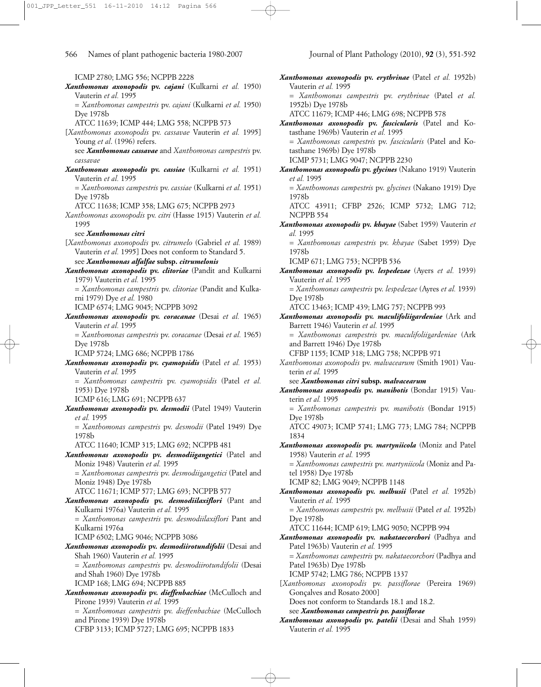ICMP 2780; LMG 556; NCPPB 2228 *Xanthomonas axonopodis* **pv.** *cajani* (Kulkarni *et al.* 1950) Vauterin *et al.* 1995 = *Xanthomonas campestris* pv. *cajani* (Kulkarni *et al.* 1950) Dye 1978b ATCC 11639; ICMP 444; LMG 558; NCPPB 573 [*Xanthomonas axonopodis* pv. *cassavae* Vauterin *et al.* 1995] Young *et al*. (1996) refers. see *Xanthomonas cassavae* and *Xanthomonas campestris* pv. *cassavae Xanthomonas axonopodis* **pv.** *cassiae* (Kulkarni *et al.* 1951) Vauterin *et al.* 1995 = *Xanthomonas campestris* pv. *cassiae* (Kulkarni *et al.* 1951) Dye 1978b ATCC 11638; ICMP 358; LMG 675; NCPPB 2973 *Xanthomonas axonopodis* pv. *citri* (Hasse 1915) Vauterin *et al.* 1995 see *Xanthomonas citri* [*Xanthomonas axonopodis* pv. *citrumelo* (Gabriel *et al.* 1989) Vauterin *et al.* 1995] Does not conform to Standard 5. see *Xanthomonas alfalfae* **subsp.** *citrumelonis Xanthomonas axonopodis* **pv.** *clitoriae* (Pandit and Kulkarni 1979) Vauterin *et al.* 1995 = *Xanthomonas campestris* pv. *clitoriae* (Pandit and Kulkarni 1979) Dye *et al.* 1980 ICMP 6574; LMG 9045; NCPPB 3092 *Xanthomonas axonopodis* **pv.** *coracanae* (Desai *et al.* 1965) Vauterin *et al.* 1995 = *Xanthomonas campestris* pv. *coracanae* (Desai *et al.* 1965) Dye 1978b ICMP 5724; LMG 686; NCPPB 1786 *Xanthomonas axonopodis* **pv.** *cyamopsidis* (Patel *et al.* 1953) Vauterin *et al.* 1995 = *Xanthomonas campestris* pv. *cyamopsidis* (Patel *et al.* 1953) Dye 1978b ICMP 616; LMG 691; NCPPB 637 *Xanthomonas axonopodis* **pv.** *desmodii* (Patel 1949) Vauterin *et al.* 1995 = *Xanthomonas campestris* pv. *desmodii* (Patel 1949) Dye 1978b ATCC 11640; ICMP 315; LMG 692; NCPPB 481 *Xanthomonas axonopodis* **pv.** *desmodiigangetici* (Patel and Moniz 1948) Vauterin *et al.* 1995 = *Xanthomonas campestris* pv. *desmodiigangetici* (Patel and Moniz 1948) Dye 1978b ATCC 11671; ICMP 577; LMG 693; NCPPB 577 *Xanthomonas axonopodis* **pv.** *desmodiilaxiflori* (Pant and Kulkarni 1976a) Vauterin *et al.* 1995 = *Xanthomonas campestris* pv. *desmodiilaxiflori* Pant and Kulkarni 1976a ICMP 6502; LMG 9046; NCPPB 3086 *Xanthomonas axonopodis* **pv.** *desmodiirotundifolii* (Desai and Shah 1960) Vauterin *et al.* 1995 = *Xanthomonas campestris* pv. *desmodiirotundifolii* (Desai and Shah 1960) Dye 1978b ICMP 168; LMG 694; NCPPB 885 *Xanthomonas axonopodis* **pv.** *dieffenbachiae* (McCulloch and Pirone 1939) Vauterin *et al.* 1995 = *Xanthomonas campestris* pv. *dieffenbachiae* (McCulloch and Pirone 1939) Dye 1978b CFBP 3133; ICMP 5727; LMG 695; NCPPB 1833

*Xanthomonas axonopodis* **pv.** *erythrinae* (Patel *et al.* 1952b) Vauterin *et al.* 1995 = *Xanthomonas campestris* pv. *erythrinae* (Patel *et al.* 1952b) Dye 1978b ATCC 11679; ICMP 446; LMG 698; NCPPB 578 *Xanthomonas axonopodis* **pv.** *fascicularis* (Patel and Kotasthane 1969b) Vauterin *et al.* 1995 = *Xanthomonas campestris* pv. *fascicularis* (Patel and Kotasthane 1969b) Dye 1978b ICMP 5731; LMG 9047; NCPPB 2230 *Xanthomonas axonopodis* **pv.** *glycines* (Nakano 1919) Vauterin *et al.* 1995 = *Xanthomonas campestris* pv. *glycines* (Nakano 1919) Dye 1978b ATCC 43911; CFBP 2526; ICMP 5732; LMG 712; NCPPB 554 *Xanthomonas axonopodis* **pv.** *khayae* (Sabet 1959) Vauterin *et al.* 1995 = *Xanthomonas campestris* pv. *khayae* (Sabet 1959) Dye 1978b ICMP 671; LMG 753; NCPPB 536 *Xanthomonas axonopodis* **pv.** *lespedezae* (Ayers *et al.* 1939) Vauterin *et al.* 1995 = *Xanthomonas campestris* pv. *lespedezae* (Ayres *et al.* 1939) Dye 1978b ATCC 13463; ICMP 439; LMG 757; NCPPB 993 *Xanthomonas axonopodis* **pv.** *maculifoliigardeniae* (Ark and Barrett 1946) Vauterin *et al.* 1995 = *Xanthomonas campestris* pv. *maculifoliigardeniae* (Ark and Barrett 1946) Dye 1978b CFBP 1155; ICMP 318; LMG 758; NCPPB 971 *Xanthomonas axonopodis* pv. *malvacearum* (Smith 1901) Vauterin *et al.* 1995 see *Xanthomonas citri* **subsp***. malvacearum Xanthomonas axonopodis* **pv.** *manihotis* (Bondar 1915) Vauterin *et al.* 1995 = *Xanthomonas campestris* pv. *manihotis* (Bondar 1915) Dye 1978b ATCC 49073; ICMP 5741; LMG 773; LMG 784; NCPPB 1834 *Xanthomonas axonopodis* **pv.** *martyniicola* (Moniz and Patel 1958) Vauterin *et al.* 1995 = *Xanthomonas campestris* pv. *martyniicola* (Moniz and Patel 1958) Dye 1978b ICMP 82; LMG 9049; NCPPB 1148 *Xanthomonas axonopodis* **pv.** *melhusii* (Patel *et al.* 1952b) Vauterin *et al.* 1995 = *Xanthomonas campestris* pv. *melhusii* (Patel *et al.* 1952b) Dye 1978b ATCC 11644; ICMP 619; LMG 9050; NCPPB 994 *Xanthomonas axonopodis* **pv.** *nakataecorchori* (Padhya and Patel 1963b) Vauterin *et al.* 1995 = *Xanthomonas campestris* pv. *nakataecorchori* (Padhya and Patel 1963b) Dye 1978b ICMP 5742; LMG 786; NCPPB 1337 [*Xanthomonas axonopodis* pv. *passiflorae* (Pereira 1969) Gonçalves and Rosato 2000] Does not conform to Standards 18.1 and 18.2. see *Xanthomonas campestris pv. passiflorae Xanthomonas axonopodis* **pv.** *patelii* (Desai and Shah 1959)

Vauterin *et al.* 1995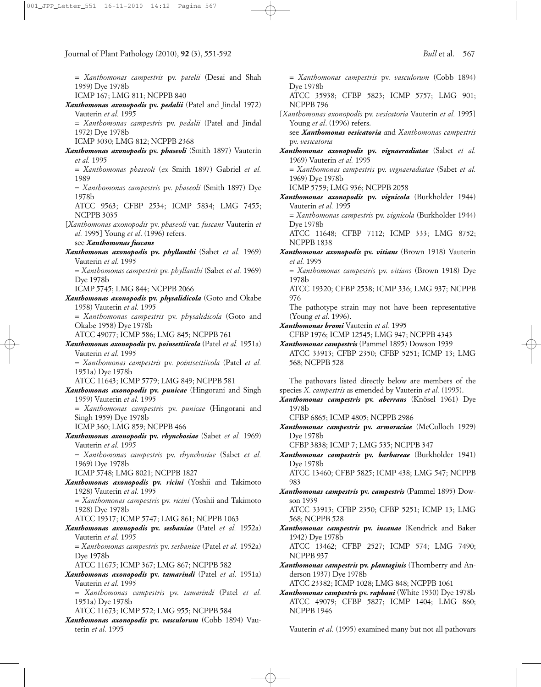= *Xanthomonas campestris* pv. *patelii* (Desai and Shah 1959) Dye 1978b ICMP 167; LMG 811; NCPPB 840 *Xanthomonas axonopodis* **pv.** *pedalii* (Patel and Jindal 1972) Vauterin *et al.* 1995 = *Xanthomonas campestris* pv. *pedalii* (Patel and Jindal 1972) Dye 1978b ICMP 3030; LMG 812; NCPPB 2368 *Xanthomonas axonopodis* **pv.** *phaseoli* (Smith 1897) Vauterin *et al.* 1995 = *Xanthomonas phaseoli* (*ex* Smith 1897) Gabriel *et al.* 1989 = *Xanthomonas campestris* pv. *phaseoli* (Smith 1897) Dye 1978b ATCC 9563; CFBP 2534; ICMP 5834; LMG 7455; NCPPB 3035 [*Xanthomonas axonopodis* pv. *phaseoli* var. *fuscans* Vauterin *et al.* 1995] Young *et al*. (1996) refers. see *Xanthomonas fuscans Xanthomonas axonopodis* **pv.** *phyllanthi* (Sabet *et al.* 1969) Vauterin *et al.* 1995 = *Xanthomonas campestris* pv. *phyllanthi* (Sabet *et al.* 1969) Dye 1978b ICMP 5745; LMG 844; NCPPB 2066 *Xanthomonas axonopodis* **pv.** *physalidicola* (Goto and Okabe 1958) Vauterin *et al.* 1995 = *Xanthomonas campestris* pv. *physalidicola* (Goto and Okabe 1958) Dye 1978b ATCC 49077; ICMP 586; LMG 845; NCPPB 761 *Xanthomonas axonopodis* **pv.** *poinsettiicola* (Patel *et al.* 1951a) Vauterin *et al.* 1995 = *Xanthomonas campestris* pv. *pointsettiicola* (Patel *et al.* 1951a) Dye 1978b ATCC 11643; ICMP 5779; LMG 849; NCPPB 581 *Xanthomonas axonopodis* **pv.** *punicae* (Hingorani and Singh 1959) Vauterin *et al.* 1995 = *Xanthomonas campestris* pv. *punicae* (Hingorani and Singh 1959) Dye 1978b ICMP 360; LMG 859; NCPPB 466 *Xanthomonas axonopodis* **pv.** *rhynchosiae* (Sabet *et al.* 1969) Vauterin *et al.* 1995 = *Xanthomonas campestris* pv. *rhynchosiae* (Sabet *et al.* 1969) Dye 1978b ICMP 5748; LMG 8021; NCPPB 1827 *Xanthomonas axonopodis* **pv.** *ricini* (Yoshii and Takimoto 1928) Vauterin *et al.* 1995 = *Xanthomonas campestris* pv. *ricini* (Yoshii and Takimoto 1928) Dye 1978b ATCC 19317; ICMP 5747; LMG 861; NCPPB 1063 *Xanthomonas axonopodis* **pv.** *sesbaniae* (Patel *et al.* 1952a) Vauterin *et al.* 1995 = *Xanthomonas campestris* pv. *sesbaniae* (Patel *et al.* 1952a) Dye 1978b ATCC 11675; ICMP 367; LMG 867; NCPPB 582 *Xanthomonas axonopodis* **pv.** *tamarindi* (Patel *et al.* 1951a) Vauterin *et al.* 1995 = *Xanthomonas campestris* pv. *tamarindi* (Patel *et al.* 1951a) Dye 1978b ATCC 11673; ICMP 572; LMG 955; NCPPB 584 Journal of Plant Pathology (2010), **92** (3), 551-592 *Bull* et al. 567

*Xanthomonas axonopodis* **pv.** *vasculorum* (Cobb 1894) Vauterin *et al.* 1995

= *Xanthomonas campestris* pv. *vasculorum* (Cobb 1894) Dye 1978b ATCC 35938; CFBP 5823; ICMP 5757; LMG 901; NCPPB 796 [*Xanthomonas axonopodis* pv. *vesicatoria* Vauterin *et al.* 1995] Young *et al*. (1996) refers. see *Xanthomonas vesicatoria* and *Xanthomonas campestris* pv. *vesicatoria Xanthomonas axonopodis* **pv.** *vignaeradiatae* (Sabet *et al.* 1969) Vauterin *et al.* 1995 = *Xanthomonas campestris* pv. *vignaeradiatae* (Sabet *et al.* 1969) Dye 1978b ICMP 5759; LMG 936; NCPPB 2058 *Xanthomonas axonopodis* **pv.** *vignicola* (Burkholder 1944) Vauterin *et al.* 1995 = *Xanthomonas campestris* pv. *vignicola* (Burkholder 1944) Dye 1978b ATCC 11648; CFBP 7112; ICMP 333; LMG 8752; NCPPB 1838 *Xanthomonas axonopodis* **pv.** *vitians* (Brown 1918) Vauterin *et al.* 1995 = *Xanthomonas campestris* pv. *vitians* (Brown 1918) Dye 1978b ATCC 19320; CFBP 2538; ICMP 336; LMG 937; NCPPB 976 The pathotype strain may not have been representative

(Young *et al.* 1996).

*Xanthomonas bromi* Vauterin *et al.* 1995 CFBP 1976; ICMP 12545; LMG 947; NCPPB 4343

*Xanthomonas campestris* (Pammel 1895) Dowson 1939 ATCC 33913; CFBP 2350; CFBP 5251; ICMP 13; LMG 568; NCPPB 528

The pathovars listed directly below are members of the species *X. campestris* as emended by Vauterin *et al.* (1995).

*Xanthomonas campestris* **pv.** *aberrans* (Knösel 1961) Dye 1978b

CFBP 6865; ICMP 4805; NCPPB 2986

*Xanthomonas campestris* **pv.** *armoraciae* (McCulloch 1929) Dye 1978b

CFBP 3838; ICMP 7; LMG 535; NCPPB 347

*Xanthomonas campestris* **pv.** *barbareae* (Burkholder 1941) Dye 1978b

ATCC 13460; CFBP 5825; ICMP 438; LMG 547; NCPPB 983

*Xanthomonas campestris* **pv.** *campestris* (Pammel 1895) Dowson 1939

ATCC 33913; CFBP 2350; CFBP 5251; ICMP 13; LMG 568; NCPPB 528

*Xanthomonas campestris* **pv.** *incanae* (Kendrick and Baker 1942) Dye 1978b

ATCC 13462; CFBP 2527; ICMP 574; LMG 7490; NCPPB 937

*Xanthomonas campestris* **pv.** *plantaginis* (Thornberry and Anderson 1937) Dye 1978b

ATCC 23382; ICMP 1028; LMG 848; NCPPB 1061

*Xanthomonas campestris* **pv.** *raphani* (White 1930) Dye 1978b ATCC 49079; CFBP 5827; ICMP 1404; LMG 860; NCPPB 1946

Vauterin *et al.* (1995) examined many but not all pathovars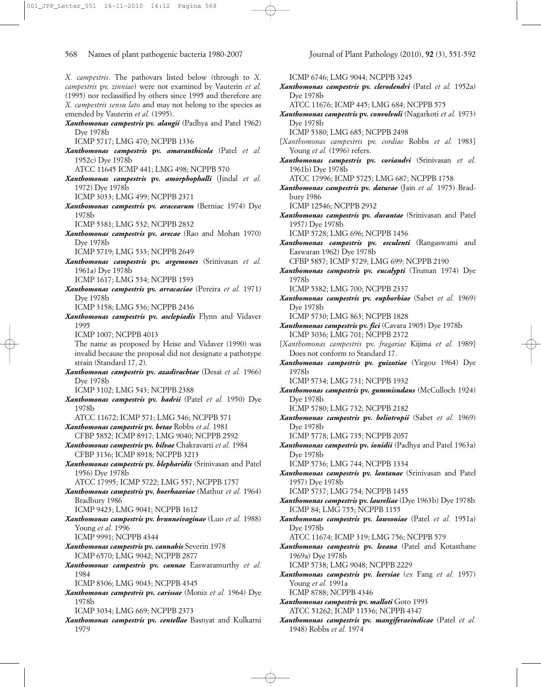*X. campestris*. The pathovars listed below (through to *X. campestris* pv. *zinniae*) were not examined by Vauterin *et al.* (1995) nor reclassified by others since 1995 and therefore are *X. campestris sensu lato* and may not belong to the species as emended by Vauterin *et al.* (1995).

- *Xanthomonas campestris* **pv.** *alangii* (Padhya and Patel 1962) Dye 1978b
	- ICMP 5717; LMG 470; NCPPB 1336
- *Xanthomonas campestris* **pv.** *amaranthicola* (Patel *et al.* 1952c) Dye 1978b
	- ATCC 11645 ICMP 441; LMG 498; NCPPB 570
- *Xanthomonas campestris* **pv.** *amorphophalli* (Jindal *et al.* 1972) Dye 1978b
	- ICMP 3033; LMG 499; NCPPB 2371
- *Xanthomonas campestris* **pv.** *aracearum* (Berniac 1974) Dye 1978b
	- ICMP 5381; LMG 532; NCPPB 2832
- *Xanthomonas campestris* **pv.** *arecae* (Rao and Mohan 1970) Dye 1978b
	- ICMP 5719; LMG 533; NCPPB 2649
- *Xanthomonas campestris* **pv.** *argemones* (Srinivasan *et al.* 1961a) Dye 1978b
	- ICMP 1617; LMG 534; NCPPB 1593
- *Xanthomonas campestris* **pv.** *arracaciae* (Pereira *et al.* 1971) Dye 1978b
	- ICMP 3158; LMG 536; NCPPB 2436
- *Xanthomonas campestris* **pv.** *asclepiadis* Flynn and Vidaver 1995
	- ICMP 1007; NCPPB 4013

The name as proposed by Heise and Vidaver (1990) was invalid because the proposal did not designate a pathotype strain (Standard 17, 2).

- *Xanthomonas campestris* **pv.** *azadirachtae* (Desai *et al.* 1966) Dye 1978b ICMP 3102; LMG 543; NCPPB 2388
- *Xanthomonas campestris* **pv.** *badrii* (Patel *et al.* 1950) Dye 1978b
	- ATCC 11672; ICMP 571; LMG 546; NCPPB 571
- *Xanthomonas campestris* **pv.** *betae* Robbs *et al.* 1981 CFBP 5852; ICMP 8917; LMG 9040; NCPPB 2592
- *Xanthomonas campestris* **pv.** *bilvae* Chakravarti *et al.* 1984 CFBP 3136; ICMP 8918; NCPPB 3213
- *Xanthomonas campestris* **pv.** *blepharidis* (Srinivasan and Patel 1956) Dye 1978b
	- ATCC 17995; ICMP 5722; LMG 557; NCPPB 1757
- *Xanthomonas campestris* **pv.** *boerhaaviae* (Mathur *et al.* 1964) Bradbury 1986
	- ICMP 9423; LMG 9041; NCPPB 1612
- *Xanthomonas campestris* **pv.** *brunneivaginae* (Luo *et al.* 1988) Young *et al.* 1996 ICMP 9991; NCPPB 4344
- *Xanthomonas campestris* **pv.** *cannabis* Severin 1978 ICMP 6570; LMG 9042; NCPPB 2877
- *Xanthomonas campestris* **pv.** *cannae* Easwaramurthy *et al.* 1984
	- ICMP 8306; LMG 9043; NCPPB 4345
- *Xanthomonas campestris* **pv.** *carissae* (Moniz *et al.* 1964) Dye 1978b
	- ICMP 3034; LMG 669; NCPPB 2373
- *Xanthomonas campestris* **pv.** *centellae* Basnyat and Kulkarni 1979

ICMP 6746; LMG 9044; NCPPB 3245 *Xanthomonas campestris* **pv.** *clerodendri* (Patel *et al.* 1952a) Dye 1978b ATCC 11676; ICMP 445; LMG 684; NCPPB 575 *Xanthomonas campestris* **pv.** *convolvuli* (Nagarkoti *et al.* 1973) Dye 1978b ICMP 5380; LMG 685; NCPPB 2498 [*Xanthomonas campestris* pv. *cordiae* Robbs *et al.* 1983] Young *et al.* (1996) refers. *Xanthomonas campestris* **pv.** *coriandri* (Srinivasan *et al.* 1961b) Dye 1978b ATCC 17996; ICMP 5725; LMG 687; NCPPB 1758 *Xanthomonas campestris* **pv.** *daturae* (Jain *et al.* 1975) Bradbury 1986 ICMP 12546; NCPPB 2932 *Xanthomonas campestris* **pv.** *durantae* (Srinivasan and Patel 1957) Dye 1978b ICMP 5728; LMG 696; NCPPB 1456 *Xanthomonas campestris* **pv.** *esculenti* (Rangaswami and Easwaran 1962) Dye 1978b CFBP 5857; ICMP 5729; LMG 699; NCPPB 2190 *Xanthomonas campestris* **pv.** *eucalypti* (Truman 1974) Dye 1978b ICMP 5382; LMG 700; NCPPB 2337 *Xanthomonas campestris* **pv.** *euphorbiae* (Sabet *et al.* 1969) Dye 1978b ICMP 5730; LMG 863; NCPPB 1828 *Xanthomonas campestris* **pv.** *fici* (Cavara 1905) Dye 1978b ICMP 3036; LMG 701; NCPPB 2372 [*Xanthomonas campestris* pv. *fragariae* Kijima *et al.* 1989] Does not conform to Standard 17. *Xanthomonas campestris* **pv.** *guizotiae* (Yirgou 1964) Dye 1978b ICMP 5734; LMG 731; NCPPB 1932 *Xanthomonas campestris* **pv.** *gummisudans* (McCulloch 1924) Dye 1978b ICMP 5780; LMG 732; NCPPB 2182 *Xanthomonas campestris* **pv.** *heliotropii* (Sabet *et al.* 1969) Dye 1978b ICMP 5778; LMG 735; NCPPB 2057 *Xanthomonas campestris* **pv.** *ionidii* (Padhya and Patel 1963a) Dye 1978b ICMP 5736; LMG 744; NCPPB 1334 *Xanthomonas campestris* **pv.** *lantanae* (Srinivasan and Patel 1957) Dye 1978b ICMP 5737; LMG 754; NCPPB 1455 *Xanthomonas campestris* **pv.** *laureliae* (Dye 1963b) Dye 1978b ICMP 84; LMG 755; NCPPB 1155 *Xanthomonas campestris* **pv.** *lawsoniae* (Patel *et al.* 1951a) Dye 1978b ATCC 11674; ICMP 319; LMG 756; NCPPB 579 *Xanthomonas campestris* **pv.** *leeana* (Patel and Kotasthane 1969a) Dye 1978b ICMP 5738; LMG 9048; NCPPB 2229 *Xanthomonas campestris* **pv.** *leersiae* (*ex* Fang *et al.* 1957) Young *et al.* 1991a ICMP 8788; NCPPB 4346 *Xanthomonas campestris* **pv.** *malloti* Goto 1993 ATCC 51262; ICMP 11536; NCPPB 4347

*Xanthomonas campestris* **pv.** *mangiferaeindicae* (Patel *et al.* 1948) Robbs *et al.* 1974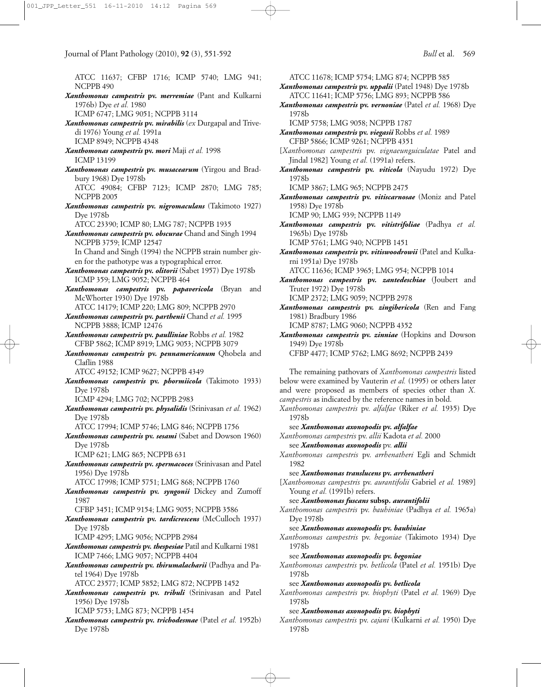ATCC 11637; CFBP 1716; ICMP 5740; LMG 941; NCPPB 490 *Xanthomonas campestris* **pv.** *merremiae* (Pant and Kulkarni 1976b) Dye *et al.* 1980 ICMP 6747; LMG 9051; NCPPB 3114 *Xanthomonas campestris* **pv.** *mirabilis* (*ex* Durgapal and Trivedi 1976) Young *et al.* 1991a ICMP 8949; NCPPB 4348 *Xanthomonas campestris* **pv.** *mori* Maji *et al.* 1998 ICMP 13199 *Xanthomonas campestris* **pv.** *musacearum* (Yirgou and Bradbury 1968) Dye 1978b ATCC 49084; CFBP 7123; ICMP 2870; LMG 785; NCPPB 2005 *Xanthomonas campestris* **pv.** *nigromaculans* (Takimoto 1927) Dye 1978b ATCC 23390; ICMP 80; LMG 787; NCPPB 1935 *Xanthomonas campestris* **pv.** *obscurae* Chand and Singh 1994 NCPPB 3759; ICMP 12547 In Chand and Singh (1994) the NCPPB strain number given for the pathotype was a typographical error. *Xanthomonas campestris* **pv.** *olitorii* (Sabet 1957) Dye 1978b ICMP 359; LMG 9052; NCPPB 464 *Xanthomonas campestris* **pv.** *papavericola* (Bryan and McWhorter 1930) Dye 1978b ATCC 14179; ICMP 220; LMG 809; NCPPB 2970 *Xanthomonas campestris* **pv.** *parthenii* Chand *et al.* 1995 NCPPB 3888; ICMP 12476 *Xanthomonas campestris* **pv.** *paulliniae* Robbs *et al.* 1982 CFBP 5862; ICMP 8919; LMG 9053; NCPPB 3079 *Xanthomonas campestris* **pv.** *pennamericanum* Qhobela and Claflin 1988 ATCC 49152; ICMP 9627; NCPPB 4349 *Xanthomonas campestris* **pv.** *phormiicola* (Takimoto 1933) Dye 1978b ICMP 4294; LMG 702; NCPPB 2983 *Xanthomonas campestris* **pv.** *physalidis* (Srinivasan *et al.* 1962) Dye 1978b ATCC 17994; ICMP 5746; LMG 846; NCPPB 1756 *Xanthomonas campestris* **pv.** *sesami* (Sabet and Dowson 1960) Dye 1978b ICMP 621; LMG 865; NCPPB 631 *Xanthomonas campestris* **pv.** *spermacoces* (Srinivasan and Patel 1956) Dye 1978b ATCC 17998; ICMP 5751; LMG 868; NCPPB 1760 *Xanthomonas campestris* **pv.** *syngonii* Dickey and Zumoff 1987 CFBP 3451; ICMP 9154; LMG 9055; NCPPB 3586 *Xanthomonas campestris* **pv.** *tardicrescens* (McCulloch 1937) Dye 1978b ICMP 4295; LMG 9056; NCPPB 2984 *Xanthomonas campestris* **pv.** *thespesiae* Patil and Kulkarni 1981 ICMP 7466; LMG 9057; NCPPB 4404 *Xanthomonas campestris* **pv.** *thirumalacharii* (Padhya and Patel 1964) Dye 1978b ATCC 23577; ICMP 5852; LMG 872; NCPPB 1452 *Xanthomonas campestris* **pv.** *tribuli* (Srinivasan and Patel 1956) Dye 1978b ICMP 5753; LMG 873; NCPPB 1454

*Xanthomonas campestris* **pv.** *trichodesmae* (Patel *et al.* 1952b) Dye 1978b

ATCC 11678; ICMP 5754; LMG 874; NCPPB 585 *Xanthomonas campestris* **pv.** *uppalii* (Patel 1948) Dye 1978b

ATCC 11641; ICMP 5756; LMG 893; NCPPB 586 *Xanthomonas campestris* **pv.** *vernoniae* (Patel *et al.* 1968) Dye 1978b

ICMP 5758; LMG 9058; NCPPB 1787

*Xanthomonas campestris* **pv.** *viegasii* Robbs *et al.* 1989 CFBP 5866; ICMP 9261; NCPPB 4351

[*Xanthomonas campestris* pv. *vignaeunguiculatae* Patel and Jindal 1982] Young *et al.* (1991a) refers.

*Xanthomonas campestris* **pv.** *viticola* (Nayudu 1972) Dye 1978b

ICMP 3867; LMG 965; NCPPB 2475

*Xanthomonas campestris* **pv.** *vitiscarnosae* (Moniz and Patel 1958) Dye 1978b

ICMP 90; LMG 939; NCPPB 1149

*Xanthomonas campestris* **pv.** *vitistrifoliae* (Padhya *et al.* 1965b) Dye 1978b

ICMP 5761; LMG 940; NCPPB 1451

*Xanthomonas campestris* **pv.** *vitiswoodrowii* (Patel and Kulkarni 1951a) Dye 1978b

ATCC 11636; ICMP 3965; LMG 954; NCPPB 1014

*Xanthomonas campestris* **pv.** *zantedeschiae* (Joubert and Truter 1972) Dye 1978b

ICMP 2372; LMG 9059; NCPPB 2978

*Xanthomonas campestris* **pv.** *zingibericola* (Ren and Fang 1981) Bradbury 1986

ICMP 8787; LMG 9060; NCPPB 4352

*Xanthomonas campestris* **pv.** *zinniae* (Hopkins and Dowson 1949) Dye 1978b CFBP 4477; ICMP 5762; LMG 8692; NCPPB 2439

The remaining pathovars of *Xanthomonas campestris* listed below were examined by Vauterin *et al.* (1995) or others later and were proposed as members of species other than *X. campestris* as indicated by the reference names in bold.

*Xanthomonas campestris* pv. *alfalfae* (Riker *et al.* 1935) Dye 1978b

see *Xanthomonas axonopodis* **pv.** *alfalfae Xanthomonas campestris* pv. *allii* Kadota *et al.* 2000 see *Xanthomonas axonopodis* pv. *allii*

*Xanthomonas campestris* pv. *arrhenatheri* Egli and Schmidt 1982

see *Xanthomonas translucens* **pv.** *arrhenatheri*

[*Xanthomonas campestris* pv. *aurantifolii* Gabriel *et al.* 1989] Young *et al.* (1991b) refers.

see *Xanthomonas fuscans* **subsp.** *aurantifolii*

*Xanthomonas campestris* pv. *bauhiniae* (Padhya *et al.* 1965a) Dye 1978b

see *Xanthomonas axonopodis* **pv.** *bauhiniae*

*Xanthomonas campestris* pv. *begoniae* (Takimoto 1934) Dye 1978b

see *Xanthomonas axonopodis* **pv.** *begoniae*

*Xanthomonas campestris* pv. *betlicola* (Patel *et al.* 1951b) Dye 1978b

see *Xanthomonas axonopodis* **pv.** *betlicola*

*Xanthomonas campestris* pv. *biophyti* (Patel *et al.* 1969) Dye 1978b

see *Xanthomonas axonopodis* **pv.** *biophyti*

*Xanthomonas campestris* pv. *cajani* (Kulkarni *et al.* 1950) Dye 1978b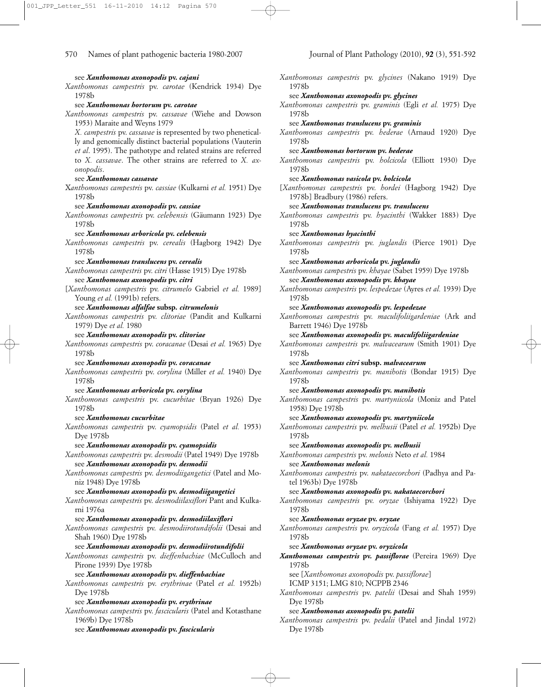*Xanthomonas campestris* pv. *carotae* (Kendrick 1934) Dye

see *Xanthomonas axonopodis* **pv.** *cajani*

## 1978b see *Xanthomonas hortorum* **pv.** *carotae Xanthomonas campestris* pv. *cassavae* (Wiehe and Dowson 1953) Maraite and Weyns 1979 *X. campestris* pv. *cassavae* is represented by two phenetically and genomically distinct bacterial populations (Vauterin *et al*. 1995). The pathotype and related strains are referred to *X. cassavae*. The other strains are referred to *X. axonopodis*. see *Xanthomonas cassavae* X*anthomonas campestris* pv. *cassiae* (Kulkarni *et al.* 1951) Dye 1978b see *Xanthomonas axonopodis* **pv.** *cassiae Xanthomonas campestris* pv. *celebensis* (Gäumann 1923) Dye 1978b see *Xanthomonas arboricola* **pv.** *celebensis Xanthomonas campestris* pv. *cerealis* (Hagborg 1942) Dye 1978b see *Xanthomonas translucens* **pv.** *cerealis Xanthomonas campestris* pv. *citri* (Hasse 1915) Dye 1978b see *Xanthomonas axonopodis* **pv.** *citri* [*Xanthomonas campestris* pv. *citrumelo* Gabriel *et al.* 1989] Young et al. (1991b) refers. see *Xanthomonas alfalfae* **subsp***. citrumelonis Xanthomonas campestris* pv. *clitoriae* (Pandit and Kulkarni 1979) Dye *et al.* 1980 see *Xanthomonas axonopodis* **pv.** *clitoriae Xanthomonas campestris* pv. *coracanae* (Desai *et al.* 1965) Dye 1978b see *Xanthomonas axonopodis* **pv.** *coracanae Xanthomonas campestris* pv. *corylina* (Miller *et al.* 1940) Dye 1978b see *Xanthomonas arboricola* **pv.** *corylina Xanthomonas campestris* pv. *cucurbitae* (Bryan 1926) Dye 1978b see *Xanthomonas cucurbitae Xanthomonas campestris* pv. *cyamopsidis* (Patel *et al.* 1953) Dye 1978b see *Xanthomonas axonopodis* **pv.** *cyamopsidis Xanthomonas campestris* pv. *desmodii* (Patel 1949) Dye 1978b see *Xanthomonas axonopodis* **pv.** *desmodii Xanthomonas campestris* pv. *desmodiigangetici* (Patel and Moniz 1948) Dye 1978b see *Xanthomonas axonopodis* **pv.** *desmodiigangetici Xanthomonas campestris* pv. *desmodiilaxiflori* Pant and Kulkarni 1976a see *Xanthomonas axonopodis* **pv.** *desmodiilaxiflori Xanthomonas campestris* pv. *desmodiirotundifolii* (Desai and Shah 1960) Dye 1978b see *Xanthomonas axonopodis* **pv.** *desmodiirotundifolii Xanthomonas campestris* pv. *dieffenbachiae* (McCulloch and Pirone 1939) Dye 1978b see *Xanthomonas axonopodis* **pv.** *dieffenbachiae Xanthomonas campestris* pv. *erythrinae* (Patel *et al.* 1952b) Dye 1978b see *Xanthomonas axonopodis* **pv.** *erythrinae Xanthomonas campestris* pv. *fascicularis* (Patel and Kotasthane

*Xanthomonas campestris* pv. *glycines* (Nakano 1919) Dye 1978b see *Xanthomonas axonopodis* **pv.** *glycines Xanthomonas campestris* pv. *graminis* (Egli *et al.* 1975) Dye 1978b see *Xanthomonas translucens* **pv.** *graminis Xanthomonas campestris* pv. *hederae* (Arnaud 1920) Dye 1978b see *Xanthomonas hortorum* **pv.** *hederae Xanthomonas campestris* pv. *holcicola* (Elliott 1930) Dye 1978b see *Xanthomonas vasicola* **pv.** *holcicola* [*Xanthomonas campestris* pv. *hordei* (Hagborg 1942) Dye 1978b] Bradbury (1986) refers. see *Xanthomonas translucens* **pv.** *translucens Xanthomonas campestris* pv. *hyacinthi* (Wakker 1883) Dye 1978b see *Xanthomonas hyacinthi Xanthomonas campestris* pv. *juglandis* (Pierce 1901) Dye 1978b see *Xanthomonas arboricola* **pv.** *juglandis Xanthomonas campestris* pv. *khayae* (Sabet 1959) Dye 1978b see *Xanthomonas axonopodis* **pv.** *khayae Xanthomonas campestris* pv. *lespedezae* (Ayres *et al.* 1939) Dye 1978b see *Xanthomonas axonopodis* **pv.** *lespedezae Xanthomonas campestris* pv. *maculifoliigardeniae* (Ark and Barrett 1946) Dye 1978b see *Xanthomonas axonopodis* **pv.** *maculifoliigardeniae Xanthomonas campestris* pv. *malvacearum* (Smith 1901) Dye 1978b see *Xanthomonas citri* **subsp.** *malvacearum Xanthomonas campestris* pv. *manihotis* (Bondar 1915) Dye 1978b see *Xanthomonas axonopodis* **pv.** *manihotis Xanthomonas campestris* pv. *martyniicola* (Moniz and Patel 1958) Dye 1978b see *Xanthomonas axonopodis* **pv.** *martyniicola Xanthomonas campestris* pv. *melhusii* (Patel *et al.* 1952b) Dye 1978b see *Xanthomonas axonopodis* **pv.** *melhusii Xanthomonas campestris* pv. *melonis* Neto *et al.* 1984 see *Xanthomonas melonis Xanthomonas campestris* pv. *nakataecorchori* (Padhya and Patel 1963b) Dye 1978b see *Xanthomonas axonopodis* **pv.** *nakataecorchori Xanthomonas campestris* pv. *oryzae* (Ishiyama 1922) Dye 1978b see *Xanthomonas oryzae* **pv.** *oryzae Xanthomonas campestris* pv. *oryzicola* (Fang *et al.* 1957) Dye 1978b see *Xanthomonas oryzae* **pv.** *oryzicola Xanthomonas campestris* **pv.** *passiflorae* (Pereira 1969) Dye 1978b see [*Xanthomonas axonopodis* pv. *passiflorae*] ICMP 3151; LMG 810; NCPPB 2346 *Xanthomonas campestris* pv. *patelii* (Desai and Shah 1959) Dye 1978b see *Xanthomonas axonopodis* **pv.** *patelii Xanthomonas campestris* pv. *pedalii* (Patel and Jindal 1972)

Dye 1978b

see *Xanthomonas axonopodis* **pv.** *fascicularis*

1969b) Dye 1978b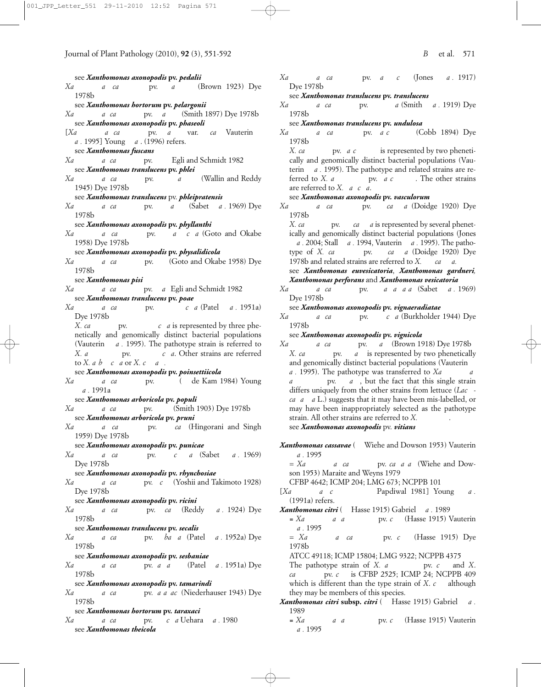see *Xanthomonas axonopodis* **pv.** *pedalii*

- *Xa a ca* pv. *a* (Brown 1923) Dye 1978b
- see *Xanthomonas hortorum* **pv.** *pelargonii*
- *Xa a ca* pv. *a* (Smith 1897) Dye 1978b see *Xanthomonas axonopodis* **pv.** *phaseoli*
- [*Xanthomonas campestris* pv. *phaseoli* var. *fuscans* Vauterin *et a*. 1995] Young *a*. (1996) refers.
	- see *Xanthomonas fuscans*
- *Xa a ca* pv. Egli and Schmidt 1982 see *Xanthomonas translucens* **pv.** *phlei*
- *Xanthomonas campestris* pv. *phleipratensis* (Wallin and Reddy 1945) Dye 1978b
- see *Xanthomonas translucens* pv. *phleipratensis*
- *Xanthomonas campestris* pv. *phyllanthi* (Sabet *et al.* 1969) Dye 1978b
- see *Xanthomonas axonopodis* **pv.** *phyllanthi*
- *Xa a ca* pv. *a c a* (Goto and Okabe 1958) Dye 1978b
- see *Xanthomonas axonopodis* **pv.** *physalidicola*
- *Xa a ca* pv. *(Goto and Okabe 1958) Dye* 1978b
- see *Xanthomonas pisi*
- *Xa a ca* pv. *a* Egli and Schmidt 1982 see *Xanthomonas translucens* **pv.** *poae*
- *Xanthomonas campestris* pv. *poinsettiicola* (Patel *et al.* 1951a) Dye 1978b
	- *X. campestris* pv. *poinsettiicola* is represented by three phenetically and genomically distinct bacterial populations (Vauterin *a*. 1995). The pathotype strain is referred to *X. a pv. c a.* Other strains are referred to *X. a b c a* or *X. c a*
- see *Xanthomonas axonopodis* **pv.** *poinsettiicola*
- *Xanthomonas campestris* pv. *populi* (*ex* de Kam 1984) Young *et al.* 1991a
- see *Xanthomonas arboricola* **pv.** *populi Xa a ca* pv. *(Smith 1903)* Dye 1978b
- see *Xanthomonas arboricola* **pv.** *pruni*
- *Xa a ca* pv. *ca* (Hingorani and Singh 1959) Dye 1978b
	- see *Xanthomonas axonopodis* **pv.** *punicae*
- *Xanthomonas campestris* pv. *rhynchosiae* (Sabet *et al.* 1969) Dye 1978b
- see *Xanthomonas axonopodis* **pv.** *rhynchosiae*
- *Xa a ca* pv. *c* (Yoshii and Takimoto 1928) Dye 1978b
- see *Xanthomonas axonopodis* **pv.** *ricini*
- *Xanthomonas campestris* pv. *secalis* (Reddy *et al.* 1924) Dye 1978b
- see *Xanthomonas translucens* **pv.** *secalis*
- *Xanthomonas campestris* pv. *sesbaniae* (Patel *et al.* 1952a) Dye 1978b
- see *Xanthomonas axonopodis* **pv.** *sesbaniae*
- *Xanthomonas campestris* pv. *tamarindi* (Patel *et al.* 1951a) Dye 1978b
- see *Xanthomonas axonopodis* **pv.** *tamarindi*
- *Xa a ca* pv. *a a ac* (Niederhauser 1943) Dye 1978b
- see *Xanthomonas hortorum* **pv.** *taraxaci*
- *Xanthomonas campestris* pv. *theicola* Uehara *et al.* 1980 see *Xanthomonas theicola*

*Xanthomonas campestris* pv. *translucens* (Jones *et al.* 1917) Dye 1978b

#### see *Xanthomonas translucens* **pv.** *translucens*

*Xanthomonas campestris* pv. *undulosa* (Smith *et al.* 1919) Dye 1978b

### see *Xanthomonas translucens* **pv.** *undulosa*

- *Xanthomonas campestris* pv. *vasculorum* (Cobb 1894) Dye 1978b
	- *X. ca* pv. *a c* is represented by two phenetically and genomically distinct bacterial populations (Vauterin *a* . 1995). The pathotype and related strains are referred to *X. a* pv. *a c* The other strains are referred to *X*. *a c a*.

### see *Xanthomonas axonopodis* **pv.** *vasculorum*

- *Xanthomonas campestris* pv. *vesicatoria* (Doidge 1920) Dye 1978b
- *X. ca* pv. *campestris <i>vecampes vecamps vecamps vecamps vecamps vecamps vecamps vecamps vecamps vecamps vecamps vecamps vecamps vecamps vecamps vecamps vec* ically and genomically distinct bacterial populations (Jones *et al.* 2004; Stall *et al.* 1994, Vauterin *et al.* 1995). The pathotype of *X. ca* pv. *ca a* (Doidge 1920) Dye 1978b and related strains are referred to *X*. *ca*

## see *Xanthomonas euvesicatoria*, *Xanthomonas gardneri, Xanthomonas perforans* and *Xanthomonas vesicatoria*

- *Xanthomonas campestris* pv. *vignaeradiatae* (Sabet *et al.* 1969) Dye 1978b
	- see *Xanthomonas axonopodis* **pv.** *vignaeradiatae*
- *Xa a ca* pv. *c a* (Burkholder 1944) Dye 1978b
	- see *Xanthomonas axonopodis* **pv.** *vignicola*
- *Xa a ca* pv. *a* (Brown 1918) Dye 1978b *X. ca* pv. *a* is represented by two phenetically and genomically distinct bacterial populations (Vauterin *a*. **1995**). The pathotype was transferred to *Xa*<sub>*a*</sub> pv. *a*, but the fact that this single strain differs uniquely from the other strains from lettuce (*Lac ca a a* L.) suggests that it may have been mis-labelled, or may have been inappropriately selected as the pathotype strain. All other strains are referred to *X*. see *Xanthomonas axonopodis* pv. *vitians*
- Xanthomonas cassavae ( Wiehe and Dowson 1953) Vauterin *et al.* 1995
- = *Xanthomonas campestris* pv. *cassavae* (Wiehe and Dowson 1953) Maraite and Weyns 1979
- CFBP 4642; ICMP 204; LMG 673; NCPPB 101
- [*Xa e c* Papdiwal 1981] Young *et al.* (1991a) refers.
- *Xanthomonas citri* (*Hasse 1915*) Gabriel *a.* 1989
	- $= Xa$  *a a* pv. *c* (Hasse 1915) Vauterin *et al.* 1995

 $= X_a$  *a ca* pv. *c* (Hasse 1915) Dye 1978b

- ATCC 49118; ICMP 15804; LMG 9322; NCPPB 4375
- The pathotype strain of *X. a* pv. *c* and *X. ca* pv. *c* is CFBP 2525; ICMP 24; NCPPB 409 which is different than the type strain of *X*. *c* although they may be members of this species.
- *Xanthomonas citri* subsp. *citri* ( Hasse 1915) Gabriel *a.* 1989
	- *z a a a* **pv.** *c* (Hasse 1915) Vauterin *et al.* 1995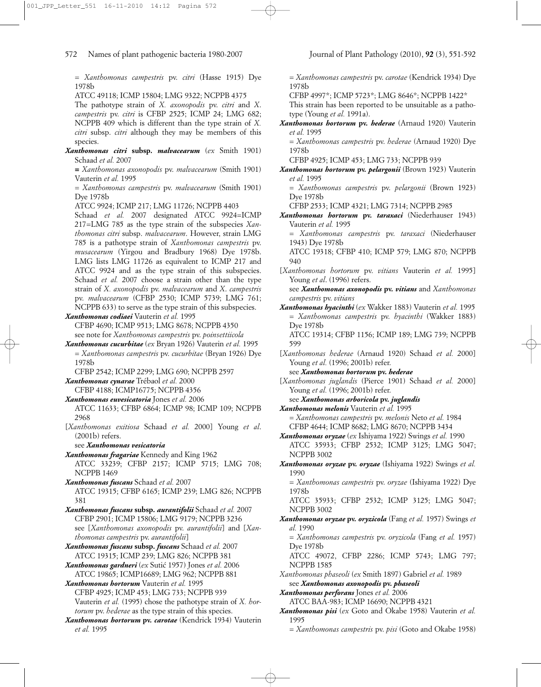= *Xanthomonas campestris* pv. *citri* (Hasse 1915) Dye 1978b

ATCC 49118; ICMP 15804; LMG 9322; NCPPB 4375

The pathotype strain of *X. axonopodis* pv. *citri* and *X*. *campestris* pv. *citri* is CFBP 2525; ICMP 24; LMG 682; NCPPB 409 which is different than the type strain of *X. citri* subsp. *citri* although they may be members of this species.

*Xanthomonas citri* **subsp.** *malvacearum* (*ex* Smith 1901) Schaad *et al.* 2007

**=** *Xanthomonas axonopodis* pv. *malvacearum* (Smith 1901) Vauterin *et al.* 1995

= *Xanthomonas campestris* pv. *malvacearum* (Smith 1901) Dye 1978b

ATCC 9924; ICMP 217; LMG 11726; NCPPB 4403

Schaad et al. 2007 designated ATCC 9924=ICMP 217=LMG 785 as the type strain of the subspecies *Xanthomonas citri* subsp. *malvacearum*. However, strain LMG 785 is a pathotype strain of *Xanthomonas campestris* pv. *musacearum* (Yirgou and Bradbury 1968) Dye 1978b. LMG lists LMG 11726 as equivalent to ICMP 217 and ATCC 9924 and as the type strain of this subspecies. Schaad *et al.* 2007 choose a strain other than the type strain of *X. axonopodis* pv. *malvacearum* and *X*. *campestris* pv. *malvacearum* (CFBP 2530; ICMP 5739; LMG 761; NCPPB 633) to serve as the type strain of this subspecies.

*Xanthomonas codiaei* Vauterin *et al.* 1995

CFBP 4690; ICMP 9513; LMG 8678; NCPPB 4350 see note for *Xanthomonas campestris* pv. *poinsettiicola*

*Xanthomonas cucurbitae* (*ex* Bryan 1926) Vauterin *et al.* 1995 = *Xanthomonas campestris* pv. *cucurbitae* (Bryan 1926) Dye 1978b

CFBP 2542; ICMP 2299; LMG 690; NCPPB 2597

*Xanthomonas cynarae* Trébaol *et al.* 2000

CFBP 4188; ICMP16775; NCPPB 4356

- *Xanthomonas euvesicatoria* Jones *et al.* 2006 ATCC 11633; CFBP 6864; ICMP 98; ICMP 109; NCPPB 2968
- [*Xanthomonas exitiosa* Schaad *et al.* 2000] Young *et al*. (2001b) refers.

see *Xanthomonas vesicatoria*

*Xanthomonas fragariae* Kennedy and King 1962 ATCC 33239; CFBP 2157; ICMP 5715; LMG 708; NCPPB 1469

*Xanthomonas fuscans* Schaad *et al.* 2007 ATCC 19315; CFBP 6165; ICMP 239; LMG 826; NCPPB 381

*Xanthomonas fuscans* **subsp.** *aurantifolii* Schaad *et al.* 2007 CFBP 2901; ICMP 15806; LMG 9179; NCPPB 3236 see [*Xanthomonas axonopodis* pv. *aurantifolii*] and [*Xanthomonas campestris* pv. *aurantifolii*]

*Xanthomonas fuscans* **subsp.** *fuscans* Schaad *et al.* 2007 ATCC 19315; ICMP 239; LMG 826; NCPPB 381

*Xanthomonas gardneri* (*ex* Sutic´ 1957) Jones *et al.* 2006 ATCC 19865; ICMP16689; LMG 962; NCPPB 881

*Xanthomonas hortorum* Vauterin *et al.* 1995 CFBP 4925; ICMP 453; LMG 733; NCPPB 939 Vauterin *et al.* (1995) chose the pathotype strain of *X. hortorum* pv. *hederae* as the type strain of this species.

*Xanthomonas hortorum* **pv.** *carotae* (Kendrick 1934) Vauterin *et al.* 1995

= *Xanthomonas campestris* pv. *carotae* (Kendrick 1934) Dye 1978b

CFBP 4997\*; ICMP 5723\*; LMG 8646\*; NCPPB 1422\*

This strain has been reported to be unsuitable as a pathotype (Young *et al.* 1991a).

*Xanthomonas hortorum* **pv.** *hederae* (Arnaud 1920) Vauterin *et al.* 1995

= *Xanthomonas campestris* pv. *hederae* (Arnaud 1920) Dye 1978b

CFBP 4925; ICMP 453; LMG 733; NCPPB 939

*Xanthomonas hortorum* **pv.** *pelargonii* (Brown 1923) Vauterin *et al.* 1995

= *Xanthomonas campestris* pv. *pelargonii* (Brown 1923) Dye 1978b

- CFBP 2533; ICMP 4321; LMG 7314; NCPPB 2985
- *Xanthomonas hortorum* **pv.** *taraxaci* (Niederhauser 1943) Vauterin *et al.* 1995
	- = *Xanthomonas campestris* pv. *taraxaci* (Niederhauser 1943) Dye 1978b

ATCC 19318; CFBP 410; ICMP 579; LMG 870; NCPPB 940

[*Xanthomonas hortorum* pv. *vitians* Vauterin *et al.* 1995] Young et al. (1996) refers.

see *Xanthomonas axonopodis* **pv.** *vitians* and *Xanthomonas campestris* pv. *vitians*

- *Xanthomonas hyacinthi* (*ex* Wakker 1883) Vauterin *et al.* 1995 = *Xanthomonas campestris* pv. *hyacinthi* (Wakker 1883) Dye 1978b
	- ATCC 19314; CFBP 1156; ICMP 189; LMG 739; NCPPB 599
- [*Xanthomonas hederae* (Arnaud 1920) Schaad *et al.* 2000] Young *et al.* (1996; 2001b) refer.

see *Xanthomonas hortorum* **pv.** *hederae*

[*Xanthomonas juglandis* (Pierce 1901) Schaad *et al.* 2000] Young *et al.* (1996; 2001b) refer.

see *Xanthomonas arboricola* **pv.** *juglandis*

- *Xanthomonas melonis* Vauterin *et al.* 1995 = *Xanthomonas campestris* pv. *melonis* Neto *et al.* 1984 CFBP 4644; ICMP 8682; LMG 8670; NCPPB 3434
- *Xanthomonas oryzae* (*ex* Ishiyama 1922) Swings *et al.* 1990 ATCC 35933; CFBP 2532; ICMP 3125; LMG 5047; NCPPB 3002
- *Xanthomonas oryzae* **pv.** *oryzae* (Ishiyama 1922) Swings *et al.* 1990
	- = *Xanthomonas campestris* pv. *oryzae* (Ishiyama 1922) Dye 1978b

ATCC 35933; CFBP 2532; ICMP 3125; LMG 5047; NCPPB 3002

*Xanthomonas oryzae* **pv.** *oryzicola* (Fang *et al.* 1957) Swings *et al.* 1990

= *Xanthomonas campestris* pv. *oryzicola* (Fang *et al.* 1957) Dye 1978b

ATCC 49072, CFBP 2286; ICMP 5743; LMG 797; NCPPB 1585

*Xanthomonas phaseoli* (*ex* Smith 1897) Gabriel *et al.* 1989 see *Xanthomonas axonopodis* **pv.** *phaseoli*

*Xanthomonas perforans* Jones *et al.* 2006

- ATCC BAA-983; ICMP 16690; NCPPB 4321 *Xanthomonas pisi* (*ex* Goto and Okabe 1958) Vauterin *et al.* 1995
	- = *Xanthomonas campestris* pv. *pisi* (Goto and Okabe 1958)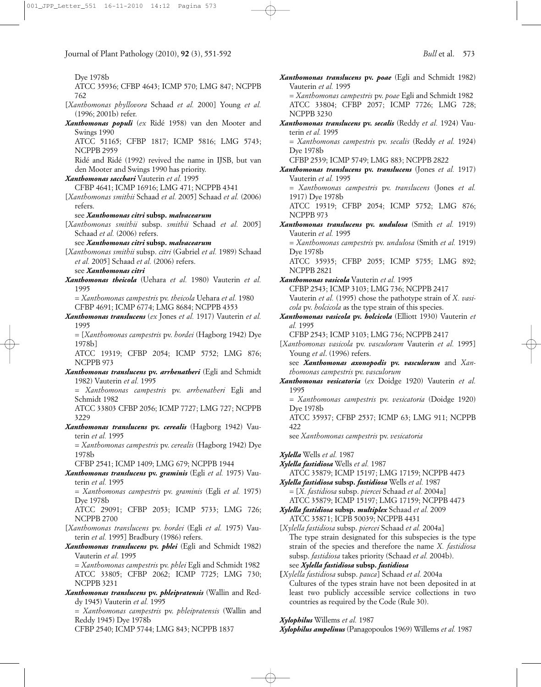Dye 1978b

- ATCC 35936; CFBP 4643; ICMP 570; LMG 847; NCPPB 762
- [*Xanthomonas phyllovora* Schaad *et al.* 2000] Young *et al.* (1996; 2001b) refer.
- *Xanthomonas populi* (*ex* Ridé 1958) van den Mooter and Swings 1990 ATCC 51165; CFBP 1817; ICMP 5816; LMG 5743; NCPPB 2959

Ridé and Ridé (1992) revived the name in IJSB, but van den Mooter and Swings 1990 has priority.

- *Xanthomonas sacchari* Vauterin *et al.* 1995
	- CFBP 4641; ICMP 16916; LMG 471; NCPPB 4341
- [*Xanthomonas smithii* Schaad *et al.* 2005] Schaad *et al.* (2006) refers.

see *Xanthomonas citri* **subsp.** *malvacearum*

[*Xanthomonas smithii* subsp. *smithii* Schaad *et al.* 2005] Schaad et al. (2006) refers.

see *Xanthomonas citri* **subsp.** *malvacearum*

[*Xanthomonas smithii* subsp. *citri* (Gabriel *et al.* 1989) Schaad *et al.* 2005] Schaad *et al.* (2006) refers.

see *Xanthomonas citri*

- *Xanthomonas theicola* (Uehara *et al.* 1980) Vauterin *et al.* 1995
	- = *Xanthomonas campestris* pv. *theicola* Uehara *et al.* 1980 CFBP 4691; ICMP 6774; LMG 8684; NCPPB 4353
- *Xanthomonas translucens* (*ex* Jones *et al.* 1917) Vauterin *et al.* 1995

= [*Xanthomonas campestris* pv. *hordei* (Hagborg 1942) Dye 1978b]

ATCC 19319; CFBP 2054; ICMP 5752; LMG 876; NCPPB 973

*Xanthomonas translucens* **pv.** *arrhenatheri* (Egli and Schmidt 1982) Vauterin *et al.* 1995

= *Xanthomonas campestris* pv. *arrhenatheri* Egli and Schmidt 1982

ATCC 33803 CFBP 2056; ICMP 7727; LMG 727; NCPPB 3229

*Xanthomonas translucens* **pv.** *cerealis* (Hagborg 1942) Vauterin *et al.* 1995

= *Xanthomonas campestris* pv. *cerealis* (Hagborg 1942) Dye 1978b

CFBP 2541; ICMP 1409; LMG 679; NCPPB 1944

*Xanthomonas translucens* **pv.** *graminis* (Egli *et al.* 1975) Vauterin *et al.* 1995

= *Xanthomonas campestris* pv. *graminis* (Egli *et al.* 1975) Dye 1978b

ATCC 29091; CFBP 2053; ICMP 5733; LMG 726; NCPPB 2700

- [*Xanthomonas translucens* pv. *hordei* (Egli *et al.* 1975) Vauterin *et al.* 1995] Bradbury (1986) refers.
- *Xanthomonas translucens* **pv.** *phlei* (Egli and Schmidt 1982) Vauterin *et al.* 1995

= *Xanthomonas campestris* pv. *phlei* Egli and Schmidt 1982 ATCC 33805; CFBP 2062; ICMP 7725; LMG 730; NCPPB 3231

*Xanthomonas translucens* **pv.** *phleipratensis* (Wallin and Reddy 1945) Vauterin *et al.* 1995

= *Xanthomonas campestris* pv. *phleipratensis* (Wallin and Reddy 1945) Dye 1978b

CFBP 2540; ICMP 5744; LMG 843; NCPPB 1837

- *Xanthomonas translucens* **pv.** *poae* (Egli and Schmidt 1982) Vauterin *et al.* 1995 = *Xanthomonas campestris* pv. *poae* Egli and Schmidt 1982 ATCC 33804; CFBP 2057; ICMP 7726; LMG 728; NCPPB 3230 *Xanthomonas translucens* **pv.** *secalis* (Reddy *et al.* 1924) Vauterin *et al.* 1995 = *Xanthomonas campestris* pv. *secalis* (Reddy *et al.* 1924) Dye 1978b CFBP 2539; ICMP 5749; LMG 883; NCPPB 2822 *Xanthomonas translucens* **pv.** *translucens* (Jones *et al.* 1917) Vauterin *et al.* 1995 = *Xanthomonas campestris* pv. *translucens* (Jones *et al.* 1917) Dye 1978b ATCC 19319; CFBP 2054; ICMP 5752; LMG 876; NCPPB 973 *Xanthomonas translucens* **pv.** *undulosa* (Smith *et al.* 1919) Vauterin *et al.* 1995 = *Xanthomonas campestris* pv. *undulosa* (Smith *et al.* 1919) Dye 1978b ATCC 35935; CFBP 2055; ICMP 5755; LMG 892; NCPPB 2821 *Xanthomonas vasicola* Vauterin *et al.* 1995 CFBP 2543; ICMP 3103; LMG 736; NCPPB 2417 Vauterin *et al.* (1995) chose the pathotype strain of *X. vasicola* pv. *holcicola* as the type strain of this species. *Xanthomonas vasicola* **pv.** *holcicola* (Elliott 1930) Vauterin *et al.* 1995 CFBP 2543; ICMP 3103; LMG 736; NCPPB 2417 [*Xanthomonas vasicola* pv. *vasculorum* Vauterin *et al.* 1995] Young *et al*. (1996) refers. see *Xanthomonas axonopodis* **pv.** *vasculorum* and *Xanthomonas campestris* pv. *vasculorum Xanthomonas vesicatoria* (*ex* Doidge 1920) Vauterin *et al.* 1995 = *Xanthomonas campestris* pv. *vesicatoria* (Doidge 1920) Dye 1978b ATCC 35937; CFBP 2537; ICMP 63; LMG 911; NCPPB 422 see *Xanthomonas campestris* pv. *vesicatoria Xylella* Wells *et al.* 1987 *Xylella fastidiosa* Wells *et al.* 1987 ATCC 35879; ICMP 15197; LMG 17159; NCPPB 4473 *Xylella fastidiosa* **subsp.** *fastidiosa* Wells *et al.* 1987 = [*X. fastidiosa* subsp. *piercei* Schaad *et al.* 2004a]
	- ATCC 35879; ICMP 15197; LMG 17159; NCPPB 4473
- *Xylella fastidiosa* **subsp.** *multiplex* Schaad *et al.* 2009 ATCC 35871; ICPB 50039; NCPPB 4431

[*Xylella fastidiosa* subsp. *piercei* Schaad *et al.* 2004a] The type strain designated for this subspecies is the type strain of the species and therefore the name *X. fastidiosa* subsp. *fastidiosa* takes priority (Schaad *et al.* 2004b). see *Xylella fastidiosa* **subsp.** *fastidiosa*

**[***Xylella fastidiosa* subsp. *pauca*] Schaad *et al.* 2004a Cultures of the types strain have not been deposited in at least two publicly accessible service collections in two countries as required by the Code (Rule 30).

*Xylophilus* Willems *et al.* 1987

*Xylophilus ampelinus* (Panagopoulos 1969) Willems *et al.* 1987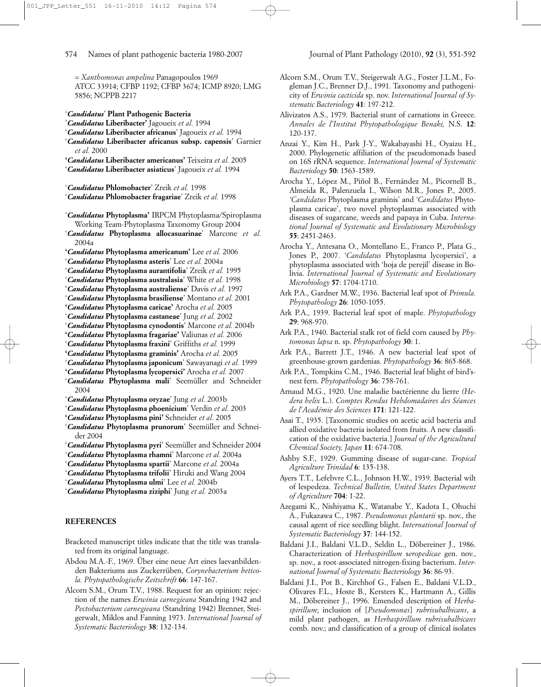= *Xanthomonas ampelina* Panagopoulos 1969 ATCC 33914; CFBP 1192; CFBP 3674; ICMP 8920; LMG 5856; NCPPB 2217

- '*Candidatus*' **Plant Pathogenic Bacteria**
- '*Candidatus* **Liberibacter'** Jagoueix *et al.* 1994
- '*Candidatus* **Liberibacter africanus**' Jagoueix *et al.* 1994
- '*Candidatus* **Liberibacter africanus subsp. capensis**' Garnier *et al.* 2000
- **'***Candidatus* **Liberibacter americanus'** Teixeira *et al.* 2005
- '*Candidatus* **Liberibacter asiaticus**' Jagoueix *et al.* 1994
- '*Candidatus* **Phlomobacter**' Zreik *et al.* 1998
- '*Candidatus* **Phlomobacter fragariae**' Zreik *et al.* 1998
- '*Candidatus* **Phytoplasma'** IRPCM Phytoplasma/Spiroplasma Working Team-Phytoplasma Taxonomy Group 2004
- '*Candidatus* **Phytoplasma allocasuarinae**' Marcone *et al.* 2004a
- **'***Candidatus* **Phytoplasma americanum'** Lee *et al.* 2006
- '*Candidatus* **Phytoplasma asteris**' Lee *et al.* 2004a
- '*Candidatus* **Phytoplasma aurantifolia**' Zreik *et al.* 1995
- '*Candidatus* **Phytoplasma australasia**' White *et al.* 1998
- '*Candidatus* **Phytoplasma australiense**' Davis *et al.* 1997
- '*Candidatus* **Phytoplasma brasiliense**' Montano *et al.* 2001
- **'***Candidatus* **Phytoplasma caricae'** Arocha *et al.* 2005
- '*Candidatus* **Phytoplasma castaneae**' Jung *et al.* 2002
- '*Candidatus* **Phytoplasma cynodontis**' Marcone *et al.* 2004b
- **'***Candidatus* **Phytoplasma fragariae'** Valiunas *et al.* 2006
- '*Candidatus* **Phytoplasma fraxini**' Griffiths *et al.* 1999
- **'***Candidatus* **Phytoplasma graminis'** Arocha *et al.* 2005
- '*Candidatus* **Phytoplasma japonicum**' Sawayanagi *et al.* 1999
- **'***Candidatus* **Phytoplasma lycopersici'** Arocha *et al.* 2007 '*Candidatus* **Phytoplasma mali**' Seemüller and Schneider
- 2004
- '*Candidatus* **Phytoplasma oryzae**' Jung *et al.* 2003b
- '*Candidatus* **Phytoplasma phoenicium**' Verdin *et al.* 2003
- **'***Candidatus* **Phytoplasma pini'** Schneider *et al.* 2005
- '*Candidatus* **Phytoplasma prunorum**' Seemüller and Schneider 2004
- '*Candidatus* **Phytoplasma pyri**' Seemüller and Schneider 2004
- '*Candidatus* **Phytoplasma rhamni**' Marcone *et al.* 2004a
- '*Candidatus* **Phytoplasma spartii**' Marcone *et al.* 2004a
- '*Candidatus* **Phytoplasma trifolii**' Hiruki and Wang 2004
- '*Candidatus* **Phytoplasma ulmi**' Lee *et al.* 2004b
- '*Candidatus* **Phytoplasma ziziphi**' Jung *et al.* 2003a

# **REFERENCES**

- Bracketed manuscript titles indicate that the title was translated from its original language.
- Abdou M.A.-F., 1969. Über eine neue Art eines laevanbildenden Bakteriums aus Zuckerrüben, *Corynebacterium beticola. Phytopathologische Zeitschrift* **66**: 147-167.
- Alcorn S.M., Orum T.V., 1988. Request for an opinion: rejection of the names *Erwinia carnegieana* Standring 1942 and *Pectobacterium carnegieana* (Standring 1942) Brenner, Steigerwalt, Miklos and Fanning 1973. *International Journal of Systematic Bacteriology* **38**: 132-134.
- Alcorn S.M., Orum T.V., Steigerwalt A.G., Foster J.L.M., Fogleman J.C., Brenner D.J., 1991. Taxonomy and pathogenicity of *Erwinia cacticida* sp. nov. *International Journal of Systematic Bacteriology* **41**: 197-212.
- Alivizatos A.S., 1979. Bacterial stunt of carnations in Greece. *Annales de l'Institut Phytopathologique Benaki,* N.S. **12**: 120-137.
- Anzai Y., Kim H., Park J-Y., Wakabayashi H., Oyaizu H., 2000. Phylogenetic affiliation of the pseudomonads based on 16S rRNA sequence. *International Journal of Systematic Bacteriology* **50**: 1563-1589.
- Arocha Y., López M., Piñol B., Fernández M., Picornell B., Almeida R., Palenzuela I., Wilson M.R., Jones P., 2005. *'Candidatus* Phytoplasma graminis' and *'Candidatus* Phytoplasma caricae', two novel phytoplasmas associated with diseases of sugarcane, weeds and papaya in Cuba. *International Journal of Systematic and Evolutionary Microbiology* **55**: 2451-2463.
- Arocha Y., Antesana O., Montellano E., Franco P., Plata G., Jones P., 2007. '*Candidatus* Phytoplasma lycopersici', a phytoplasma associated with 'hoja de perejil' disease in Bolivia. *International Journal of Systematic and Evolutionary Microbiology* **57**: 1704-1710.
- Ark P.A., Gardner M.W., 1936. Bacterial leaf spot of *Primula. Phytopathology* **26**: 1050-1055.
- Ark P.A., 1939. Bacterial leaf spot of maple. *Phytopathology* **29**: 968-970.
- Ark P.A., 1940. Bacterial stalk rot of field corn caused by *Phytomonas lapsa* n. sp. *Phytopathology* **30**: 1.
- Ark P.A., Barrett J.T., 1946. A new bacterial leaf spot of greenhouse-grown gardenias. *Phytopathology* **36**: 865-868.
- Ark P.A., Tompkins C.M., 1946. Bacterial leaf blight of bird'snest fern. *Phytopathology* **36**: 758-761.
- Arnaud M.G., 1920. Une maladie bactérienne du lierre *(Hedera helix* L.). *Comptes Rendus Hebdomadaires des Séances de l'Académie des Sciences* **171**: 121-122.
- Asai T., 1935. [Taxonomic studies on acetic acid bacteria and allied oxidative bacteria isolated from fruits. A new classification of the oxidative bacteria.] *Journal of the Agricultural Chemical Society, Japan* **11**: 674-708.
- Ashby S.F., 1929. Gumming disease of sugar-cane. *Tropical Agriculture Trinidad* **6**: 135-138.
- Ayers T.T., Lefebvre C.L., Johnson H.W., 1939. Bacterial wilt of lespedeza. *Technical Bulletin, United States Department of Agriculture* **704**: 1-22.
- Azegami K., Nishiyama K., Watanabe Y., Kadota I., Ohuchi A., Fukazawa C., 1987. *Pseudomonas plantarii* sp. nov., the causal agent of rice seedling blight. *International Journal of Systematic Bacteriology* **37**: 144-152.
- Baldani J.I., Baldani V.L.D., Seldin L., Döbereiner J., 1986. Characterization of *Herbaspirillum* s*eropedicae* gen. nov., sp. nov., a root-associated nitrogen-fixing bacterium. *International Journal of Systematic Bacteriology* **36**: 86-93.
- Baldani J.I., Pot B., Kirchhof G., Falsen E., Baldani V.L.D., Olivares F.L., Hoste B., Kersters K., Hartmann A., Gillis M., Döbereiner J., 1996. Emended description of *Herbaspirillum*; inclusion of [*Pseudomonas*] *rubrisubalbicans*, a mild plant pathogen, as *Herbaspirillum rubrisubalbicans* comb. nov.; and classification of a group of clinical isolates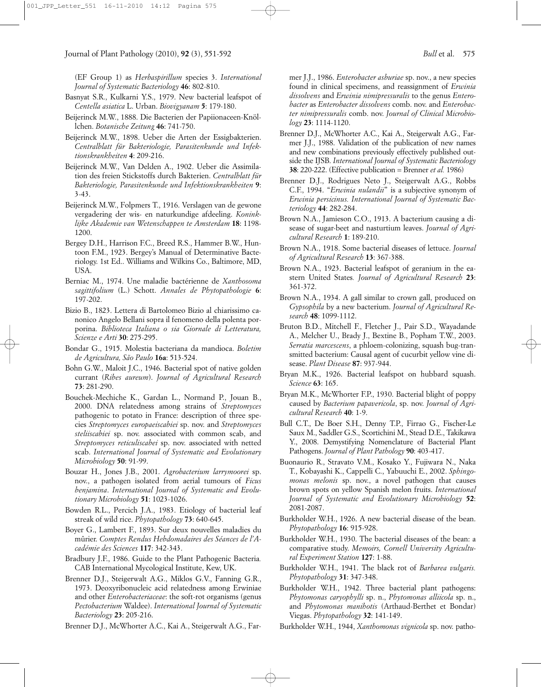(EF Group 1) as *Herbaspirillum* species 3. *International Journal of Systematic Bacteriology* **46**: 802-810.

- Basnyat S.R., Kulkarni Y.S., 1979. New bacterial leafspot of *Centella asiatica* L. Urban. *Biovigyanam* **5**: 179-180.
- Beijerinck M.W., 1888. Die Bacterien der Papiionaceen-Knöllchen. *Botanische Zeitung* **46**: 741-750.
- Beijerinck M.W., 1898. Ueber die Arten der Essigbakterien. *Centralblatt für Bakteriologie, Parasitenkunde und Infektionskrankheiten* **4**: 209-216.
- Beijerinck M.W., Van Delden A., 1902. Ueber die Assimilation des freien Stickstoffs durch Bakterien. *Centralblatt für Bakteriologie, Parasitenkunde und Infektionskrankheiten* **9**: 3-43.
- Beijerinck M.W., Folpmers T., 1916. Verslagen van de gewone vergadering der wis- en naturkundige afdeeling. *Koninklijke Akademie van Wetenschappen te Amsterdam* **18**: 1198- 1200.
- Bergey D.H., Harrison F.C., Breed R.S., Hammer B.W., Huntoon F.M., 1923. Bergey's Manual of Determinative Bacteriology. 1st Ed.. Williams and Wilkins Co., Baltimore, MD, USA.
- Berniac M., 1974. Une maladie bactérienne de *Xanthosoma sagittifolium* (L.) Schott. *Annales de Phytopathologie* **6**: 197-202.
- Bizio B., 1823. Lettera di Bartolomeo Bizio al chiarissimo canonico Angelo Bellani sopra il fenomeno della polenta porporina. *Biblioteca Italiana o sia Giornale di Letteratura, Scienze e Arti* **30**: 275-295.
- Bondar G., 1915. Molestia bacteriana da mandioca. *Boletim de Agricultura, São Paulo* **16a**: 513-524.
- Bohn G.W., Maloit J.C., 1946. Bacterial spot of native golden currant (*Ribes aureum*). *Journal of Agricultural Research* **73**: 281-290.
- Bouchek-Mechiche K., Gardan L., Normand P., Jouan B., 2000. DNA relatedness among strains of *Streptomyces* pathogenic to potato in France: description of three species *Streptomyces europaeiscabiei* sp. nov. and *Streptomyces steliiscabiei* sp. nov. associated with common scab, and *Streptomyces reticuliscabei* sp. nov. associated with netted scab. *International Journal of Systematic and Evolutionary Microbiology* **50**: 91-99.
- Bouzar H., Jones J.B., 2001. *Agrobacterium larrymoorei* sp. nov., a pathogen isolated from aerial tumours of *Ficus benjamina*. *International Journal of Systematic and Evolutionary Microbiology* **51**: 1023-1026.
- Bowden R.L., Percich J.A., 1983. Etiology of bacterial leaf streak of wild rice. *Phytopathology* **73**: 640-645.
- Boyer G., Lambert F., 1893. Sur deux nouvelles maladies du mûrier. *Comptes Rendus Hebdomadaires des Séances de l'Académie des Sciences* **117**: 342-343.
- Bradbury J.F., 1986. Guide to the Plant Pathogenic Bacteria*.* CAB International Mycological Institute, Kew, UK.
- Brenner D.J., Steigerwalt A.G., Miklos G.V., Fanning G.R., 1973. Deoxyribonucleic acid relatedness among Erwiniae and other *Enterobacteriaceae*: the soft-rot organisms (genus *Pectobacterium* Waldee). *International Journal of Systematic Bacteriology* **23**: 205-216.

Brenner D.J., McWhorter A.C., Kai A., Steigerwalt A.G., Far-

mer J.J., 1986. *Enterobacter asburiae* sp. nov., a new species found in clinical specimens, and reassignment of *Erwinia dissolvens* and *Erwinia nimipressuralis* to the genus *Enterobacter* as *Enterobacter dissolvens* comb. nov. and *Enterobacter nimipressuralis* comb. nov. *Journal of Clinical Microbiology* **23**: 1114-1120.

- Brenner D.J., McWhorter A.C., Kai A., Steigerwalt A.G., Farmer J.J., 1988. Validation of the publication of new names and new combinations previously effectively published outside the IJSB. *International Journal of Systematic Bacteriology* **38**: 220-222. (Effective publication = Brenner *et al.* 1986)
- Brenner D.J., Rodrigues Neto J., Steigerwalt A.G., Robbs C.F., 1994. "*Erwinia nulandii*" is a subjective synonym of *Erwinia persicinus. International Journal of Systematic Bacteriology* **44**: 282-284.
- Brown N.A., Jamieson C.O., 1913. A bacterium causing a disease of sugar-beet and nasturtium leaves. *Journal of Agricultural Research* **1**: 189-210.
- Brown N.A., 1918. Some bacterial diseases of lettuce. *Journal of Agricultural Research* **13**: 367-388.
- Brown N.A., 1923. Bacterial leafspot of geranium in the eastern United States*. Journal of Agricultural Research* **23**: 361-372.
- Brown N.A., 1934. A gall similar to crown gall, produced on *Gypsophila* by a new bacterium. *Journal of Agricultural Research* **48**: 1099-1112.
- Bruton B.D., Mitchell F., Fletcher J., Pair S.D., Wayadande A., Melcher U., Brady J., Bextine B., Popham T.W., 2003. *Serratia marcescens*, a phloem-colonizing, squash bug-transmitted bacterium: Causal agent of cucurbit yellow vine disease. *Plant Disease* **87**: 937-944.
- Bryan M.K., 1926. Bacterial leafspot on hubbard squash. *Science* **63**: 165.
- Bryan M.K., McWhorter F.P., 1930. Bacterial blight of poppy caused by *Bacterium papavericola*, sp. nov. *Journal of Agricultural Research* **40**: 1-9.
- Bull C.T., De Boer S.H., Denny T.P., Firrao G., Fischer-Le Saux M., Saddler G.S., Scortichini M., Stead D.E., Takikawa Y., 2008. Demystifying Nomenclature of Bacterial Plant Pathogens. *Journal of Plant Pathology* **90**: 403-417.
- Buonaurio R., Stravato V.M., Kosako Y., Fujiwara N., Naka T., Kobayashi K., Cappelli C., Yabuuchi E., 2002. *Sphingomonas melonis* sp. nov., a novel pathogen that causes brown spots on yellow Spanish melon fruits. *International Journal of Systematic and Evolutionary Microbiology* **52**: 2081-2087.
- Burkholder W.H., 1926. A new bacterial disease of the bean. *Phytopathology* **16**: 915-928.
- Burkholder W.H., 1930. The bacterial diseases of the bean: a comparative study. *Memoirs, Cornell University Agricultural Experiment Station* **127**: 1-88.
- Burkholder W.H., 1941. The black rot of *Barbarea vulgaris. Phytopathology* **31**: 347-348.
- Burkholder W.H., 1942. Three bacterial plant pathogens: *Phytomonas caryophylli* sp. n., *Phytomonas alliicola* sp. n., and *Phytomonas manihotis* (Arthaud-Berthet et Bondar) Viegas. *Phytopathology* **32**: 141-149.
- Burkholder W.H., 1944, *Xanthomonas vignicola* sp. nov. patho-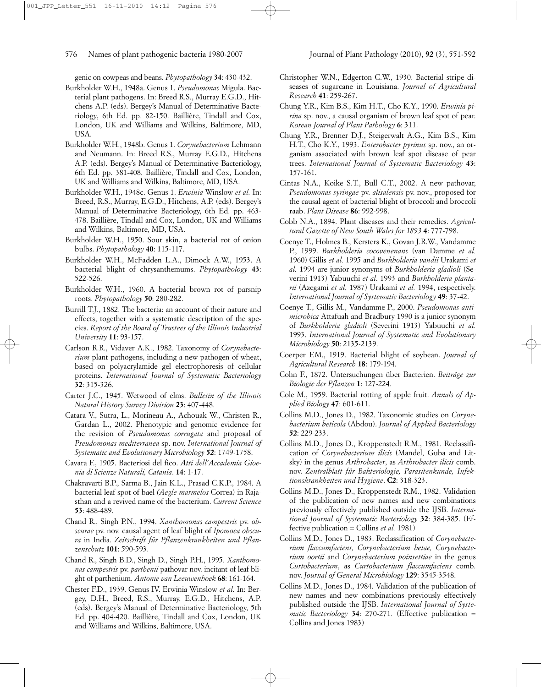genic on cowpeas and beans. *Phytopathology* **34**: 430-432.

- Burkholder W.H., 1948a. Genus 1. *Pseudomonas* Migula. Bacterial plant pathogens. In: Breed R.S., Murray E.G.D., Hitchens A.P. (eds). Bergey's Manual of Determinative Bacteriolog*y*, 6th Ed. pp. 82-150. Baillière, Tindall and Cox, London, UK and Williams and Wilkins, Baltimore, MD, USA.
- Burkholder W.H., 1948b. Genus 1. *Corynebacterium* Lehmann and Neumann. In: Breed R.S., Murray E.G.D., Hitchens A.P. (eds). Bergey's Manual of Determinative Bacteriology, 6th Ed. pp. 381-408. Baillière, Tindall and Cox, London, UK and Williams and Wilkins, Baltimore, MD, USA.
- Burkholder W.H., 1948c. Genus 1. *Erwinia* Winslow *et al.* In: Breed, R.S., Murray, E.G.D., Hitchens, A.P. (eds). Bergey's Manual of Determinative Bacteriology, 6th Ed. pp. 463- 478. Baillière, Tindall and Cox, London, UK and Williams and Wilkins, Baltimore, MD, USA.
- Burkholder W.H., 1950. Sour skin, a bacterial rot of onion bulbs. *Phytopathology* **40**: 115-117.
- Burkholder W.H., McFadden L.A., Dimock A.W., 1953. A bacterial blight of chrysanthemums. *Phytopathology* **43**: 522-526.
- Burkholder W.H., 1960. A bacterial brown rot of parsnip roots. *Phytopathology* **50**: 280-282.
- Burrill T.J., 1882. The bacteria: an account of their nature and effects, together with a systematic description of the species. *Report of the Board of Trustees of the Illinois Industrial University* **11**: 93-157.
- Carlson R.R., Vidaver A.K., 1982. Taxonomy of *Corynebacterium* plant pathogens, including a new pathogen of wheat, based on polyacrylamide gel electrophoresis of cellular proteins. *International Journal of Systematic Bacteriology* **32**: 315-326.
- Carter J.C., 1945. Wetwood of elms. *Bulletin of the Illinois Natural History Survey Division* **23**: 407-448.
- Catara V., Sutra, L., Morineau A., Achouak W., Christen R., Gardan L., 2002. Phenotypic and genomic evidence for the revision of *Pseudomonas corrugata* and proposal of *Pseudomonas mediterranea* sp. nov. *International Journal of Systematic and Evolutionary Microbiology* **52**: 1749-1758.
- Cavara F., 1905. Bacteriosi del fico. *Atti dell'Accademia Gioenia di Scienze Naturali, Catania*. **14**: 1-17.
- Chakravarti B.P., Sarma B., Jain K.L., Prasad C.K.P., 1984. A bacterial leaf spot of bael *(Aegle marmelos* Correa) in Rajasthan and a revived name of the bacterium. *Current Science* **53**: 488-489.
- Chand R., Singh P.N., 1994. *Xanthomonas campestris* pv. *obscurae* pv. nov. causal agent of leaf blight of *Ipomoea obscura* in India. *Zeitschrift für Pflanzenkrankheiten und Pflanzenschutz* **101**: 590-593.
- Chand R., Singh B.D., Singh D., Singh P.H., 1995. *Xanthomonas campestris* pv. *parthenii* pathovar nov. incitant of leaf blight of parthenium. *Antonie van Leeuwenhoek* **68**: 161-164.
- Chester F.D., 1939. Genus IV. Erwinia Winslow *et al*. In: Bergey, D.H., Breed, R.S., Murray, E.G.D., Hitchens, A.P. (eds). Bergey's Manual of Determinative Bacteriology, 5th Ed. pp. 404-420. Baillière, Tindall and Cox, London, UK and Williams and Wilkins, Baltimore, USA.
- Christopher W.N., Edgerton C.W., 1930. Bacterial stripe diseases of sugarcane in Louisiana. *Journal of Agricultural Research* **41**: 259-267.
- Chung Y.R., Kim B.S., Kim H.T., Cho K.Y., 1990. *Erwinia pirina* sp. nov., a causal organism of brown leaf spot of pear. *Korean Journal of Plant Pathology* **6**: 311.
- Chung Y.R., Brenner D.J., Steigerwalt A.G., Kim B.S., Kim H.T., Cho K.Y., 1993. *Enterobacter pyrinus* sp. nov., an organism associated with brown leaf spot disease of pear trees. *International Journal of Systematic Bacteriology* **43**: 157-161.
- Cintas N.A., Koike S.T., Bull C.T., 2002. A new pathovar, *Pseudomonas syringae* pv. *alisalensis* pv. nov., proposed for the causal agent of bacterial blight of broccoli and broccoli raab. *Plant Disease* **86**: 992-998.
- Cobb N.A., 1894. Plant diseases and their remedies. *Agricultural Gazette of New South Wales for 1893* **4**: 777-798.
- Coenye T., Holmes B., Kersters K., Govan J.R.W., Vandamme P., 1999. *Burkholderia cocovenenans* (van Damme *et al.* 1960) Gillis *et al.* 1995 and *Burkholderia vandii* Urakami *et al.* 1994 are junior synonyms of *Burkholderia gladioli* (Severini 1913) Yabuuchi *et al*. 1993 and *Burkholderia plantarii* (Azegami *et al.* 1987) Urakami *et al.* 1994, respectively. *International Journal of Systematic Bacteriology* **49**: 37-42.
- Coenye T., Gillis M., Vandamme P., 2000. *Pseudomonas antimicrobica* Attafuah and Bradbury 1990 is a junior synonym of *Burkholderia gladioli* (Severini 1913) Yabuuchi *et al.* 1993. *International Journal of Systematic and Evolutionary Microbiology* **50**: 2135-2139.
- Coerper F.M., 1919. Bacterial blight of soybean. *Journal of Agricultural Research* **18**: 179-194.
- Cohn F., 1872. Untersuchungen über Bacterien. *Beiträge zur Biologie der Pflanzen* **1**: 127-224.
- Cole M., 1959. Bacterial rotting of apple fruit. *Annals of Applied Biology* **47**: 601-611.
- Collins M.D., Jones D., 1982. Taxonomic studies on *Corynebacterium beticola* (Abdou). *Journal of Applied Bacteriology* **52**: 229-233.
- Collins M.D., Jones D., Kroppenstedt R.M., 1981. Reclassification of *Corynebacterium ilicis* (Mandel, Guba and Litsky) in the genus *Arthrobacter*, as *Arthrobacter ilicis* comb. nov. *Zentralblatt für Bakteriologie, Parasitenkunde, Infektionskrankheiten und Hygiene*. **C2**: 318-323.
- Collins M.D., Jones D., Kroppenstedt R.M., 1982. Validation of the publication of new names and new combinations previously effectively published outside the IJSB. *International Journal of Systematic Bacteriology* **32**: 384-385. (Effective publication = Collins *et al.* 1981)
- Collins M.D., Jones D., 1983. Reclassification of *Corynebacterium flaccumfaciens, Corynebacterium betae, Corynebacterium oortii* and *Corynebacterium poinsettiae* in the genus *Curtobacterium*, as *Curtobacterium flaccumfaciens* comb. nov. *Journal of General Microbiology* **129**: 3545-3548.
- Collins M.D., Jones D., 1984. Validation of the publication of new names and new combinations previously effectively published outside the IJSB. *International Journal of Systematic Bacteriology* **34**: 270-271. (Effective publication = Collins and Jones 1983)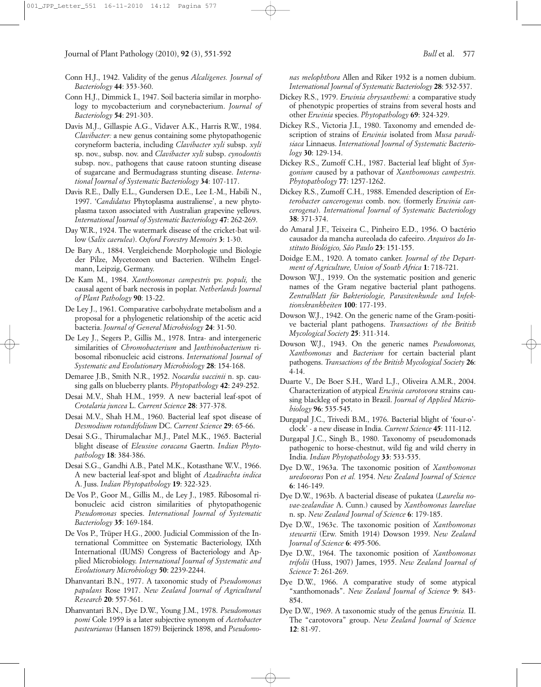- Conn H.J., 1942. Validity of the genus *Alcaligenes. Journal of Bacteriology* **44**: 353-360.
- Conn H.J., Dimmick I., 1947. Soil bacteria similar in morphology to mycobacterium and corynebacterium. *Journal of Bacteriology* **54**: 291-303.
- Davis M.J., Gillaspie A.G., Vidaver A.K., Harris R.W., 1984. *Clavibacter:* a new genus containing some phytopathogenic coryneform bacteria, including *Clavibacter xyli* subsp. *xyli* sp. nov., subsp. nov. and *Clavibacter xyli* subsp. *cynodontis* subsp. nov., pathogens that cause ratoon stunting disease of sugarcane and Bermudagrass stunting disease. *International Journal of Systematic Bacteriology* **34**: 107-117.
- Davis R.E., Dally E.L., Gundersen D.E., Lee I.-M., Habili N., 1997. '*Candidatus* Phytoplasma australiense', a new phytoplasma taxon associated with Australian grapevine yellows. *International Journal of Systematic Bacteriology* **47**: 262-269.
- Day W.R., 1924. The watermark disease of the cricket-bat willow (*Salix caerulea*). *Oxford Forestry Memoirs* **3**: 1-30.
- De Bary A., 1884. Vergleichende Morphologie und Biologie der Pilze, Mycetozoen und Bacterien. Wilhelm Engelmann, Leipzig, Germany.
- De Kam M., 1984. *Xanthomonas campestris* pv. *populi,* the causal agent of bark necrosis in poplar. *Netherlands Journal of Plant Pathology* **90**: 13-22.
- De Ley J., 1961. Comparative carbohydrate metabolism and a proposal for a phylogenetic relationship of the acetic acid bacteria. *Journal of General Microbiology* **24**: 31-50.
- De Ley J., Segers P., Gillis M., 1978. Intra- and intergeneric similarities of *Chromobacterium* and *Janthinobacterium* ribosomal ribonucleic acid cistrons. *International Journal of Systematic and Evolutionary Microbiology* **28**: 154-168.
- Demaree J.B., Smith N.R., 1952. *Nocardia vaccinii* n. sp. causing galls on blueberry plants. *Phytopathology* **42**: 249-252.
- Desai M.V., Shah H.M., 1959. A new bacterial leaf-spot of *Crotalaria juncea* L. *Current Science* **28**: 377-378.
- Desai M.V., Shah H.M., 1960. Bacterial leaf spot disease of *Desmodium rotundifolium* DC. *Current Science* **29**: 65-66.
- Desai S.G., Thirumalachar M.J., Patel M.K., 1965. Bacterial blight disease of *Eleusine coracana* Gaertn. *Indian Phytopathology* **18**: 384-386.
- Desai S.G., Gandhi A.B., Patel M.K., Kotasthane W.V., 1966. A new bacterial leaf-spot and blight of *Azadirachta indica* A. Juss. *Indian Phytopathology* **19**: 322-323.
- De Vos P., Goor M., Gillis M., de Ley J., 1985. Ribosomal ribonucleic acid cistron similarities of phytopathogenic *Pseudomonas* species. *International Journal of Systematic Bacteriology* **35**: 169-184.
- De Vos P., Trüper H.G., 2000. Judicial Commission of the International Committee on Systematic Bacteriology, IXth International (IUMS) Congress of Bacteriology and Applied Microbiology. *International Journal of Systematic and Evolutionary Microbiology* **50**: 2239-2244.
- Dhanvantari B.N., 1977. A taxonomic study of *Pseudomonas papulans* Rose 1917. *New Zealand Journal of Agricultural Research* **20**: 557-561.
- Dhanvantari B.N., Dye D.W., Young J.M., 1978. *Pseudomonas pomi* Cole 1959 is a later subjective synonym of *Acetobacter pasteurianus* (Hansen 1879) Beijerinck 1898, and *Pseudomo-*

*nas melophthora* Allen and Riker 1932 is a nomen dubium. *International Journal of Systematic Bacteriology* **28**: 532-537.

- Dickey R.S., 1979. *Erwinia chrysanthemi:* a comparative study of phenotypic properties of strains from several hosts and other *Erwinia* species. *Phytopathology* **69**: 324-329.
- Dickey R.S., Victoria J.I., 1980. Taxonomy and emended description of strains of *Erwinia* isolated from *Musa paradisiaca* Linnaeus. *International Journal of Systematic Bacteriology* **30**: 129-134.
- Dickey R.S., Zumoff C.H., 1987. Bacterial leaf blight of *Syngonium* caused by a pathovar of *Xanthomonas campestris. Phytopathology* **77**: 1257-1262.
- Dickey R.S., Zumoff C.H., 1988. Emended description of *Enterobacter cancerogenus* comb. nov. (formerly *Erwinia cancerogena*). *International Journal of Systematic Bacteriology* **38**: 371-374.
- do Amaral J.F., Teixeira C., Pinheiro E.D., 1956. O bactério causador da mancha aureolada do cafeeiro. *Arquivos do Instituto Biológico, São Paulo* **23**: 151-155.
- Doidge E.M., 1920. A tomato canker. *Journal of the Department of Agriculture, Union of South Africa* **1**: 718-721.
- Dowson W.J., 1939. On the systematic position and generic names of the Gram negative bacterial plant pathogens. *Zentralblatt für Bakteriologie, Parasitenkunde und Infektionskrankheiten* **100**: 177-193.
- Dowson W.J., 1942. On the generic name of the Gram-positive bacterial plant pathogens. *Transactions of the British Mycological Society* **25**: 311-314.
- Dowson W.J., 1943. On the generic names *Pseudomonas, Xanthomonas* and *Bacterium* for certain bacterial plant pathogens. *Transactions of the British Mycological Society* **26**: 4-14.
- Duarte V., De Boer S.H., Ward L.J., Oliveira A.M.R., 2004. Characterization of atypical *Erwinia carotovora* strains causing blackleg of potato in Brazil. *Journal of Applied Micriobiology* **96**: 535-545.
- Durgapal J.C., Trivedi B.M., 1976. Bacterial blight of 'four-o' clock' - a new disease in India. *Current Science* **45**: 111-112.
- Durgapal J.C., Singh B., 1980. Taxonomy of pseudomonads pathogenic to horse-chestnut, wild fig and wild cherry in India. *Indian Phytopathology* **33**: 533-535.
- Dye D.W., 1963a. The taxonomic position of *Xanthomonas uredovorus* Pon *et al.* 1954. *New Zealand Journal of Science* **6**: 146-149.
- Dye D.W., 1963b. A bacterial disease of pukatea (*Laurelia novae-zealandiae* A. Cunn.) caused by *Xanthomonas laureliae* n. sp. *New Zealand Journal of Science* **6**: 179-185.
- Dye D.W., 1963c. The taxonomic position of *Xanthomonas stewartii* (Erw. Smith 1914) Dowson 1939. *New Zealand Journal of Science* **6**: 495-506.
- Dye D.W., 1964. The taxonomic position of *Xanthomonas trifolii* (Huss, 1907) James, 1955. *New Zealand Journal of Science* **7**: 261-269.
- Dye D.W., 1966. A comparative study of some atypical "xanthomonads". *New Zealand Journal of Science* **9**: 843- 854.
- Dye D.W., 1969. A taxonomic study of the genus *Erwinia.* II. The "carotovora" group. *New Zealand Journal of Science* **12**: 81-97.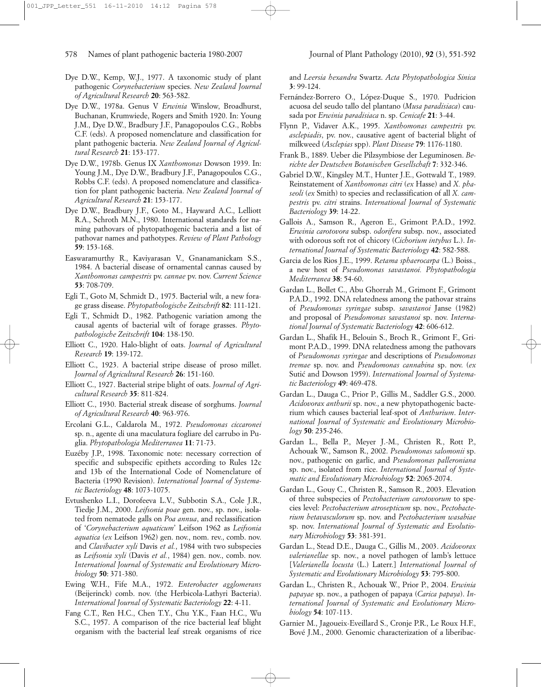- Dye D.W., Kemp, W.J., 1977. A taxonomic study of plant pathogenic *Corynebacterium* species. *New Zealand Journal of Agricultural Research* **20**: 563-582.
- Dye D.W., 1978a. Genus V *Erwinia* Winslow, Broadhurst, Buchanan, Krumwiede, Rogers and Smith 1920. In: Young J.M., Dye D.W., Bradbury J.F., Panagopoulos C.G., Robbs C.F. (eds). A proposed nomenclature and classification for plant pathogenic bacteria. *New Zealand Journal of Agricultural Research* **21**: 153-177.
- Dye D.W., 1978b. Genus IX *Xanthomonas* Dowson 1939. In: Young J.M., Dye D.W., Bradbury J.F., Panagopoulos C.G., Robbs C.F. (eds). A proposed nomenclature and classification for plant pathogenic bacteria. *New Zealand Journal of Agricultural Research* **21**: 153-177.
- Dye D.W., Bradbury J.F., Goto M., Hayward A.C., Lelliott R.A., Schroth M.N., 1980. International standards for naming pathovars of phytopathogenic bacteria and a list of pathovar names and pathotypes. *Review of Plant Pathology* **59**: 153-168.
- Easwaramurthy R., Kaviyarasan V., Gnanamanickam S.S., 1984. A bacterial disease of ornamental cannas caused by *Xanthomonas campestris* pv. *cannae* pv. nov. *Current Science* **53**: 708-709.
- Egli T., Goto M, Schmidt D., 1975. Bacterial wilt, a new forage grass disease. *Phytopathologische Zeitschrift* **82**: 111-121.
- Egli T., Schmidt D., 1982. Pathogenic variation among the causal agents of bacterial wilt of forage grasses. *Phytopathologische Zeitschrift* **104**: 138-150.
- Elliott C., 1920. Halo-blight of oats. *Journal of Agricultural Research* **19**: 139-172.
- Elliott C., 1923. A bacterial stripe disease of proso millet. *Journal of Agricultural Research* **26**: 151-160.
- Elliott C., 1927. Bacterial stripe blight of oats. *Journal of Agricultural Research* **35**: 811-824.
- Elliott C., 1930. Bacterial streak disease of sorghums. *Journal of Agricultural Research* **40**: 963-976.
- Ercolani G.L., Caldarola M., 1972. *Pseudomonas ciccaronei* sp. n., agente di una maculatura fogliare del carrubo in Puglia. *Phytopathologia Mediterranea* **11**: 71-73.
- Euzéby J.P., 1998. Taxonomic note: necessary correction of specific and subspecific epithets according to Rules 12c and 13b of the International Code of Nomenclature of Bacteria (1990 Revision). *International Journal of Systematic Bacteriology* **48**: 1073-1075.
- Evtushenko L.I., Dorofeeva L.V., Subbotin S.A., Cole J.R., Tiedje J.M., 2000. *Leifsonia poae* gen. nov., sp. nov., isolated from nematode galls on *Poa annua*, and reclassification of '*Corynebacterium aquaticum*' Leifson 1962 as *Leifsonia aquatica* (*ex* Leifson 1962) gen. nov., nom. rev., comb. nov. and *Clavibacter xyli* Davis *et al.*, 1984 with two subspecies as *Leifsonia xyli* (Davis *et al.*, 1984) gen. nov., comb. nov. *International Journal of Systematic and Evolutionary Microbiology* **50**: 371-380.
- Ewing W.H., Fife M.A., 1972. *Enterobacter agglomerans* (Beijerinck) comb. nov. (the Herbicola-Lathyri Bacteria). *International Journal of Systematic Bacteriology* **22**: 4-11.
- Fang C.T., Ren H.C., Chen T.Y., Chu Y.K., Faan H.C., Wu S.C., 1957. A comparison of the rice bacterial leaf blight organism with the bacterial leaf streak organisms of rice

and *Leersia hexandra* Swartz. *Acta Phytopathologica Sinica* **3**: 99-124.

- Fernández-Borrero O., López-Duque S., 1970. Pudricion acuosa del seudo tallo del plantano (*Musa paradisiaca*) causada por *Erwinia paradisiaca* n. sp. *Cenicafe* **21**: 3-44.
- Flynn P., Vidaver A.K., 1995. *Xanthomonas campestris* pv. *asclepiadis*, pv. nov., causative agent of bacterial blight of milkweed (*Asclepias* spp). *Plant Disease* **79**: 1176-1180.
- Frank B., 1889. Ueber die Pilzsymbiose der Leguminosen. *Berichte der Deutschen Botanischen Gesellschaft* **7**: 332-346.
- Gabriel D.W., Kingsley M.T., Hunter J.E., Gottwald T., 1989. Reinstatement of *Xanthomonas citri* (*ex* Hasse) and *X. phaseoli* (*ex* Smith) to species and reclassification of all *X. campestris* pv. *citri* strains. *International Journal of Systematic Bacteriology* **39**: 14-22.
- Gallois A., Samson R., Ageron E., Grimont P.A.D., 1992. *Erwinia carotovora* subsp. *odorifera* subsp. nov., associated with odorous soft rot of chicory (*Cichorium intybus* L.). *International Journal of Systematic Bacteriology* **42**: 582-588.
- Garcia de los Rios J.E., 1999. *Retama sphaerocarpa* (L.) Boiss., a new host of *Pseudomonas savastanoi. Phytopathologia Mediterranea* **38**: 54-60.
- Gardan L., Bollet C., Abu Ghorrah M., Grimont F., Grimont P.A.D., 1992. DNA relatedness among the pathovar strains of *Pseudomonas syringae* subsp. *savastanoi* Janse (1982) and proposal of *Pseudomonas savastanoi* sp. nov. *International Journal of Systematic Bacteriology* **42**: 606-612.
- Gardan L., Shafik H., Belouin S., Broch R., Grimont F., Grimont P.A.D., 1999. DNA relatedness among the pathovars of *Pseudomonas syringae* and descriptions of *Pseudomonas tremae* sp. nov. and *Pseudomonas cannabina* sp. nov. (*ex* Sutic´ and Dowson 1959). *International Journal of Systematic Bacteriology* **49**: 469-478.
- Gardan L., Dauga C., Prior P., Gillis M., Saddler G.S., 2000. *Acidovorax anthurii* sp. nov., a new phytopathogenic bacterium which causes bacterial leaf-spot of *Anthurium*. *International Journal of Systematic and Evolutionary Microbiology* **50**: 235-246.
- Gardan L., Bella P., Meyer J.-M., Christen R., Rott P., Achouak W., Samson R., 2002. *Pseudomonas salomonii* sp. nov., pathogenic on garlic, and *Pseudomonas palleroniana* sp. nov., isolated from rice. *International Journal of Systematic and Evolutionary Microbiology* **52**: 2065-2074.
- Gardan L., Gouy C., Christen R., Samson R., 2003. Elevation of three subspecies of *Pectobacterium carotovorum* to species level: *Pectobacterium atrosepticum* sp. nov., *Pectobacterium betavasculorum* sp. nov. and *Pectobacterium wasabiae* sp. nov. *International Journal of Systematic and Evolutionary Microbiology* **53**: 381-391.
- Gardan L., Stead D.E., Dauga C., Gillis M., 2003. *Acidovorax valerianellae* sp. nov., a novel pathogen of lamb's lettuce [*Valerianella locusta* (L.) Laterr.] *International Journal of Systematic and Evolutionary Microbiology* **53**: 795-800.
- Gardan L., Christen R., Achouak W., Prior P., 2004. *Erwinia papayae* sp. nov., a pathogen of papaya (*Carica papaya*). *International Journal of Systematic and Evolutionary Microbiology* **54**: 107-113.
- Garnier M., Jagoueix-Eveillard S., Cronje P.R., Le Roux H.F., Bové J.M., 2000. Genomic characterization of a liberibac-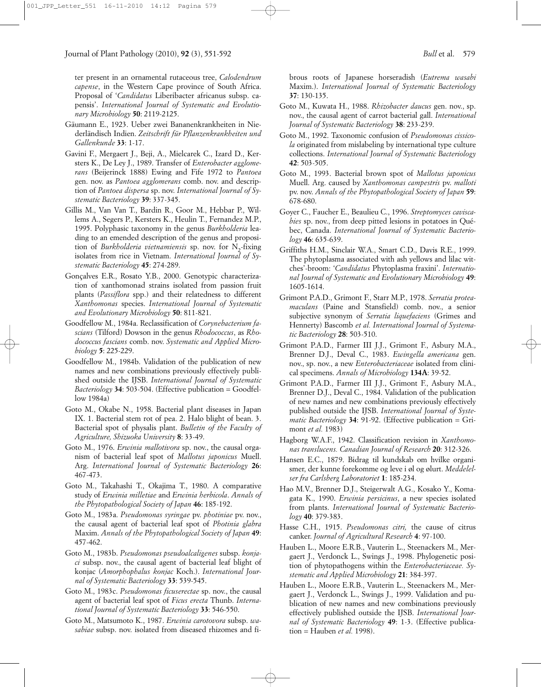ter present in an ornamental rutaceous tree, *Calodendrum capense*, in the Western Cape province of South Africa. Proposal of '*Candidatus* Liberibacter africanus subsp. capensis'. *International Journal of Systematic and Evolutionary Microbiology* **50**: 2119-2125.

- Gäumann E., 1923. Ueber zwei Bananenkrankheiten in Niederländisch Indien. *Zeitschrift für Pflanzenkrankheiten und Gallenkunde* **33**: 1-17.
- Gavini F., Mergaert J., Beji, A., Mielcarek C., Izard D., Kersters K., De Ley J., 1989. Transfer of *Enterobacter agglomerans* (Beijerinck 1888) Ewing and Fife 1972 to *Pantoea* gen. nov. as *Pantoea agglomerans* comb. nov. and description of *Pantoea dispersa* sp. nov. *International Journal of Systematic Bacteriology* **39**: 337-345.
- Gillis M., Van Van T., Bardin R., Goor M., Hebbar P., Willems A., Segers P., Kersters K., Heulin T., Fernandez M.P., 1995. Polyphasic taxonomy in the genus *Burkholderia* leading to an emended description of the genus and proposition of *Burkholderia vietnamiensis* sp. nov. for N<sub>2</sub>-fixing isolates from rice in Vietnam. *International Journal of Systematic Bacteriology* **45**: 274-289.
- Gonçalves E.R., Rosato Y.B., 2000. Genotypic characterization of xanthomonad strains isolated from passion fruit plants (*Passiflora* spp.) and their relatedness to different *Xanthomonas* species. *International Journal of Systematic and Evolutionary Microbiology* **50**: 811-821.
- Goodfellow M., 1984a. Reclassification of *Corynebacterium fascians* (Tilford) Dowson in the genus *Rhodococcus*, as *Rhodococcus fascians* comb. nov. *Systematic and Applied Microbiology* **5**: 225-229.
- Goodfellow M., 1984b. Validation of the publication of new names and new combinations previously effectively published outside the IJSB. *International Journal of Systematic Bacteriology* **34**: 503-504. (Effective publication = Goodfellow 1984a)
- Goto M., Okabe N., 1958. Bacterial plant diseases in Japan IX. 1. Bacterial stem rot of pea. 2. Halo blight of bean. 3. Bacterial spot of physalis plant. *Bulletin of the Faculty of Agriculture, Shizuoka University* **8**: 33-49.
- Goto M., 1976. *Erwinia mallotivora* sp. nov., the causal organism of bacterial leaf spot of *Mallotus japonicus* Muell. Arg. *International Journal of Systematic Bacteriology* **26**: 467-473.
- Goto M., Takahashi T., Okajima T., 1980. A comparative study of *Erwinia milletiae* and *Erwinia herbicola*. *Annals of the Phytopathological Society of Japan* **46**: 185-192.
- Goto M., 1983a. *Pseudomonas syringae* pv. *photiniae* pv. nov., the causal agent of bacterial leaf spot of *Photinia glabra* Maxim. *Annals of the Phytopathological Society of Japan* **49**: 457-462.
- Goto M., 1983b. *Pseudomonas pseudoalcaligenes* subsp. *konjaci* subsp. nov., the causal agent of bacterial leaf blight of konjac (*Amorphophalus konjac* Koch.). *International Journal of Systematic Bacteriology* **33**: 539-545.
- Goto M., 1983c. *Pseudomonas ficuserectae* sp. nov., the causal agent of bacterial leaf spot of *Ficus erecta* Thunb. *International Journal of Systematic Bacteriology* **33**: 546-550.
- Goto M., Matsumoto K., 1987. *Erwinia carotovora* subsp. *wasabiae* subsp. nov. isolated from diseased rhizomes and fi-

brous roots of Japanese horseradish (*Eutrema wasabi* Maxim.). *International Journal of Systematic Bacteriology* **37**: 130-135.

- Goto M., Kuwata H., 1988. *Rhizobacter daucus* gen. nov., sp. nov., the causal agent of carrot bacterial gall. *International Journal of Systematic Bacteriology* **38**: 233-239.
- Goto M., 1992. Taxonomic confusion of *Pseudomonas cissicola* originated from mislabeling by international type culture collections. *International Journal of Systematic Bacteriology* **42**: 503-505.
- Goto M., 1993. Bacterial brown spot of *Mallotus japonicus* Muell. Arg. caused by *Xanthomonas campestris* pv. *malloti* pv. nov. *Annals of the Phytopathological Society of Japan* **59**: 678-680.
- Goyer C., Faucher E., Beaulieu C., 1996. *Streptomyces caviscabies* sp. nov., from deep pitted lesions in potatoes in Québec, Canada. *International Journal of Systematic Bacteriology* **46**: 635-639.
- Griffiths H.M., Sinclair W.A., Smart C.D., Davis R.E., 1999. The phytoplasma associated with ash yellows and lilac witches'-broom: '*Candidatus* Phytoplasma fraxini'. *International Journal of Systematic and Evolutionary Microbiology* **49**: 1605-1614.
- Grimont P.A.D., Grimont F., Starr M.P., 1978. *Serratia proteamaculans* (Paine and Stansfield) comb. nov., a senior subjective synonym of *Serratia liquefaciens* (Grimes and Hennerty) Bascomb *et al. International Journal of Systematic Bacteriology* **28**: 503-510.
- Grimont P.A.D., Farmer III J.J., Grimont F., Asbury M.A., Brenner D.J., Deval C., 1983. *Ewingella americana* gen. nov., sp. nov., a new *Enterobacteriaceae* isolated from clinical specimens. *Annals of Microbiology* **134A**: 39-52.
- Grimont P.A.D., Farmer III J.J., Grimont F., Asbury M.A., Brenner D.J., Deval C., 1984. Validation of the publication of new names and new combinations previously effectively published outside the IJSB. *International Journal of Systematic Bacteriology* **34**: 91-92. (Effective publication = Grimont *et al.* 1983)
- Hagborg W.A.F., 1942. Classification revision in *Xanthomonas translucens. Canadian Journal of Research* **20**: 312-326.
- Hansen E.C., 1879. Bidrag til kundskab om hvilke organismer, der kunne forekomme og leve i øl og ølurt. *Meddelelser fra Carlsberg Laboratoriet* **1**: 185-234.
- Hao M.V., Brenner D.J., Steigerwalt A.G., Kosako Y., Komagata K., 1990. *Erwinia persicinus*, a new species isolated from plants. *International Journal of Systematic Bacteriology* **40**: 379-383.
- Hasse C.H., 1915. *Pseudomonas citri,* the cause of citrus canker. *Journal of Agricultural Research* **4**: 97-100.
- Hauben L., Moore E.R.B., Vauterin L., Steenackers M., Mergaert J., Verdonck L., Swings J., 1998. Phylogenetic position of phytopathogens within the *Enterobacteriaceae. Systematic and Applied Microbiology* **21**: 384-397.
- Hauben L., Moore E.R.B., Vauterin L., Steenackers M., Mergaert J., Verdonck L., Swings J., 1999. Validation and publication of new names and new combinations previously effectively published outside the IJSB. *International Journal of Systematic Bacteriology* **49**: 1-3. (Effective publication = Hauben *et al.* 1998).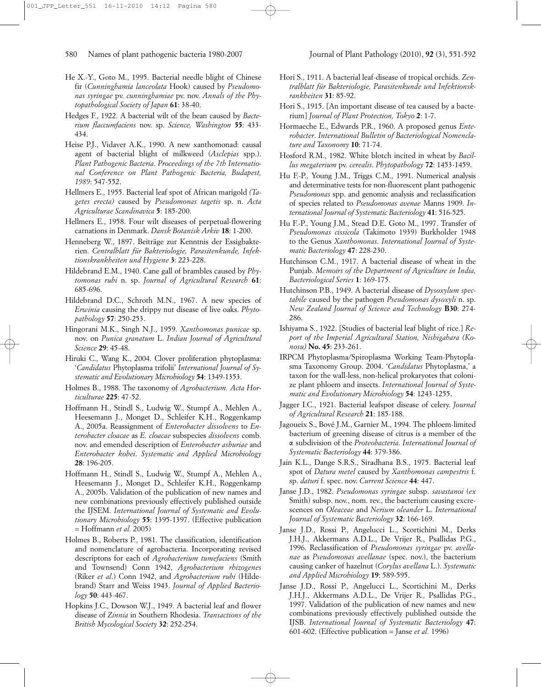- He X.-Y., Goto M., 1995. Bacterial needle blight of Chinese fir (*Cunninghamia lanceolata* Hook) caused by *Pseudomonas syringae* pv. *cunninghamiae* pv. nov. *Annals of the Phytopathological Society of Japan* **61**: 38-40.
- Hedges F., 1922. A bacterial wilt of the bean caused by *Bacterium flaccumfaciens* nov. sp. *Science, Washington* **55**: 433- 434.
- Heise P.J., Vidaver A.K., 1990. A new xanthomonad: causal agent of bacterial blight of milkweed (*Asclepias* spp.). *Plant Pathogenic Bacteria*. *Proceedings of the 7th International Conference on Plant Pathogenic Bacteria, Budapest, 1989*: 547-552.
- Hellmers E., 1955. Bacterial leaf spot of African marigold *(Tagetes erecta)* caused by *Pseudomonas tagetis* sp. n. *Acta Agriculturae Scandinavica* **5**: 185-200.
- Hellmers E., 1958. Four wilt diseases of perpetual-flowering carnations in Denmark. *Dansk Botanisk Arkiv* **18**: 1-200.
- Henneberg W., 1897. Beiträge zur Kenntnis der Essigbakterien. *Centralblatt für Bakteriologie, Parasitenkunde, Infektionskrankheiten und Hygiene* **3**: 223-228.
- Hildebrand E.M., 1940. Cane gall of brambles caused by *Phytomonas rubi* n. sp. *Journal of Agricultural Research* **61**: 685-696.
- Hildebrand D.C., Schroth M.N., 1967. A new species of *Erwinia* causing the drippy nut disease of live oaks. *Phytopathology* **57**: 250-253.
- Hingorani M.K., Singh N.J., 1959. *Xanthomonas punicae* sp. nov. on *Punica granatum* L. *Indian Journal of Agricultural Science* **29**: 45-48.
- Hiruki C., Wang K., 2004. Clover proliferation phytoplasma: '*Candidatus* Phytoplasma trifolii' *International Journal of Systematic and Evolutionary Microbiology* **54**: 1349-1353.
- Holmes B., 1988. The taxonomy of *Agrobacterium. Acta Horticulturae* **225**: 47-52.
- Hoffmann H., Stindl S., Ludwig W., Stumpf A., Mehlen A., Heesemann J., Monget D., Schleifer K.H., Roggenkamp A., 2005a. Reassignment of *Enterobacter dissolvens* to *Enterobacter cloacae* as *E. cloacae* subspecies *dissolvens* comb. nov. and emended description of *Enterobacter asburiae* and *Enterobacter kobei*. *Systematic and Applied Microbiology* **28**: 196-205.
- Hoffmann H., Stindl S., Ludwig W., Stumpf A., Mehlen A., Heesemann J., Monget D., Schleifer K.H., Roggenkamp A., 2005b. Validation of the publication of new names and new combinations previously effectively published outside the IJSEM. *International Journal of Systematic and Evolutionary Microbiology* **55**: 1395-1397. (Effective publication = Hoffmann *et al.* 2005)
- Holmes B., Roberts P., 1981. The classification, identification and nomenclature of agrobacteria. Incorporating revised descriptons for each of *Agrobacterium tumefaciens* (Smith and Townsend) Conn 1942, *Agrobacterium rhizogenes* (Riker *et al*.) Conn 1942, and *Agrobacterium rubi* (Hildebrand) Starr and Weiss 1943. *Journal of Applied Bacteriology* **50**: 443-467.
- Hopkins J.C., Dowson W.J., 1949. A bacterial leaf and flower disease of *Zinnia* in Southern Rhodesia. *Transactions of the British Mycological Society* **32**: 252-254.
- Hori S., 1911. A bacterial leaf-disease of tropical orchids. *Zentralblatt für Bakteriologie, Parasitenkunde und Infektionskrankheiten* **31**: 85-92.
- Hori S., 1915. [An important disease of tea caused by a bacterium] *Journal of Plant Protection, Tokyo* **2**: 1-7.
- Hormaeche E., Edwards P.R., 1960. A proposed genus *Enterobacter*. *International Bulletin of Bacteriological Nomenclature and Taxonomy* **10**: 71-74.
- Hosford R.M., 1982. White blotch incited in wheat by *Bacillus megaterium* pv. *cerealis*. *Phytopathology* **72**: 1453-1459.
- Hu F.-P., Young J.M., Triggs C.M., 1991. Numerical analysis and determinative tests for non-fluorescent plant pathogenic *Pseudomonas* spp. and genomic analysis and reclassification of species related to *Pseudomonas avenae* Manns 1909. *International Journal of Systematic Bacteriology* **41**: 516-525.
- Hu F.-P., Young J.M., Stead D.E. Goto M., 1997. Transfer of *Pseudomonas cissicola* (Takimoto 1939) Burkholder 1948 to the Genus *Xanthomonas*. *International Journal of Systematic Bacteriology* **47**: 228-230.
- Hutchinson C.M., 1917. A bacterial disease of wheat in the Punjab. *Memoirs of the Department of Agriculture in India, Bacteriological Series* **1**: 169-175.
- Hutchinson P.B., 1949. A bacterial disease of *Dysoxylum spectabile* caused by the pathogen *Pseudomonas dysoxyli* n. sp. *New Zealand Journal of Science and Technology* **B30**: 274- 286.
- Ishiyama S., 1922. [Studies of bacterial leaf blight of rice.] *Report of the Imperial Agricultural Station, Nishigahara (Konosu)* **No. 45**: 233-261.
- IRPCM Phytoplasma/Spiroplasma Working Team-Phytoplasma Taxonomy Group. 2004. '*Candidatus* Phytoplasma,' a taxon for the wall-less, non-helical prokaryotes that colonize plant phloem and insects. *International Journal of Systematic and Evolutionary Microbiology* **54**: 1243-1255.
- Jagger I.C., 1921. Bacterial leafspot disease of celery. *Journal of Agricultural Research* **21**: 185-188.
- Jagoueix S., Bové J.M., Garnier M., 1994. The phloem-limited bacterium of greening disease of citrus is a member of the a subdivision of the *Proteobacteria*. *International Journal of Systematic Bacteriology* **44**: 379-386.
- Jain K.L., Dange S.R.S., Siradhana B.S., 1975. Bacterial leaf spot of *Datura metel* caused by *Xanthomonas campestris* f. sp. *daturi* f. spec. nov. *Current Science* **44**: 447.
- Janse J.D., 1982. *Pseudomonas syringae* subsp. *savastanoi* (*ex* Smith) subsp. nov., nom. rev., the bacterium causing excrescences on *Oleaceae* and *Nerium oleander* L. *International Journal of Systematic Bacteriology* **32**: 166-169.
- Janse J.D., Rossi P., Angelucci L., Scortichini M., Derks J.H.J., Akkermans A.D.L., De Vrijer R., Psallidas P.G., 1996. Reclassification of *Pseudomonas syringae* pv. *avellanae* as *Pseudomonas avellanae* (spec. nov.), the bacterium causing canker of hazelnut (*Corylus avellana* L.). *Systematic and Applied Microbiology* **19**: 589-595.
- Janse J.D., Rossi P., Angelucci L., Scortichini M., Derks J.H.J., Akkermans A.D.L., De Vrijer R., Psallidas P.G., 1997. Validation of the publication of new names and new combinations previously effectively published outside the IJSB. *International Journal of Systematic Bacteriology* **47**: 601-602. (Effective publication = Janse *et al.* 1996)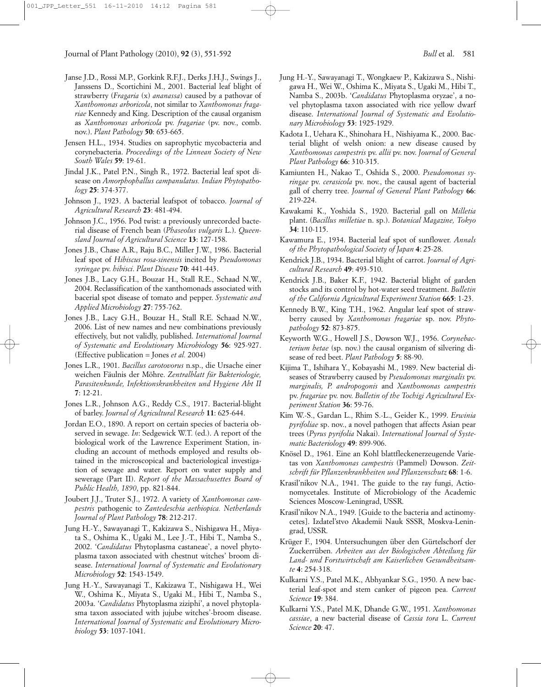- Janse J.D., Rossi M.P., Gorkink R.F.J., Derks J.H.J., Swings J., Janssens D., Scortichini M., 2001. Bacterial leaf blight of strawberry (*Fragaria* (x) *ananassa*) caused by a pathovar of *Xanthomonas arboricola*, not similar to *Xanthomonas fragariae* Kennedy and King. Description of the causal organism as *Xanthomonas arboricola* pv. *fragariae* (pv. nov., comb. nov.). *Plant Pathology* **50**: 653-665.
- Jensen H.L., 1934. Studies on saprophytic mycobacteria and corynebacteria. *Proceedings of the Linnean Society of New South Wales* **59**: 19-61.
- Jindal J.K., Patel P.N., Singh R., 1972. Bacterial leaf spot disease on *Amorphophallus campanulatus. Indian Phytopathology* **25**: 374-377.
- Johnson J., 1923. A bacterial leafspot of tobacco. *Journal of Agricultural Research* **23**: 481-494.
- Johnson J.C., 1956. Pod twist: a previously unrecorded bacterial disease of French bean (*Phaseolus vulgaris* L.). *Queensland Journal of Agricultural Science* **13**: 127-158.
- Jones J.B., Chase A.R., Raju B.C., Miller J.W., 1986. Bacterial leaf spot of *Hibiscus rosa-sinensis* incited by *Pseudomonas syringae* pv. *hibisci*. *Plant Disease* **70**: 441-443.
- Jones J.B., Lacy G.H., Bouzar H., Stall R.E., Schaad N.W., 2004. Reclassification of the xanthomonads associated with bacerial spot disease of tomato and pepper. *Systematic and Applied Microbiology* **27**: 755-762.
- Jones J.B., Lacy G.H., Bouzar H., Stall R.E. Schaad N.W., 2006. List of new names and new combinations previously effectively, but not validly, published. *International Journal of Systematic and Evolutionary Microbiol*ogy **56**: 925-927. (Effective publication = Jones *et al.* 2004)
- Jones L.R., 1901. *Bacillus carotovorus* n.sp., die Ursache einer weichen Fäulnis der Möhre. *Zentralblatt für Bakteriologie, Parasitenkunde, Infektionskrankheiten und Hygiene Abt II* **7**: 12-21.
- Jones L.R., Johnson A.G., Reddy C.S., 1917. Bacterial-blight of barley. *Journal of Agricultural Research* **11**: 625-644.
- Jordan E.O., 1890. A report on certain species of bacteria observed in sewage. *In*: Sedgewick W.T. (ed.). A report of the biological work of the Lawrence Experiment Station, including an account of methods employed and results obtained in the microscopical and bacteriological investigation of sewage and water. Report on water supply and sewerage (Part II). *Report of the Massachusettes Board of Public Health, 1890*, pp. 821-844.
- Joubert J.J., Truter S.J., 1972. A variety of *Xanthomonas campestris* pathogenic to *Zantedeschia aethiopica. Netherlands Journal of Plant Pathology* **78**: 212-217.
- Jung H.-Y., Sawayanagi T., Kakizawa S., Nishigawa H., Miyata S., Oshima K., Ugaki M., Lee J.-T., Hibi T., Namba S., 2002. '*Candidatus* Phytoplasma castaneae', a novel phytoplasma taxon associated with chestnut witches' broom disease. *International Journal of Systematic and Evolutionary Microbiology* **52**: 1543-1549.
- Jung H.-Y., Sawayanagi T., Kakizawa T., Nishigawa H., Wei W., Oshima K., Miyata S., Ugaki M., Hibi T., Namba S., 2003a. '*Candidatus* Phytoplasma ziziphi', a novel phytoplasma taxon associated with jujube witches'-broom disease. *International Journal of Systematic and Evolutionary Microbiology* **53**: 1037-1041.
- Jung H.-Y., Sawayanagi T., Wongkaew P., Kakizawa S., Nishigawa H., Wei W., Oshima K., Miyata S., Ugaki M., Hibi T., Namba S., 2003b. '*Candidatus* Phytoplasma oryzae', a novel phytoplasma taxon associated with rice yellow dwarf disease. *International Journal of Systematic and Evolutionary Microbiology* **53**: 1925-1929.
- Kadota I., Uehara K., Shinohara H., Nishiyama K., 2000. Bacterial blight of welsh onion: a new disease caused by *Xanthomonas campestris* pv. *allii* pv. nov. *Journal of General Plant Pathology* **66**: 310-315.
- Kamiunten H., Nakao T., Oshida S., 2000. *Pseudomonas syringae* pv. *cerasicola* pv. nov., the causal agent of bacterial gall of cherry tree. *Journal of General Plant Pathology* **66**: 219-224.
- Kawakami K., Yoshida S., 1920. Bacterial gall on *Milletia* plant. (*Bacillus milletiae* n. sp.). *Botanical Magazine, Tokyo* **34**: 110-115.
- Kawamura E., 1934. Bacterial leaf spot of sunflower. *Annals of the Phytopathological Society of Japan* **4**: 25-28.
- Kendrick J.B., 1934. Bacterial blight of carrot. *Journal of Agricultural Research* **49**: 493-510.
- Kendrick J.B., Baker K.F., 1942. Bacterial blight of garden stocks and its control by hot-water seed treatment. *Bulletin of the California Agricultural Experiment Station* **665**: 1-23.
- Kennedy B.W., King T.H., 1962. Angular leaf spot of strawberry caused by *Xanthomonas fragariae* sp. nov. *Phytopathology* **52**: 873-875.
- Keyworth W.G., Howell J.S., Dowson W.J., 1956. *Corynebacterium betae* (sp. nov.) the causal organism of silvering disease of red beet. *Plant Pathology* **5**: 88-90.
- Kijima T., Ishihara Y., Kobayashi M., 1989. New bacterial diseases of Strawberry caused by *Pseudomonas marginalis* pv. *marginalis, P. andropogonis* and *Xanthomonas campestris* pv. *fragariae* pv. nov. *Bulletin of the Tochigi Agricultural Experiment Station* **36**: 59-76.
- Kim W.-S., Gardan L., Rhim S.-L., Geider K., 1999. *Erwinia pyrifoliae* sp. nov., a novel pathogen that affects Asian pear trees (*Pyrus pyrifolia* Nakai). *International Journal of Systematic Bacteriology* **49**: 899-906.
- Knösel D., 1961. Eine an Kohl blattfleckenerzeugende Varietas von *Xanthomonas campestris* (Pammel) Dowson. *Zeitschrift für Pflanzenkrankheiten und Pflanzenschutz* **68**: 1-6.
- Krasil'nikov N.A., 1941. The guide to the ray fungi, Actionomycetales. Institute of Microbiology of the Academic Sciences Moscow-Leningrad, USSR.
- Krasil'nikov N.A., 1949. [Guide to the bacteria and actinomycetes]. Izdatel'stvo Akademii Nauk SSSR, Moskva-Leningrad, USSR.
- Krüger F., 1904. Untersuchungen über den Gürtelschorf der Zuckerrüben. *Arbeiten aus der Biologischen Abteilung für Land- und Forstwirtschaft am Kaiserlichen Gesundheitsamte* **4**: 254-318.
- Kulkarni Y.S., Patel M.K., Abhyankar S.G., 1950. A new bacterial leaf-spot and stem canker of pigeon pea. *Current Science* **19**: 384.
- Kulkarni Y.S., Patel M.K, Dhande G.W., 1951. *Xanthomonas cassiae*, a new bacterial disease of *Cassia tora* L. *Current Science* **20**: 47.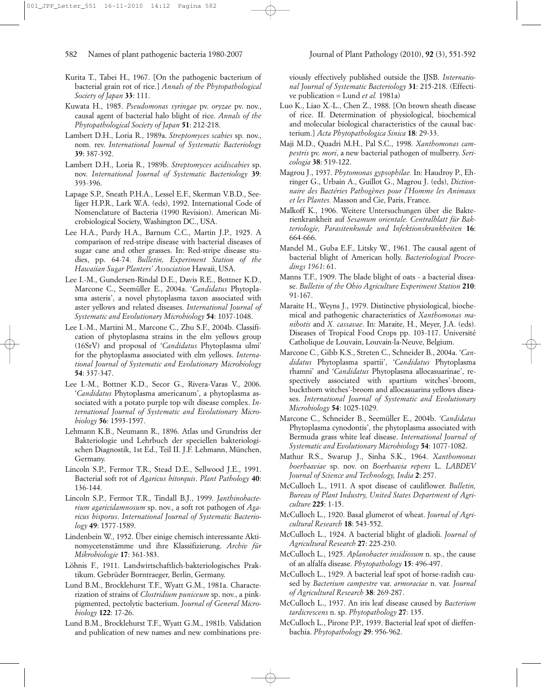- Kurita T., Tabei H., 1967. [On the pathogenic bacterium of bacterial grain rot of rice.] *Annals of the Phytopathological Society of Japan* **33**: 111.
- Kuwata H., 1985. *Pseudomonas syringae* pv. *oryzae* pv. nov., causal agent of bacterial halo blight of rice. *Annals of the Phytopathological Society of Japan* **51**: 212-218.
- Lambert D.H., Loria R., 1989a. *Streptomyces scabies* sp. nov., nom. rev. *International Journal of Systematic Bacteriology* **39**: 387-392.
- Lambert D.H., Loria R., 1989b. *Streptomyces acidiscabies* sp. nov. *International Journal of Systematic Bacteriology* **39**: 393-396.
- Lapage S.P., Sneath P.H.A., Lessel E.F., Skerman V.B.D., Seeliger H.P.R., Lark W.A. (eds), 1992. International Code of Nomenclature of Bacteria (1990 Revision). American Microbiological Society, Washington DC., USA.
- Lee H.A., Purdy H.A., Barnum C.C., Martin J.P., 1925. A comparison of red-stripe disease with bacterial diseases of sugar cane and other grasses. In: Red-stripe disease studies, pp. 64-74. *Bulletin, Experiment Station of the Hawaiian Sugar Planters' Association* Hawaii, USA.
- Lee I.-M., Gundersen-Rindal D.E., Davis R.E., Bottner K.D., Marcone C., Seemüller E., 2004a. '*Candidatus* Phytoplasma asteris', a novel phytoplasma taxon associated with aster yellows and related diseases. *International Journal of Systematic and Evolutionary Microbiology* **54**: 1037-1048.
- Lee I.-M., Martini M., Marcone C., Zhu S.F., 2004b. Classification of phytoplasma strains in the elm yellows group (16SrV) and proposal of '*Candidatus* Phytoplasma ulmi' for the phytoplasma associated with elm yellows. *International Journal of Systematic and Evolutionary Microbiology* **54**: 337-347.
- Lee I.-M., Bottner K.D., Secor G., Rivera-Varas V., 2006. '*Candidatus* Phytoplasma americanum', a phytoplasma associated with a potato purple top wilt disease complex. *International Journal of Systematic and Evolutionary Microbiology* **56**: 1593-1597.
- Lehmann K.B., Neumann R., 1896. Atlas und Grundriss der Bakteriologie und Lehrbuch der speciellen bakteriologischen Diagnostik, 1st Ed., Teil II. J.F. Lehmann, München, Germany.
- Lincoln S.P., Fermor T.R., Stead D.E., Sellwood J.E., 1991. Bacterial soft rot of *Agaricus bitorquis*. *Plant Pathology* **40**: 136-144.
- Lincoln S.P., Fermor T.R., Tindall B.J., 1999. *Janthinobacterium agaricidamnosum* sp. nov., a soft rot pathogen of *Agaricus bisporus*. *International Journal of Systematic Bacteriology* **49**: 1577-1589.
- Lindenbein W., 1952. Über einige chemisch interessante Aktinomycetenstämme und ihre Klassifizierung. *Archiv für Mikrobiologie* **17**: 361-383.
- Löhnis F., 1911. Landwirtschaftlich-bakteriologisches Praktikum. Gebrüder Borntraeger, Berlin, Germany.
- Lund B.M., Brocklehurst T.F., Wyatt G.M., 1981a. Characterization of strains of *Clostridium puniceum* sp. nov., a pinkpigmented, pectolytic bacterium. *Journal of General Microbiology* **122**: 17-26.
- Lund B.M., Brocklehurst T.F., Wyatt G.M., 1981b. Validation and publication of new names and new combinations pre-

viously effectively published outside the IJSB. *International Journal of Systematic Bacteriology* **31**: 215-218. (Effective publication = Lund *et al.* 1981a)

- Luo K., Liao X.-L., Chen Z., 1988. [On brown sheath disease of rice. II. Determination of physiological, biochemical and molecular biological characteristics of the causal bacterium.] *Acta Phytopathologica Sinica* **18**: 29-33.
- Maji M.D., Quadri M.H., Pal S.C., 1998. *Xanthomonas campestris* pv. *mori*, a new bacterial pathogen of mulberry. *Sericologia* **38**: 519-122.
- Magrou J., 1937. *Phytomonas gypsophilae.* In: Haudroy P., Ehringer G., Urbain A., Guillot G., Magrou J. (eds), *Dictionnaire des Bactéries Pathogènes pour l'Homme les Animaux et les Plantes.* Masson and Cie, Paris, France.
- Malkoff K., 1906. Weitere Untersuchungen über die Bakterienkrankheit auf *Sesamum orientale. Centralblatt für Bakteriologie, Parasitenkunde und Infektionskrankheiten* **16**: 664-666.
- Mandel M., Guba E.F., Litsky W., 1961. The causal agent of bacterial blight of American holly. *Bacteriological Proceedings 1961*: 61.
- Manns T.F., 1909. The blade blight of oats a bacterial disease. *Bulletin of the Ohio Agriculture Experiment Station* **210**: 91-167.
- Maraite H., Weyns J., 1979. Distinctive physiological, biochemical and pathogenic characteristics of *Xanthomonas manihotis* and *X. cassavae*. In: Maraite, H., Meyer, J.A. (eds). Diseases of Tropical Food Crops pp. 103-117. Université Catholique de Louvain, Louvain-la-Neuve, Belgium.
- Marcone C., Gibb K.S., Streten C., Schneider B., 2004a. '*Candidatus* Phytoplasma spartii', '*Candidatus* Phytoplasma rhamni' and '*Candidatus* Phytoplasma allocasuarinae', respectively associated with spartium witches'-broom, buckthorn witches'-broom and allocasuarina yellows diseases. *International Journal of Systematic and Evolutionary Microbiology* **54**: 1025-1029.
- Marcone C., Schneider B., Seemüller E., 2004b. *'Candidatus* Phytoplasma cynodontis', the phytoplasma associated with Bermuda grass white leaf disease. *International Journal of Systematic and Evolutionary Microbiology* **54**: 1077-1082.
- Mathur R.S., Swarup J., Sinha S.K., 1964. *Xanthomonas boerhaaviae* sp. nov. on *Boerhaavia repens* L. *LABDEV Journal of Science and Technology, India* **2**: 257.
- McCulloch L., 1911. A spot disease of cauliflower. *Bulletin, Bureau of Plant Industry, United States Department of Agriculture* **225**: 1-15.
- McCulloch L., 1920. Basal glumerot of wheat. *Journal of Agricultural Research* **18**: 543-552.
- McCulloch L., 1924. A bacterial blight of gladioli. *Journal of Agricultural Research* **27**: 225-230.
- McCulloch L., 1925. *Aplanobacter insidiosum* n. sp., the cause of an alfalfa disease. *Phytopathology* **15**: 496-497.
- McCulloch L., 1929. A bacterial leaf spot of horse-radish caused by *Bacterium campestre* var. *armoraciae* n. var. *Journal of Agricultural Research* **38**: 269-287.
- McCulloch L., 1937. An iris leaf disease caused by *Bacterium tardicrescens* n. sp. *Phytopathology* **27**: 135.
- McCulloch L., Pirone P.P., 1939. Bacterial leaf spot of dieffenbachia. *Phytopathology* **29**: 956-962.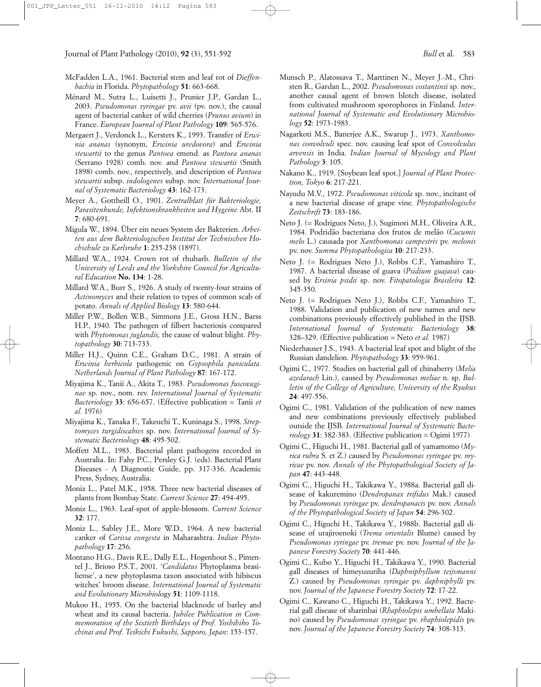- McFadden L.A., 1961. Bacterial stem and leaf rot of *Dieffenbachia* in Florida. *Phytopathology* **51**: 663-668.
- Ménard M., Sutra L., Luisetti J., Prunier J.P., Gardan L., 2003. *Pseudomonas syringae* pv. *avii* (pv. nov.), the causal agent of bacterial canker of wild cherries (*Prunus avium*) in France. *European Journal of Plant Pathology* **109**: 565-576.
- Mergaert J., Verdonck L., Kersters K., 1993. Transfer of *Erwinia ananas* (synonym, *Erwinia uredovora*) and *Erwinia stewartii* to the genus *Pantoea* emend. as *Pantoea ananas* (Serrano 1928) comb. nov. and *Pantoea stewartii* (Smith 1898) comb. nov., respectively, and description of *Pantoea stewartii* subsp. *indologenes* subsp. nov. *International Journal of Systematic Bacteriology* **43**: 162-173.
- Meyer A., Gottheill O., 1901. *Zentralblatt für Bakteriologie, Parasitenkunde, Infektionskrankheiten und Hygeine* Abt. II **7**: 680-691.
- Migula W., 1894. Über ein neues System der Bakterien. *Arbeiten aus dem Bakteriologischen Institut der Technischen Hochschule zu Karlsruhe* **1**: 235-238 (1897).
- Millard W.A., 1924. Crown rot of rhubarb. *Bulletin of the University of Leeds and the Yorkshire Council for Agricultural Education* **No. 134**: 1-28.
- Millard W.A., Burr S., 1926. A study of twenty-four strains of *Actinomyces* and their relation to types of common scab of potato. *Annals of Applied Biology* **13**: 580-644.
- Miller P.W., Bollen W.B., Simmons J.E., Gross H.N., Barss H.P., 1940. The pathogen of filbert bacteriosis compared with *Phytomonas juglandis,* the cause of walnut blight. *Phytopathology* **30**: 713-733.
- Miller H.J., Quinn C.E., Graham D.C., 1981. A strain of *Erwinia herbicola* pathogenic on *Gypsophila paniculata. Netherlands Journal of Plant Pathology* **87**: 167-172.
- Miyajima K., Tanii A., Akita T., 1983. *Pseudomonas fuscovaginae* sp. nov., nom. rev. *International Journal of Systematic Bacteriology* **33**: 656-657. (Effective publication = Tanii *et al.* 1976)
- Miyajima K., Tanaka F., Takeuchi T., Kuninaga S., 1998. *Streptomyces turgidiscabies* sp. nov. *International Journal of Systematic Bacteriology* **48**: 495-502.
- Moffett M.L., 1983. Bacterial plant pathogens recorded in Australia. In: Fahy P.C., Persley G.J. (eds). Bacterial Plant Diseases - A Diagnostic Guide, pp. 317-336. Academic Press, Sydney, Australia.
- Moniz L., Patel M.K., 1958. Three new bacterial diseases of plants from Bombay State. *Current Science* **27**: 494-495.
- Moniz L., 1963. Leaf-spot of apple-blossom. *Current Science* **32**: 177.
- Moniz L., Sabley J.E., More W.D., 1964. A new bacterial canker of *Carissa congesta* in Maharashtra. *Indian Phytopathology* **17**: 256.
- Montano H.G., Davis R.E., Dally E.L., Hogenhout S., Pimentel J., Brioso P.S.T., 2001. '*Candidatus* Phytoplasma brasiliense', a new phytoplasma taxon associated with hibiscus witches' broom disease. *International Journal of Systematic and Evolutionary Microbiol*ogy **51**: 1109-1118.
- Mukoo H., 1955. On the bacterial blacknode of barley and wheat and its causal bacteria. *Jubilee Publication in Commemoration of the Sixtieth Birthdays of Prof. Yoshihiko Tochinai and Prof. Teikichi Fukushi, Sapporo, Japan*: 153-157.
- Munsch P., Alatossava T., Marttinen N., Meyer J.-M., Christen R., Gardan L., 2002. *Pseudomonas costantinii* sp. nov., another causal agent of brown blotch disease, isolated from cultivated mushroom sporophores in Finland. *International Journal of Systematic and Evolutionary Microbiology* **52**: 1973-1983.
- Nagarkoti M.S., Banerjee A.K., Swarup J., 1973. *Xanthomonas convolvuli* spec. nov. causing leaf spot of *Convolvulus arvensis* in India. *Indian Journal of Mycology and Plant Pathology* **3**: 105.
- Nakano K., 1919. [Soybean leaf spot.] *Journal of Plant Protection, Tokyo* **6**: 217-221.
- Nayudu M.V., 1972. *Pseudomonas viticola* sp. nov., incitant of a new bacterial disease of grape vine. *Phytopathologische Zeitschrift* **73**: 183-186.
- Neto J. (= Rodrigues Neto, J.), Sugimori M.H., Oliveira A.R., 1984. Podridão bacteriana dos frutos de melão (*Cucumis melo* L.) causada por *Xanthomonas campestris* pv. *melonis* pv. nov. *Summa Phytopathologica* **10**: 217-233.
- Neto J. (= Rodrigues Neto J.), Robbs C.F., Yamashiro T., 1987. A bacterial disease of guava (*Psidium guajava*) caused by *Ersinia psidii* sp. nov. *Fitopatologia Brasileira* **12**: 345-350.
- Neto J. (= Rodrigues Neto J.), Robbs C.F., Yamashiro T., 1988. Validation and publication of new names and new combinations previously effectively published in the IJSB. *International Journal of Systematic Bacteriology* **38**: 328–329. (Effective publication = Neto *et al.* 1987)
- Niederhauser J.S., 1943. A bacterial leaf spot and blight of the Russian dandelion. *Phytopathology* **33**: 959-961.
- Ogimi C., 1977. Studies on bacterial gall of chinaberry (*Melia azedarach* Lin.), caused by *Pseudomonas meliae* n. sp. *Bulletin of the College of Agriculture, University of the Ryukus* **24**: 497-556.
- Ogimi C., 1981. Validation of the publication of new names and new combinations previously effectively published outside the IJSB. *International Journal of Systematic Bacteriology* **31**: 382-383. (Effective publication = Ogimi 1977)
- Ogimi C., Higuchi H., 1981. Bacterial gall of yamamomo (*Myrica rubra* S. et Z.) caused by *Pseudomonas syringae* pv. *myricae* pv. nov. *Annals of the Phytopathological Society of Japan* **47**: 443-448.
- Ogimi C., Higuchi H., Takikawa Y., 1988a. Bacterial gall disease of kakuremino (*Dendropanax trifidus* Mak.) caused by *Pseudomonas syringae* pv. *dendropanacis* pv. nov. *Annals of the Phytopathological Society of Japan* **54**: 296-302.
- Ogimi C., Higuchi H., Takikawa Y., 1988b. Bacterial gall disease of urajiroenoki (*Trema orientalis* Blume) caused by *Pseudomonas syringae* pv. *tremae* pv. nov. *Journal of the Japanese Forestry Society* **70**: 441-446.
- Ogimi C., Kubo Y., Higuchi H., Takikawa Y., 1990. Bacterial gall diseases of himeyuzuriha (*Daphniphyllum teijsmanni* Z.) caused by *Pseudomonas syringae* pv. *daphniphylli* pv. nov. *Journal of the Japanese Forestry Society* **72**: 17-22.
- Ogimi C., Kawano C., Higuchi H., Takikawa Y., 1992. Bacterial gall disease of sharinbai (*Rhaphiolepis umbellata* Makino) caused by *Pseudomonas syringae* pv. *rhaphiolepidis* pv. nov. *Journal of the Japanese Forestry Society* **74**: 308-313.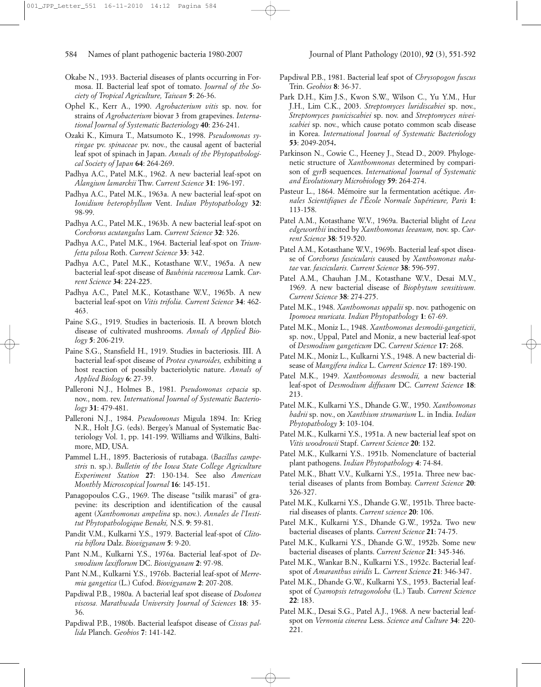- Okabe N., 1933. Bacterial diseases of plants occurring in Formosa. II. Bacterial leaf spot of tomato. *Journal of the Society of Tropical Agriculture, Taiwan* **5**: 26-36.
- Ophel K., Kerr A., 1990. *Agrobacterium vitis* sp. nov. for strains of *Agrobacterium* biovar 3 from grapevines. *International Journal of Systematic Bacteriology* **40**: 236-241.
- Ozaki K., Kimura T., Matsumoto K., 1998. *Pseudomonas syringae* pv. *spinaceae* pv. nov., the causal agent of bacterial leaf spot of spinach in Japan. *Annals of the Phytopathological Society of Japan* **64**: 264-269.
- Padhya A.C., Patel M.K., 1962. A new bacterial leaf-spot on *Alangium lamarckii* Thw. *Current Science* **31**: 196-197.
- Padhya A.C., Patel M.K., 1963a. A new bacterial leaf-spot on *Ionidium heterophyllum* Vent. *Indian Phytopathology* **32**: 98-99.
- Padhya A.C., Patel M.K., 1963b. A new bacterial leaf-spot on *Corchorus acutangulus* Lam. *Current Science* **32**: 326.
- Padhya A.C., Patel M.K., 1964. Bacterial leaf-spot on *Triumfetta pilosa* Roth. *Current Science* **33**: 342.
- Padhya A.C., Patel M.K., Kotasthane W.V., 1965a. A new bacterial leaf-spot disease of *Bauhinia racemosa* Lamk. *Current Science* **34**: 224-225.
- Padhya A.C., Patel M.K., Kotasthane W.V., 1965b. A new bacterial leaf-spot on *Vitis trifolia. Current Science* **34**: 462- 463.
- Paine S.G., 1919. Studies in bacteriosis. II. A brown blotch disease of cultivated mushrooms. *Annals of Applied Biology* **5**: 206-219.
- Paine S.G., Stansfield H., 1919. Studies in bacteriosis. III. A bacterial leaf-spot disease of *Protea cynaroides,* exhibiting a host reaction of possibly bacteriolytic nature. *Annals of Applied Biology* **6**: 27-39.
- Palleroni N.J., Holmes B., 1981. *Pseudomonas cepacia* sp. nov., nom. rev. *International Journal of Systematic Bacteriology* **31**: 479-481.
- Palleroni N.J., 1984. *Pseudomonas* Migula 1894. In: Krieg N.R., Holt J.G. (eds). Bergey's Manual of Systematic Bacteriology Vol. 1, pp. 141-199. Williams and Wilkins, Baltimore, MD, USA.
- Pammel L.H., 1895. Bacteriosis of rutabaga. (*Bacillus campestris* n. sp.). *Bulletin of the Iowa State College Agriculture Experiment Station* **27**: 130-134. See also *American Monthly Microscopical Journal* **16**: 145-151.
- Panagopoulos C.G., 1969. The disease "tsilik marasi" of grapevine: its description and identification of the causal agent (*Xanthomonas ampelina* sp. nov.). *Annales de l'Institut Phytopathologique Benaki,* N.S. **9**: 59-81.
- Pandit V.M., Kulkarni Y.S., 1979. Bacterial leaf-spot of *Clitoria biflora* Dalz. *Biovigyanam* **5**: 9-20.
- Pant N.M., Kulkarni Y.S., 1976a. Bacterial leaf-spot of *Desmodium laxiflorum* DC. *Biovigyanam* **2**: 97-98.
- Pant N.M., Kulkarni Y.S., 1976b. Bacterial leaf-spot of *Merremia gangetica* (L.) Cufod. *Biovigyanam* **2**: 207-208.
- Papdiwal P.B., 1980a. A bacterial leaf spot disease of *Dodonea viscosa. Marathwada University Journal of Sciences* **18**: 35- 36.
- Papdiwal P.B., 1980b. Bacterial leafspot disease of *Cissus pallida* Planch. *Geobios* **7**: 141-142.
- Papdiwal P.B., 1981. Bacterial leaf spot of *Chrysopogon fuscus* Trin. *Geobios* **8**: 36-37.
- Park D.H., Kim J.S., Kwon S.W., Wilson C., Yu Y.M., Hur J.H., Lim C.K., 2003. *Streptomyces luridiscabiei* sp. nov., *Streptomyces puniciscabiei* sp. nov. and *Streptomyces niveiscabiei* sp. nov., which cause potato common scab disease in Korea. *International Journal of Systematic Bacteriology* **53**: 2049-2054**.**
- Parkinson N., Cowie C., Heeney J., Stead D., 2009. Phylogenetic structure of *Xanthomnonas* determined by comparison of *gyrB* sequences. *International Journal of Systematic and Evolutionary Microbiol*ogy **59**: 264-274.
- Pasteur L., 1864. Mémoire sur la fermentation acétique. *Annales Scientifiques de l'École Normale Supérieure, Paris* **1**: 113-158.
- Patel A.M., Kotasthane W.V., 1969a. Bacterial blight of *Leea edgeworthii* incited by *Xanthomonas leeanum,* nov. sp. *Current Science* **38**: 519-520.
- Patel A.M., Kotasthane W.V., 1969b. Bacterial leaf-spot disease of *Corchorus fascicularis* caused by *Xanthomonas nakatae* var. *fascicularis. Current Science* **38**: 596-597.
- Patel A.M., Chauhan J.M., Kotasthane W.V., Desai M.V., 1969. A new bacterial disease of *Biophytum sensitivum. Current Science* **38**: 274-275.
- Patel M.K., 1948. *Xanthomonas uppalii* sp. nov. pathogenic on *Ipomoea muricata. Indian Phytopathology* **1**: 67-69.
- Patel M.K., Moniz L., 1948. *Xanthomonas desmodii-gangeticii*, sp. nov., Uppal, Patel and Moniz, a new bacterial leaf-spot of *Desmodium gangeticum* DC. *Current Science* **17**: 268.
- Patel M.K., Moniz L., Kulkarni Y.S., 1948. A new bacterial disease of *Mangifera indica* L. *Current Science* **17**: 189-190.
- Patel M.K., 1949. *Xanthomonas desmodii,* a new bacterial leaf-spot of *Desmodium diffusum* DC. *Current Science* **18**: 213.
- Patel M.K., Kulkarni Y.S., Dhande G.W., 1950. *Xanthomonas badrii* sp. nov., on *Xanthium strumarium* L. in India. *Indian Phytopathology* **3**: 103-104.
- Patel M.K., Kulkarni Y.S., 1951a. A new bacterial leaf spot on *Vitis woodrowii* Stapf. *Current Science* **20**: 132.
- Patel M.K., Kulkarni Y.S.. 1951b. Nomenclature of bacterial plant pathogens. *Indian Phytopathology* **4**: 74-84.
- Patel M.K., Bhatt V.V., Kulkarni Y.S., 1951a. Three new bacterial diseases of plants from Bombay. *Current Science* **20**: 326-327.
- Patel M.K., Kulkarni Y.S., Dhande G.W., 1951b. Three bacterial diseases of plants. *Current science* **20**: 106.
- Patel M.K., Kulkarni Y.S., Dhande G.W., 1952a. Two new bacterial diseases of plants. *Current Science* **21**: 74-75.
- Patel M.K., Kulkarni Y.S., Dhande G.W., 1952b. Some new bacterial diseases of plants. *Current Science* **21**: 345-346.
- Patel M.K., Wankar B.N., Kulkarni Y.S., 1952c. Bacterial leafspot of *Amaranthus viridis* L. *Current Science* **21**: 346-347.
- Patel M.K., Dhande G.W., Kulkarni Y.S., 1953. Bacterial leafspot of *Cyamopsis tetragonoloba* (L.) Taub. *Current Science* **22**: 183.
- Patel M.K., Desai S.G., Patel A.J., 1968. A new bacterial leafspot on *Vernonia cinerea* Less. *Science and Culture* **34**: 220- 221.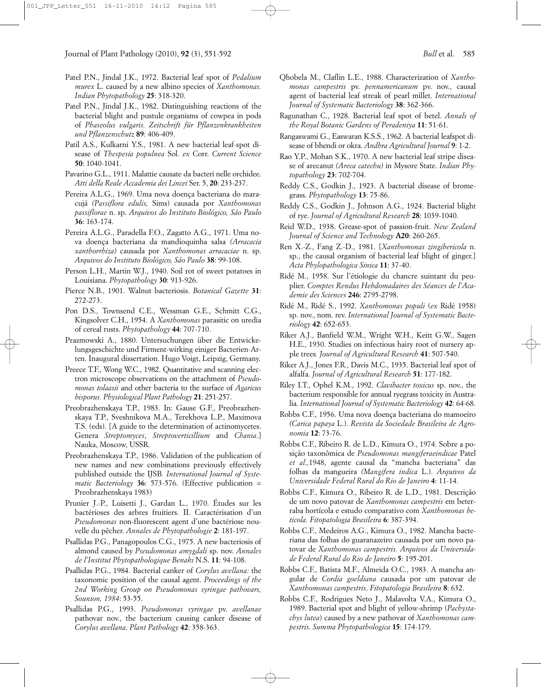- Patel P.N., Jindal J.K., 1972. Bacterial leaf spot of *Pedalium murex* L. caused by a new albino species of *Xanthomonas. Indian Phytopathology* **25**: 318-320.
- Patel P.N., Jindal J.K., 1982. Distinguishing reactions of the bacterial blight and pustule organisms of cowpea in pods of *Phaseolus vulgaris. Zeitschrift für Pflanzenkrankheiten und Pflanzenschutz* **89**: 406-409.
- Patil A.S., Kulkarni Y.S., 1981. A new bacterial leaf-spot disease of *Thespesia populnea* Sol. *ex* Corr. *Current Science* **50**: 1040-1041.
- Pavarino G.L., 1911. Malattie causate da bacteri nelle orchidee. *Atti della Reale Accademia dei Lincei* Ser. 5, **20**: 233-237.
- Pereira A.L.G., 1969. Uma nova doença bacteriana do maracujá *(Passiflora edulis,* Sims) causada por *Xanthomonas passiflorae* n. sp. *Arquivos do Instituto Biológico, São Paulo* **36**: 163-174.
- Pereira A.L.G., Paradella F.O., Zagatto A.G., 1971. Uma nova doença bacteriana da mandioquinha salsa *(Arracacia xanthorrhiza)* causada por *Xanthomonas arracaciae* n. sp. *Arquivos do Instituto Biológico, São Paulo* **38**: 99-108.
- Person L.H., Martin W.J., 1940. Soil rot of sweet potatoes in Louisiana. *Phytopathology* **30**: 913-926.
- Pierce N.B., 1901. Walnut bacteriosis. *Botanical Gazette* **31**: 272-273.
- Pon D.S., Townsend C.E., Wessman G.E., Schmitt C.G., Kingsolver C.H., 1954. A *Xanthomonas* parasitic on uredia of cereal rusts. *Phytopathology* **44**: 707-710.
- Prazmowski A., 1880. Untersuchungen über die Entwickelungsgeschichte und Firment-wirking einiger Bacterien-Arten. Inaugural dissertation. Hugo Voigt, Leipzig, Germany.
- Preece T.F., Wong W.C., 1982. Quantitative and scanning electron microscope observations on the attachment of *Pseudomonas tolaasii* and other bacteria to the surface of *Agaricus bisporus. Physiological Plant Pathology* **21**: 251-257.
- Preobrazhenskaya T.P., 1983. In: Gause G.F., Preobrazhenskaya T.P., Sveshnikova M.A., Terekhova L.P., Maximova T.S. (eds). [A guide to the determination of actinomycetes. Genera *Streptomyces*, *Streptoverticillium* and *Chania*.] Nauka, Moscow, USSR.
- Preobrazhenskaya T.P., 1986. Validation of the publication of new names and new combinations previously effectively published outside the IJSB*. International Journal of Systematic Bacteriology* **36**: 573-576. (Effective publication = Preobrazhenskaya 1983)
- Prunier J.-P., Luisetti J., Gardan L., 1970. Études sur les bactérioses des arbres fruitiers. II. Caractérisation d'un *Pseudomonas* non-fluorescent agent d'une bactériose nouvelle du pêcher. *Annales de Phytopathologie* **2**: 181-197.
- Psallidas P.G., Panagopoulos C.G., 1975. A new bacteriosis of almond caused by *Pseudomonas amygdali* sp. nov. *Annales de l'Institut Phytopathologique Benaki* N.S. **11**: 94-108.
- Psallidas P.G., 1984. Bacterial canker of *Corylus avellana:* the taxonomic position of the causal agent. *Proceedings of the 2nd Working Group on Pseudomonas syringae pathovars, Sounion, 1984*: 53-55.
- Psallidas P.G., 1993. *Pseudomonas syringae* pv. *avellanae* pathovar nov., the bacterium causing canker disease of *Corylus avellana*. *Plant Pathology* **42**: 358-363.
- Qhobela M., Claflin L.E., 1988. Characterization of *Xanthomonas campestris* pv. *pennamericanum* pv. nov., causal agent of bacterial leaf streak of pearl millet. *International Journal of Systematic Bacteriology* **38**: 362-366.
- Ragunathan C., 1928. Bacterial leaf spot of betel. *Annals of the Royal Botanic Gardens of Peradeniya* **11**: 51-61.
- Rangaswami G., Easwaran K.S.S., 1962. A bacterial leafspot disease of bhendi or okra. *Andhra Agricultural Journal* **9**: 1-2.
- Rao Y.P., Mohan S.K., 1970. A new bacterial leaf stripe disease of arecanut *(Areca catechu)* in Mysore State. *Indian Phytopathology* **23**: 702-704.
- Reddy C.S., Godkin J., 1923. A bacterial disease of bromegrass. *Phytopathology* **13**: 75-86.
- Reddy C.S., Godkin J., Johnson A.G., 1924. Bacterial blight of rye. *Journal of Agricultural Research* **28**: 1039-1040.
- Reid W.D., 1938. Grease-spot of passion-fruit. *New Zealand Journal of Science and Technology* **A20**: 260-265.
- Ren X.-Z., Fang Z.-D., 1981. [*Xanthomonas zingibericola* n. sp., the causal organism of bacterial leaf blight of ginger.] *Acta Phylopathologica Sinica* **11**: 37-40.
- Ridé M., 1958. Sur l'étiologie du chancre suintant du peuplier. *Comptes Rendus Hebdomadaires des Séances de l'Academie des Sciences* **246**: 2795-2798.
- Ridé M., Ridé S., 1992. *Xanthomonas populi* (*ex* Ridé 1958) sp. nov., nom. rev. *International Journal of Systematic Bacteriology* **42**: 652-653.
- Riker A.J., Banfield W.M., Wright W.H., Keitt G.W., Sagen H.E., 1930. Studies on infectious hairy root of nursery apple trees*. Journal of Agricultural Research* **41**: 507-540.
- Riker A.J., Jones F.R., Davis M.C., 1935. Bacterial leaf spot of alfalfa. *Journal of Agricultural Research* **51**: 177-182.
- Riley I.T., Ophel K.M., 1992. *Clavibacter toxicus* sp. nov., the bacterium responsible for annual ryegrass toxicity in Australia. *International Journal of Systematic Bacteriology* **42**: 64-68.
- Robbs C.F., 1956. Uma nova doença bacteriana do mamoeiro *(Carica papaya* L.). *Revista da Sociedade Brasileira de Agronomia* **12**: 73-76.
- Robbs C.F., Ribeiro R. de L.D., Kimura O., 1974. Sobre a posição taxonômica de *Pseudomonas mangiferaeindicae* Patel *et al.,*1948, agente causal da "mancha bacteriana" das folhas da mangueira *(Mangifera indica* L.). *Arquivos da Universidade Federal Rural do Rio de Janeiro* **4**: 11-14.
- Robbs C.F., Kimura O., Ribeiro R. de L.D., 1981. Descrição de um novo patovar de *Xanthomonas campestris* em beterraba hortícola e estudo comparativo com *Xanthomonas beticola. Fitopatologia Brasileira* **6**: 387-394.
- Robbs C.F., Medeiros A.G., Kimura O., 1982. Mancha bacteriana das folhas do guaranazeiro causada por um novo patovar de *Xanthomonas campestris. Arquivos da Universidade Federal Rural do Rio de Janeiro* **5**: 195-201.
- Robbs C.F., Batista M.F., Almeida O.C., 1983. A mancha angular de *Cordia goeldiana* causada por um patovar de *Xanthomonas campestris*. *Fitopatologia Brasileira* **8**: 632.
- Robbs C.F., Rodrigues Neto J., Malavolta V.A., Kimura O., 1989. Bacterial spot and blight of yellow-shrimp (*Pachystachys lutea*) caused by a new pathovar of *Xanthomonas campestris*. *Summa Phytopathologica* **15**: 174-179.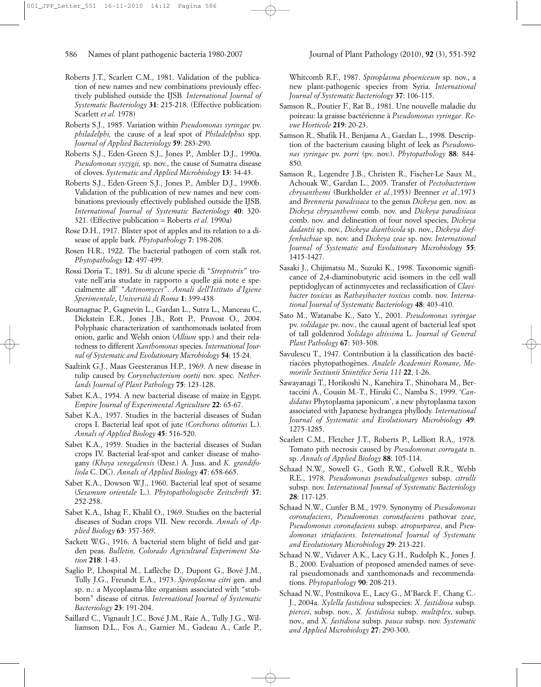- Roberts J.T., Scarlett C.M., 1981. Validation of the publication of new names and new combinations previously effectively published outside the IJSB*. International Journal of Systematic Bacteriology* **31**: 215-218. (Effective publication: Scarlett *et al.* 1978)
- Roberts S.J., 1985. Variation within *Pseudomonas syringae* pv. *philadelphi,* the cause of a leaf spot of *Philadelphus* spp. *Journal of Applied Bacteriology* **59**: 283-290.
- Roberts S.J., Eden-Green S.J., Jones P., Ambler D.J., 1990a. *Pseudomonas syzygii,* sp. nov., the cause of Sumatra disease of cloves. *Systematic and Applied Microbiology* **13**: 34-43.
- Roberts S.J., Eden-Green S.J., Jones P., Ambler D.J., 1990b. Validation of the publication of new names and new combinations previously effectively published outside the IJSB. *International Journal of Systematic Bacteriology* **40**: 320- 321. (Effective publication = Roberts *et al.* 1990a)
- Rose D.H., 1917. Blister spot of apples and its relation to a disease of apple bark. *Phytopathology* **7**: 198-208.
- Rosen H.R., 1922. The bacterial pathogen of corn stalk rot. *Phytopathology* **12**: 497-499.
- Rossi Doria T., 1891. Su di alcune specie di "*Streptotrix*" trovate nell'aria studate in rapporto a quelle giá note e specialmente all' "*Actinomyces*". *Annali dell'Istituto d'Igiene Sperimentale*, *Università di Roma* **1**: 399-438
- Roumagnac P., Gagnevin L., Gardan L., Sutra L., Manceau C., Dickstein E.R., Jones J.B., Rott P., Pruvost O., 2004. Polyphasic characterization of xanthomonads isolated from onion, garlic and Welsh onion (*Allium* spp.) and their relatedness to different *Xanthomonas* species. *International Journal of Systematic and Evolutionary Microbiology* **54**: 15-24.
- Saaltink G.J., Maas Geesteranus H.P., 1969. A new disease in tulip caused by *Corynebacterium oortii* nov. spec. *Netherlands Journal of Plant Pathology* **75**: 123-128.
- Sabet K.A., 1954. A new bacterial disease of maize in Egypt. *Empire Journal of Experimental Agriculture* **22**: 65-67.
- Sabet K.A., 1957. Studies in the bacterial diseases of Sudan crops I. Bacterial leaf spot of jute (*Corchorus olitorius* L.). *Annals of Applied Biology* **45**: 516-520.
- Sabet K.A., 1959. Studies in the bacterial diseases of Sudan crops IV. Bacterial leaf-spot and canker disease of mahogany *(Khaya senegalensis* (Desr.) A. Juss. and *K. grandifoliola* C. DC). *Annals of Applied Biology* **47**: 658-665.
- Sabet K.A., Dowson W.J., 1960. Bacterial leaf spot of sesame (*Sesamum orientale* L.). *Phytopathologische Zeitschrift* **37**: 252-258.
- Sabet K.A., Ishag F., Khalil O., 1969. Studies on the bacterial diseases of Sudan crops VII. New records. *Annals of Applied Biology* **63**: 357-369.
- Sackett W.G., 1916. A bacterial stem blight of field and garden peas. *Bulletin, Colorado Agricultural Experiment Station* **218**: 1-43.
- Saglio P., Lhospital M., Laflèche D., Dupont G., Bové J.M., Tully J.G., Freundt E.A., 1973. *Spiroplasma citri* gen. and sp. n.: a Mycoplasma-like organism associated with "stubborn" disease of citrus. *International Journal of Systematic Bacteriology* **23**: 191-204.
- Saillard C., Vignault J.C., Bové J.M., Raie A., Tully J.G., Williamson D.L., Fos A., Garnier M., Gadeau A., Carle P.,

Whitcomb R.F., 1987. *Spiroplasma phoeniceum* sp. nov., a new plant-pathogenic species from Syria. *International Journal of Systematic Bacteriology* **37**: 106-115.

- Samson R., Poutier F., Rat B., 1981. Une nouvelle maladie du poireau: la graisse bactérienne à *Pseudomonas syringae. Revue Horticole* **219**: 20-23.
- Samson R., Shafik H., Benjama A., Gardan L., 1998. Description of the bacterium causing blight of leek as *Pseudomonas syringae* pv. *porri* (pv. nov.). *Phytopathology* **88**: 844- 850.
- Samson R., Legendre J.B., Christen R., Fischer-Le Saux M., Achouak W., Gardan L., 2005. Transfer of *Pectobacterium chrysanthemi* (Burkholder *et al.,*1953) Brenner *et al.,*1973 and *Brenneria paradisiaca* to the genus *Dickeya* gen. nov. as *Dickeya chrysanthemi* comb. nov. and *Dickeya paradisiaca* comb. nov. and delineation of four novel species, *Dickeya dadantii* sp. nov., *Dickeya dianthicola* sp. nov., *Dickeya dieffenbachiae* sp. nov. and *Dickeya zeae* sp. nov. *International Journal of Systematic and Evolutionary Microbiol*ogy **55**: 1415-1427.
- Sasaki J., Chijimatsu M., Suzuki K., 1998. Taxonomic significance of 2,4-diaminobutyric acid isomers in the cell wall peptidoglycan of actinmycetes and reclassification of *Clavibacter toxicus* as *Rathayibacter toxicus* comb. nov. *International Journal of Systematic Bacteriology* **48**: 403-410.
- Sato M., Watanabe K., Sato Y., 2001. *Pseudomonas syringae* pv. *solidagae* pv. nov., the causal agent of bacterial leaf spot of tall goldenrod *Solidago altissima* L. *Journal of General Plant Pathology* **67**: 303-308.
- Savulescu T., 1947. Contribution à la classification des bactériacées phytopathogènes. *Analele Academiei Romane, Memoriile Sectiunii Stiintifice Seria 111* **22**, 1-26.
- Sawayanagi T., Horikoshi N., Kanehira T., Shinohara M., Bertaccini A., Cousin M.-T., Hiruki C., Namba S., 1999. '*Candidatus* Phytoplasma japonicum', a new phytoplasma taxon associated with Japanese hydrangea phyllody. *International Journal of Systematic and Evolutionary Microbiology* **49**: 1275-1285.
- Scarlett C.M., Fletcher J.T., Roberts P., Lelliott R.A., 1978. Tomato pith necrosis caused by *Pseudomonas corrugata* n. sp. *Annals of Applied Biology* **88**: 105-114.
- Schaad N.W., Sowell G., Goth R.W., Colwell R.R., Webb R.E., 1978. *Pseudomonas pseudoalcaligenes* subsp. *citrulli* subsp. nov. *International Journal of Systematic Bacteriology* **28**: 117-125.
- Schaad N.W., Cunfer B.M., 1979. Synonymy of *Pseudomonas coronafaciens*, *Pseudomonas coronafaciens* pathovar *zeae*, *Pseudomonas coronafaciens* subsp. *atropurpurea*, and *Pseudomonas striafaciens. International Journal of Systematic and Evolutionary Microbiology* **29**: 213-221.
- Schaad N.W., Vidaver A.K., Lacy G.H., Rudolph K., Jones J. B., 2000. Evaluation of proposed amended names of several pseudomonads and xanthomonads and recommendations. *Phytopathology* **90**: 208-213.
- Schaad N.W., Postnikova E., Lacy G., M'Barck F., Chang C.- J., 2004a. *Xylella fastidiosa* subspecies: *X. fastidiosa* subsp. *piercei*, subsp. nov., *X. fastidiosa* subsp. *multiplex*, subsp. nov., and *X. fastidiosa* subsp. *pauca* subsp. nov. *Systematic and Applied Microbiology* **27**: 290-300.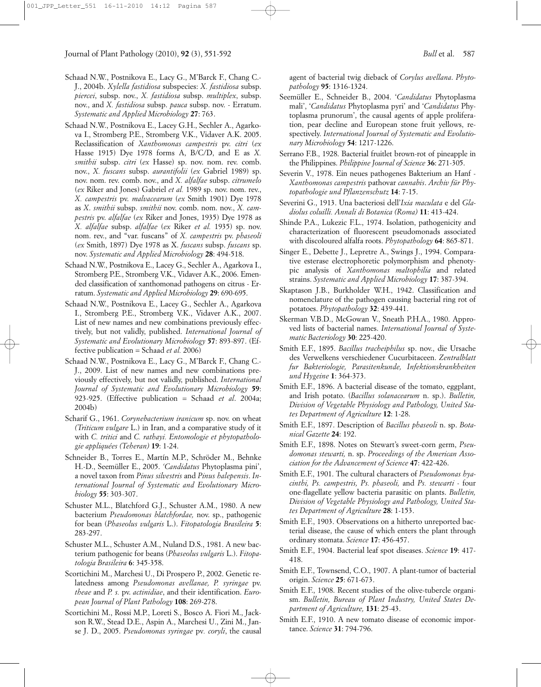- Schaad N.W., Postnikova E., Lacy G., M'Barck F., Chang C.- J., 2004b. *Xylella fastidiosa* subspecies: *X. fastidiosa* subsp. *piercei*, subsp. nov., *X. fastidiosa* subsp. *multiplex*, subsp. nov., and *X. fastidiosa* subsp. *pauca* subsp. nov. - Erratum. *Systematic and Applied Microbiology* **27**: 763.
- Schaad N.W., Postnikova E., Lacey G.H., Sechler A., Agarkova I., Stromberg P.E., Stromberg V.K., Vidaver A.K. 2005. Reclassification of *Xanthomonas campestris* pv. *citri* (*ex* Hasse 1915) Dye 1978 forms A, B/C/D, and E as *X. smithii* subsp. *citri* (*ex* Hasse) sp. nov. nom. rev. comb. nov., *X. fuscans* subsp. *aurantifolii* (*ex* Gabriel 1989) sp. nov. nom. rev. comb. nov., and *X. alfalfae* subsp. *citrumelo* (*ex* Riker and Jones) Gabriel *et al.* 1989 sp. nov. nom. rev., *X. campestris* pv. *malvacearum* (*ex* Smith 1901) Dye 1978 as *X*. *smithii* subsp. *smithii* nov. comb. nom. nov., *X. campestris* pv. *alfalfae* (*ex* Riker and Jones, 1935) Dye 1978 as *X. alfalfae* subsp. *alfalfae* (*ex* Riker *et al.* 1935) sp. nov. nom. rev., and "var. fuscans" of *X. campestris* pv. *phaseoli* (*ex* Smith, 1897) Dye 1978 as X. *fuscans* subsp. *fuscans* sp. nov. *Systematic and Applied Microbiology* **28**: 494-518.
- Schaad N.W., Postnikova E., Lacey G., Sechler A., Agarkova I., Stromberg P.E., Stromberg V.K., Vidaver A.K., 2006. Emended classification of xanthomonad pathogens on citrus - Erratum. *Systematic and Applied Microbiology* **29**: 690-695.
- Schaad N.W., Postnikova E., Lacey G., Sechler A., Agarkova I., Stromberg P.E., Stromberg V.K., Vidaver A.K., 2007. List of new names and new combinations previously effectively, but not validly, published. *International Journal of Systematic and Evolutionary Microbiology* **57**: 893-897. (Effective publication = Schaad *et al.* 2006)
- Schaad N.W., Postnikova E., Lacy G., M'Barck F., Chang C.- J., 2009. List of new names and new combinations previously effectively, but not validly, published. *International Journal of Systematic and Evolutionary Microbiology* **59**: 923-925. (Effective publication = Schaad *et al*. 2004a; 2004b)
- Scharif G., 1961. *Corynebacterium iranicum* sp. nov. on wheat *(Triticum vulgare* L.) in Iran, and a comparative study of it with *C. tritici* and *C. rathayi. Entomologie et phytopathologie appliquées (Teheran)* **19**: 1-24.
- Schneider B., Torres E., Martín M.P., Schröder M., Behnke H.-D., Seemüller E., 2005. *'Candidatus* Phytoplasma pini', a novel taxon from *Pinus silvestris* and *Pinus halepensis*. *International Journal of Systematic and Evolutionary Microbiology* **55**: 303-307.
- Schuster M.L., Blatchford G.J., Schuster A.M., 1980. A new bacterium *Pseudomonas blatchfordae,* nov. sp., pathogenic for bean (*Phaseolus vulgaris* L.). *Fitopatologia Brasileira* **5**: 283-297.
- Schuster M.L., Schuster A.M., Nuland D.S., 1981. A new bacterium pathogenic for beans (*Phaseolus vulgaris* L.). *Fitopatologia Brasileira* **6**: 345-358.
- Scortichini M., Marchesi U., Di Prospero P., 2002. Genetic relatedness among *Pseudomonas avellanae, P. syringae* pv. *theae* and *P. s.* pv. *actinidiae*, and their identification. *European Journal of Plant Pathology* **108**: 269-278.
- Scortichini M., Rossi M.P., Loreti S., Bosco A. Fiori M., Jackson R.W., Stead D.E., Aspin A., Marchesi U., Zini M., Janse J. D., 2005. *Pseudomonas syringae* pv*. coryli*, the causal

agent of bacterial twig dieback of *Corylus avellana*. *Phytopathology* **95**: 1316-1324.

- Seemüller E., Schneider B., 2004. '*Candidatus* Phytoplasma mali', '*Candidatus* Phytoplasma pyri' and '*Candidatus* Phytoplasma prunorum', the causal agents of apple proliferation, pear decline and European stone fruit yellows, respectively. *International Journal of Systematic and Evolutionary Microbiology* **54**: 1217-1226.
- Serrano F.B., 1928. Bacterial fruitlet brown-rot of pineapple in the Philippines. *Philippine Journal of Science* **36**: 271-305.
- Severin V., 1978. Ein neues pathogenes Bakterium an Hanf *Xanthomonas campestris* pathovar *cannabis*. *Archiv für Phytopathologie und Pflanzenschutz* **14**: 7-15.
- Severini G., 1913. Una bacteriosi dell'*Ixia maculata* e del *Gladiolus coluilli. Annali di Botanica (Roma)* **11**: 413-424.
- Shinde P.A., Lukezic F.L., 1974. Isolation, pathogenicity and characterization of fluorescent pseudomonads associated with discoloured alfalfa roots. *Phytopathology* **64**: 865-871.
- Singer E., Debette J., Lepretre A., Swings J., 1994. Comparative esterase electrophoretic polymorphism and phenotypic analysis of *Xanthomonas maltophilia* and related strains. *Systematic and Applied Microbiology* **17**: 387-394.
- Skaptason J.B., Burkholder W.H., 1942. Classification and nomenclature of the pathogen causing bacterial ring rot of potatoes. *Phytopathology* **32**: 439-441.
- Skerman V.B.D., McGowan V., Sneath P.H.A., 1980. Approved lists of bacterial names. *International Journal of Systematic Bacteriology* **30**: 225-420.
- Smith E.F., 1895. *Bacillus tracheiphilus* sp. nov., die Ursache des Verwelkens verschiedener Cucurbitaceen. *Zentralblatt fur Bakteriologie, Parasitenkunde, Infektionskrankheiten und Hygeine* **1**: 364-373.
- Smith E.F., 1896. A bacterial disease of the tomato, eggplant, and Irish potato. (*Bacillus solanacearum* n. sp.). *Bulletin, Division of Vegetable Physiology and Pathology, United States Department of Agriculture* **12**: 1-28.
- Smith E.F., 1897. Description of *Bacillus phaseoli* n. sp. *Botanical Gazette* **24**: 192.
- Smith E.F., 1898. Notes on Stewart's sweet-corn germ, *Pseudomonas stewarti,* n. sp. *Proceedings of the American Association for the Advancement of Science* **47**: 422-426.
- Smith E.F., 1901. The cultural characters of *Pseudomonas hyacinthi, Ps. campestris, Ps. phaseoli,* and *Ps. stewarti* - four one-flagellate yellow bacteria parasitic on plants. *Bulletin, Division of Vegetable Physiology and Pathology, United States Department of Agriculture* **28**: 1-153.
- Smith E.F., 1903. Observations on a hitherto unreported bacterial disease, the cause of which enters the plant through ordinary stomata. *Science* **17**: 456-457.
- Smith E.F., 1904. Bacterial leaf spot diseases. *Science* **19**: 417- 418.
- Smith E.F., Townsend, C.O., 1907. A plant-tumor of bacterial origin. *Science* **25**: 671-673.
- Smith E.F., 1908. Recent studies of the olive-tubercle organism. *Bulletin, Bureau of Plant Industry, United States Department of Agriculture,* **131**: 25-43.
- Smith E.F., 1910. A new tomato disease of economic importance. *Science* **31**: 794-796.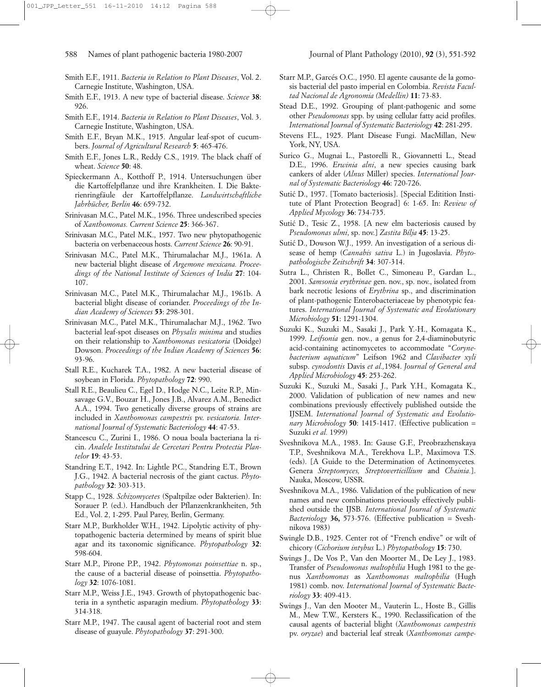- Smith E.F., 1911. *Bacteria in Relation to Plant Diseases*, Vol. 2. Carnegie Institute, Washington, USA.
- Smith E.F., 1913. A new type of bacterial disease. *Science* **38**: 926.
- Smith E.F., 1914. *Bacteria in Relation to Plant Diseases*, Vol. 3. Carnegie Institute, Washington, USA.
- Smith E.F., Bryan M.K., 1915. Angular leaf-spot of cucumbers. *Journal of Agricultural Research* **5**: 465-476.
- Smith E.F., Jones L.R., Reddy C.S., 1919. The black chaff of wheat. *Science* **50**: 48.
- Spieckermann A., Kotthoff P., 1914. Untersuchungen über die Kartoffelpflanze und ihre Krankheiten. I. Die Bakterienringfäule der Kartoffelpflanze. *Landwirtschaftliche Jahrbücher, Berlin* **46**: 659-732.
- Srinivasan M.C., Patel M.K., 1956. Three undescribed species of *Xanthomonas. Current Science* **25**: 366-367.
- Srinivasan M.C., Patel M.K., 1957. Two new phytopathogenic bacteria on verbenaceous hosts. *Current Science* **26**: 90-91.
- Srinivasan M.C., Patel M.K., Thirumalachar M.J., 1961a. A new bacterial blight disease of *Argemone mexicana. Proceedings of the National Institute of Sciences of India* **27**: 104- 107.
- Srinivasan M.C., Patel M.K., Thirumalachar M.J., 1961b. A bacterial blight disease of coriander. *Proceedings of the Indian Academy of Sciences* **53**: 298-301.
- Srinivasan M.C., Patel M.K., Thirumalachar M.J., 1962. Two bacterial leaf-spot diseases on *Physalis minima* and studies on their relationship to *Xanthomonas vesicatoria* (Doidge) Dowson. *Proceedings of the Indian Academy of Sciences* **56**: 93-96.
- Stall R.E., Kucharek T.A., 1982. A new bacterial disease of soybean in Florida. *Phytopathology* **72**: 990.
- Stall R.E., Beaulieu C., Egel D., Hodge N.C., Leite R.P., Minsavage G.V., Bouzar H., Jones J.B., Alvarez A.M., Benedict A.A., 1994. Two genetically diverse groups of strains are included in *Xanthomonas campestris* pv. *vesicatoria. International Journal of Systematic Bacteriology* **44**: 47-53.
- Stancescu C., Zurini I., 1986. O noua boala bacteriana la ricin. *Analele Institutului de Cercetari Pentru Protectia Plantelor* **19**: 43-53.
- Standring E.T., 1942. In: Lightle P.C., Standring E.T., Brown J.G., 1942. A bacterial necrosis of the giant cactus. *Phytopathology* **32**: 303-313.
- Stapp C., 1928. *Schizomycetes* (Spaltpilze oder Bakterien). In: Sorauer P. (ed.). Handbuch der Pflanzenkrankheiten, 5th Ed., Vol. 2, 1-295. Paul Parey, Berlin, Germany.
- Starr M.P., Burkholder W.H., 1942. Lipolytic activity of phytopathogenic bacteria determined by means of spirit blue agar and its taxonomic significance. *Phytopathology* **32**: 598-604.
- Starr M.P., Pirone P.P., 1942. *Phytomonas poinsettiae* n. sp., the cause of a bacterial disease of poinsettia. *Phytopathology* **32**: 1076-1081.
- Starr M.P., Weiss J.E., 1943. Growth of phytopathogenic bacteria in a synthetic asparagin medium. *Phytopathology* **33**: 314-318.
- Starr M.P., 1947. The causal agent of bacterial root and stem disease of guayule. *Phytopathology* **37**: 291-300.
- Starr M.P., Garcés O.C., 1950. El agente causante de la gomosis bacterial del pasto imperial en Colombia. *Revista Facultad Nacional de Agronomia (Medellin)* **11**: 73-83.
- Stead D.E., 1992. Grouping of plant-pathogenic and some other *Pseudomonas* spp. by using cellular fatty acid profiles. *International Journal of Systematic Bacteriology* **42**: 281-295.
- Stevens F.L., 1925. Plant Disease Fungi. MacMillan, New York, NY, USA.
- Surico G., Mugnai L., Pastorelli R., Giovannetti L., Stead D.E., 1996. *Erwinia alni*, a new species causing bark cankers of alder (*Alnus* Miller) species. *International Journal of Systematic Bacteriology* **46**: 720-726.
- Sutic´ D., 1957. [Tomato bacteriosis]. [Special Editition Institute of Plant Protection Beograd] 6: 1-65. In: *Review of Applied Mycology* **36**: 734-735.
- Sutić D., Tesic Z., 1958. [A new elm bacteriosis caused by *Pseudomonas ulmi*, sp. nov.] *Zastita Bílja* **45**: 13-25.
- Sutić D., Dowson W.J., 1959. An investigation of a serious disease of hemp (*Cannabis sativa* L.) in Jugoslavia. *Phytopathologische Zeitschrift* **34**: 307-314.
- Sutra L., Christen R., Bollet C., Simoneau P., Gardan L., 2001. *Samsonia erythrinae* gen. nov., sp. nov., isolated from bark necrotic lesions of *Erythrina* sp., and discrimination of plant-pathogenic Enterobacteriaceae by phenotypic features. *International Journal of Systematic and Evolutionary Microbiology* **51**: 1291-1304.
- Suzuki K., Suzuki M., Sasaki J., Park Y.-H., Komagata K., 1999. *Leifsonia* gen. nov., a genus for 2,4-diaminobutyric acid-containing actinomycetes to accommodate "*Corynebacterium aquaticum*" Leifson 1962 and *Clavibacter xyli* subsp. *cynodontis* Davis *et al.,*1984. *Journal of General and Applied Microbiology* **45**: 253-262.
- Suzuki K., Suzuki M., Sasaki J., Park Y.H., Komagata K., 2000. Validation of publication of new names and new combinations previously effectively published outside the IJSEM. *International Journal of Systematic and Evolutionary Microbiology* **50**: 1415-1417. (Effective publication = Suzuki *et al.* 1999)
- Sveshnikova M.A., 1983. In: Gause G.F., Preobrazhenskaya T.P., Sveshnikova M.A., Terekhova L.P., Maximova T.S. (eds). [A Guide to the Determination of Actinomycetes*.* Genera *Streptomyces, Streptoverticillium* and *Chainia.*]. Nauka, Moscow, USSR.
- Sveshnikova M.A., 1986. Validation of the publication of new names and new combinations previously effectively published outside the IJSB. *International Journal of Systematic Bacteriology* **36,** 573-576. (Effective publication = Sveshnikova 1983)
- Swingle D.B., 1925. Center rot of "French endive" or wilt of chicory (*Cichorium intybus* L.) *Phytopathology* **15**: 730.
- Swings J., De Vos P., Van den Moorter M., De Ley J., 1983. Transfer of *Pseudomonas maltophilia* Hugh 1981 to the genus *Xanthomonas* as *Xanthomonas maltophilia* (Hugh 1981) comb. nov. *International Journal of Systematic Bacteriology* **33**: 409-413.
- Swings J., Van den Mooter M., Vauterin L., Hoste B., Gillis M., Mew T.W., Kersters K., 1990. Reclassification of the causal agents of bacterial blight (*Xanthomonas campestris* pv. *oryzae*) and bacterial leaf streak (*Xanthomonas campe-*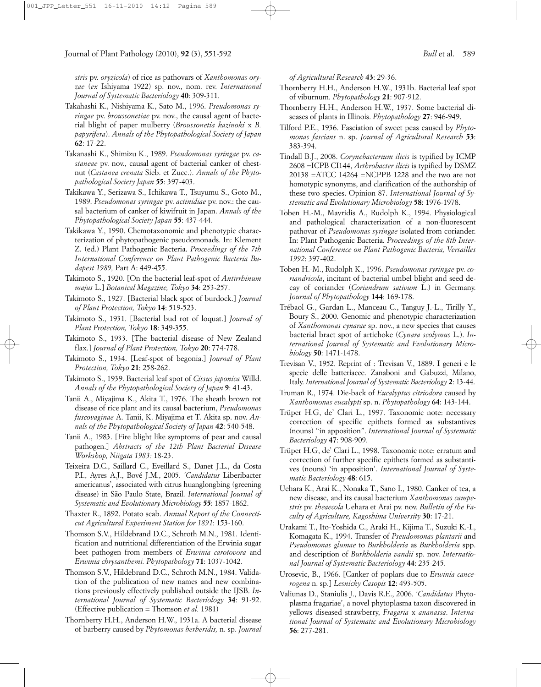*stris* pv. *oryzicola*) of rice as pathovars of *Xanthomonas oryzae* (*ex* Ishiyama 1922) sp. nov., nom. rev. *International Journal of Systematic Bacteriology* **40**: 309-311.

- Takahashi K., Nishiyama K., Sato M., 1996. *Pseudomonas syringae* pv. *broussonetiae* pv. nov., the causal agent of bacterial blight of paper mulberry (*Broussonetia kazinoki* x *B. papyrifera*). *Annals of the Phytopathological Society of Japan* **62**: 17-22.
- Takanashi K., Shimizu K., 1989. *Pseudomonas syringae* pv. *castaneae* pv. nov., causal agent of bacterial canker of chestnut (*Castanea crenata* Sieb. et Zucc.). *Annals of the Phytopathological Society Japan* **55**: 397-403.
- Takikawa Y., Serizawa S., Ichikawa T., Tsuyumu S., Goto M., 1989. *Pseudomonas syringae* pv. *actinidiae* pv. nov.: the causal bacterium of canker of kiwifruit in Japan. *Annals of the Phytopathological Society Japan* **55**: 437-444.
- Takikawa Y., 1990. Chemotaxonomic and phenotypic characterization of phytopathogenic pseudomonads. In: Klement Z. (ed.) Plant Pathogenic Bacteria. *Proceedings of the 7th International Conference on Plant Pathogenic Bacteria Budapest 1989,* Part A: 449-455.
- Takimoto S., 1920. [On the bacterial leaf-spot of *Antirrhinum majus* L.] *Botanical Magazine, Tokyo* **34**: 253-257.
- Takimoto S., 1927. [Bacterial black spot of burdock.] *Journal of Plant Protection, Tokyo* **14**: 519-523.
- Takimoto S., 1931. [Bacterial bud rot of loquat.] *Journal of Plant Protection, Tokyo* **18**: 349-355.
- Takimoto S., 1933. [The bacterial disease of New Zealand flax.] *Journal of Plant Protection, Tokyo* **20**: 774-778.
- Takimoto S., 1934. [Leaf-spot of begonia.] *Journal of Plant Protection, Tokyo* **21**: 258-262.
- Takimoto S., 1939. Bacterial leaf spot of *Cissus japonica* Willd. *Annals of the Phytopathological Society of Japan* **9**: 41-43.
- Tanii A., Miyajima K., Akita T., 1976. The sheath brown rot disease of rice plant and its causal bacterium, *Pseudomonas fuscovaginae* A. Tanii, K. Miyajima et T. Akita sp. nov. *Annals of the Phytopathological Society of Japan* **42**: 540-548.
- Tanii A., 1983. [Fire blight like symptoms of pear and causal pathogen.] *Abstracts of the 12th Plant Bacterial Disease Workshop, Niigata 1983:* 18-23.
- Teixeira D.C., Saillard C., Eveillard S., Danet J.L., da Costa P.I., Ayres A.J., Bové J.M., 2005. *'Candidatus* Liberibacter americanus', associated with citrus huanglongbing (greening disease) in São Paulo State, Brazil. *International Journal of Systematic and Evolutionary Microbiology* **55**: 1857-1862.
- Thaxter R., 1892. Potato scab. *Annual Report of the Connecticut Agricultural Experiment Station for 1891*: 153-160.
- Thomson S.V., Hildebrand D.C., Schroth M.N., 1981. Identification and nutritional differentiation of the Erwinia sugar beet pathogen from members of *Erwinia carotovora* and *Erwinia chrysanthemi. Phytopathology* **71**: 1037-1042.
- Thomson S.V., Hildebrand D.C., Schroth M.N., 1984. Validation of the publication of new names and new combinations previously effectively published outside the IJSB. *International Journal of Systematic Bacteriology* **34**: 91-92. (Effective publication = Thomson *et al.* 1981)
- Thornberry H.H., Anderson H.W., 1931a. A bacterial disease of barberry caused by *Phytomonas berberidis,* n. sp. *Journal*

*of Agricultural Research* **43**: 29-36.

- Thornberry H.H., Anderson H.W., 1931b. Bacterial leaf spot of viburnum. *Phytopathology* **21**: 907-912.
- Thornberry H.H., Anderson H.W., 1937. Some bacterial diseases of plants in Illinois. *Phytopathology* **27**: 946-949.
- Tilford P.E., 1936. Fasciation of sweet peas caused by *Phytomonas fascians* n. sp. *Journal of Agricultural Research* **53**: 383-394.
- Tindall B.J., 2008. *Corynebacterium ilicis* is typified by ICMP 2608 =ICPB CI144, *Arthrobacter ilicis* is typified by DSMZ 20138 =ATCC 14264 =NCPPB 1228 and the two are not homotypic synonyms, and clarification of the authorship of these two species. Opinion 87. *International Journal of Systematic and Evolutionary Microbiology* **58**: 1976-1978.
- Toben H.-M., Mavridis A., Rudolph K., 1994. Physiological and pathological characterization of a non-fluorescent pathovar of *Pseudomonas syringae* isolated from coriander. In: Plant Pathogenic Bacteria. *Proceedings of the 8th International Conference on Plant Pathogenic Bacteria, Versailles 1992*: 397-402.
- Toben H.-M., Rudolph K., 1996. *Pseudomonas syringae* pv. *coriandricola*, incitant of bacterial umbel blight and seed decay of coriander (*Coriandrum sativum* L.) in Germany. *Journal of Phytopathology* **144**: 169-178.
- Trébaol G., Gardan L., Manceau C., Tanguy J.-L., Tirilly Y., Boury S., 2000. Genomic and phenotypic characterization of *Xanthomonas cynarae* sp. nov., a new species that causes bacterial bract spot of artichoke (*Cynara scolymus* L.). *International Journal of Systematic and Evolutionary Microbiology* **50**: 1471-1478.
- Trevisan V., 1952. Reprint of : Trevisan V., 1889. I generi e le specie delle batteriacee. Zanaboni and Gabuzzi, Milano, Italy. *International Journal of Systematic Bacteriology* **2**: 13-44.
- Truman R., 1974. Die-back of *Eucalyptus citriodora* caused by *Xanthomonas eucalypti* sp. n. *Phytopathology* **64**: 143-144.
- Trüper H.G, de' Clari L., 1997. Taxonomic note: necessary correction of specific epithets formed as substantives (nouns) "in apposition". *International Journal of Systematic Bacteriology* **47**: 908-909.
- Trüper H.G, de' Clari L., 1998. Taxonomic note: erratum and correction of further specific epithets formed as substantives (nouns) 'in apposition'. *International Journal of Systematic Bacteriology* **48**: 615.
- Uehara K., Arai K., Nonaka T., Sano I., 1980. Canker of tea, a new disease, and its causal bacterium *Xanthomonas campestris* pv. *theaecola* Uehara et Arai pv. nov. *Bulletin of the Faculty of Agriculture, Kagoshima University* **30**: 17-21.
- Urakami T., Ito-Yoshida C., Araki H., Kijima T., Suzuki K.-I., Komagata K., 1994. Transfer of *Pseudomonas plantarii* and *Pseudomonas glumae* to *Burkholderia* as *Burkholderia* spp. and description of *Burkholderia vandii* sp. nov. *International Journal of Systematic Bacteriology* **44**: 235-245.
- Urosevic, B., 1966. [Canker of poplars due to *Erwinia cancerogena* n. sp.] *Lesnicky Casopis* **12**: 493-505.
- Valiunas D., Staniulis J., Davis R.E., 2006. *'Candidatus* Phytoplasma fragariae', a novel phytoplasma taxon discovered in yellows diseased strawberry, *Fragaria* x *ananassa*. *International Journal of Systematic and Evolutionary Microbiology* **56**: 277-281.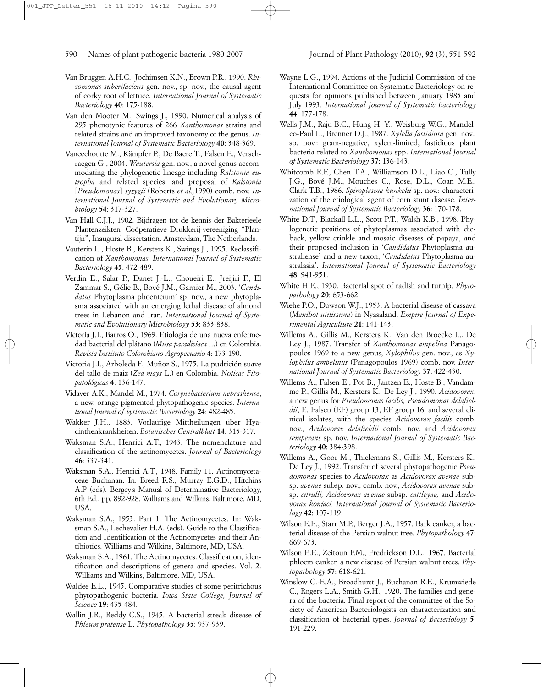- Van Bruggen A.H.C., Jochimsen K.N., Brown P.R., 1990. *Rhizomonas suberifaciens* gen. nov., sp. nov., the causal agent of corky root of lettuce. *International Journal of Systematic Bacteriology* **40**: 175-188.
- Van den Mooter M., Swings J., 1990. Numerical analysis of 295 phenotypic features of 266 *Xanthomonas* strains and related strains and an improved taxonomy of the genus. *International Journal of Systematic Bacteriology* **40**: 348-369.
- Vaneechoutte M., Kämpfer P., De Baere T., Falsen E., Verschraegen G., 2004. *Wautersia* gen. nov., a novel genus accommodating the phylogenetic lineage including *Ralstonia eutropha* and related species, and proposal of *Ralstonia* [*Pseudomonas*] *syzygii* (Roberts *et al.,*1990) comb. nov. *International Journal of Systematic and Evolutionary Microbiology* **54**: 317-327.
- Van Hall C.J.J., 1902. Bijdragen tot de kennis der Bakterieele Plantenzeikten*.* Coöperatieve Drukkerij-vereeniging "Plantijn", Inaugural dissertation. Amsterdam, The Netherlands.
- Vauterin L., Hoste B., Kersters K., Swings J., 1995. Reclassification of *Xanthomonas. International Journal of Systematic Bacteriology* **45**: 472-489.
- Verdin E., Salar P., Danet J.-L., Choueiri E., Jreijiri F., El Zammar S., Gélie B., Bové J.M., Garnier M., 2003. '*Candidatus* Phytoplasma phoenicium' sp. nov., a new phytoplasma associated with an emerging lethal disease of almond trees in Lebanon and Iran. *International Journal of Systematic and Evolutionary Microbiology* **53**: 833-838.
- Victoria J.I., Barros O., 1969. Etiologia de una nueva enfermedad bacterial del plátano (*Musa paradisiaca* L.) en Colombia. *Revista Instituto Colombiano Agropecuario* **4**: 173-190.
- Victoria J.I., Arboleda F., Muñoz S., 1975. La pudrición suave del tallo de maiz (*Zea mays* L.) en Colombia. *Noticas Fitopatológicas* **4**: 136-147.
- Vidaver A.K., Mandel M., 1974. *Corynebacterium nebraskense*, a new, orange-pigmented phytopathogenic species. *International Journal of Systematic Bacteriology* **24**: 482-485.
- Wakker J.H., 1883. Vorlaüfige Mittheilungen über Hyacinthenkrankheiten. *Botanisches Centralblatt* **14**: 315-317.
- Waksman S.A., Henrici A.T., 1943. The nomenclature and classification of the actinomycetes. *Journal of Bacteriology* **46**: 337-341.
- Waksman S.A., Henrici A.T., 1948. Family 11. Actinomycetaceae Buchanan. In: Breed R.S., Murray E.G.D., Hitchins A.P (eds). Bergey's Manual of Determinative Bacteriology, 6th Ed., pp. 892-928. Williams and Wilkins, Baltimore, MD, USA.
- Waksman S.A., 1953. Part 1. The Actinomycetes. In: Waksman S.A., Lechevalier H.A. (eds). Guide to the Classification and Identification of the Actinomycetes and their Antibiotics. Williams and Wilkins, Baltimore, MD, USA.
- Waksman S.A., 1961. The Actinomycetes. Classification, identification and descriptions of genera and species. Vol. 2. Williams and Wilkins, Baltimore, MD, USA.
- Waldee E.L., 1945. Comparative studies of some peritrichous phytopathogenic bacteria. *Iowa State College, Journal of Science* **19**: 435-484.
- Wallin J.R., Reddy C.S., 1945. A bacterial streak disease of *Phleum pratense* L. *Phytopathology* **35**: 937-939.
- Wayne L.G., 1994. Actions of the Judicial Commission of the International Committee on Systematic Bacteriology on requests for opinions published between January 1985 and July 1993. *International Journal of Systematic Bacteriology* **44**: 177-178.
- Wells J.M., Raju B.C., Hung H.-Y., Weisburg W.G., Mandelco-Paul L., Brenner D.J., 1987. *Xylella fastidiosa* gen. nov., sp. nov.: gram-negative, xylem-limited, fastidious plant bacteria related to *Xanthomonas* spp. *International Journal of Systematic Bacteriology* **37**: 136-143.
- Whitcomb R.F., Chen T.A., Williamson D.L., Liao C., Tully J.G., Bové J.M., Mouches C., Rose, D.L., Coan M.E., Clark T.B., 1986. *Spiroplasma kunkelii* sp. nov.: characterization of the etiological agent of corn stunt disease. *International Journal of Systematic Bacteriology* **36**: 170-178.
- White D.T., Blackall L.L., Scott P.T., Walsh K.B., 1998. Phylogenetic positions of phytoplasmas associated with dieback, yellow crinkle and mosaic diseases of papaya, and their proposed inclusion in '*Candidatus* Phytoplasma australiense' and a new taxon, '*Candidatus* Phytoplasma australasia'. *International Journal of Systematic Bacteriology* **48**: 941-951.
- White H.E., 1930. Bacterial spot of radish and turnip. *Phytopathology* **20**: 653-662.
- Wiehe P.O., Dowson W.J., 1953. A bacterial disease of cassava (*Manihot utilissima*) in Nyasaland. *Empire Journal of Experimental Agriculture* **21**: 141-143.
- Willems A., Gillis M., Kersters K., Van den Broecke L., De Ley J., 1987. Transfer of *Xanthomonas ampelina* Panagopoulos 1969 to a new genus, *Xylophilus* gen. nov., as *Xylophilus ampelinus* (Panagopoulos 1969) comb. nov. *International Journal of Systematic Bacteriology* **37**: 422-430.
- Willems A., Falsen E., Pot B., Jantzen E., Hoste B., Vandamme P., Gillis M., Kersters K., De Ley J., 1990. *Acidovorax*, a new genus for *Pseudomonas facilis, Pseudomonas delafieldii*, E. Falsen (EF) group 13, EF group 16, and several clinical isolates, with the species *Acidovorax facilis* comb. nov., *Acidovorax delafieldii* comb. nov. and *Acidovorax temperans* sp. nov. *International Journal of Systematic Bacteriology* **40**: 384-398.
- Willems A., Goor M., Thielemans S., Gillis M., Kersters K., De Ley J., 1992. Transfer of several phytopathogenic *Pseudomonas* species to *Acidovorax* as *Acidovorax avenae* subsp. *avenae* subsp. nov., comb. nov., *Acidovorax avenae* subsp. *citrulli, Acidovorax avenae* subsp. *cattleyae,* and *Acidovorax konjaci. International Journal of Systematic Bacteriology* **42**: 107-119.
- Wilson E.E., Starr M.P., Berger J.A., 1957. Bark canker, a bacterial disease of the Persian walnut tree. *Phytopathology* **47**: 669-673.
- Wilson E.E., Zeitoun F.M., Fredrickson D.L., 1967. Bacterial phloem canker, a new disease of Persian walnut trees. *Phytopathology* **57**: 618-621.
- Winslow C.-E.A., Broadhurst J., Buchanan R.E., Krumwiede C., Rogers L.A., Smith G.H., 1920. The families and genera of the bacteria. Final report of the committee of the Society of American Bacteriologists on characterization and classification of bacterial types. *Journal of Bacteriology* **5**: 191-229.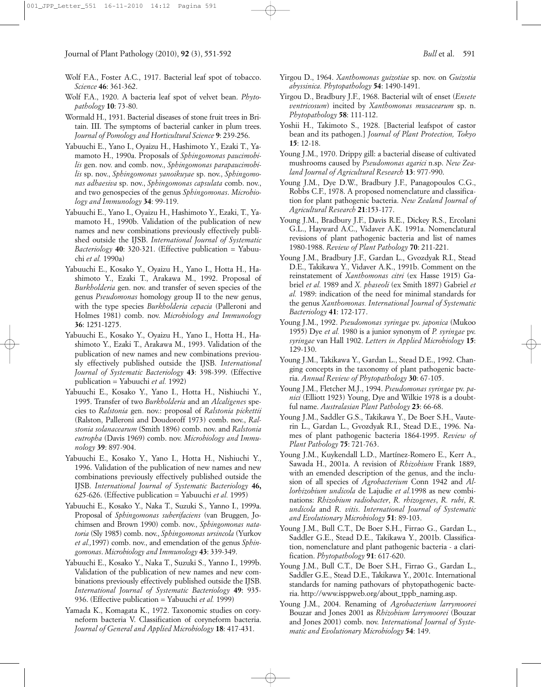- Wolf F.A., Foster A.C., 1917. Bacterial leaf spot of tobacco. *Science* **46**: 361-362.
- Wolf F.A., 1920. A bacteria leaf spot of velvet bean. *Phytopathology* **10**: 73-80.
- Wormald H., 1931. Bacterial diseases of stone fruit trees in Britain. III. The symptoms of bacterial canker in plum trees. *Journal of Pomology and Horticultural Science* **9**: 239-256.
- Yabuuchi E., Yano I., Oyaizu H., Hashimoto Y., Ezaki T., Yamamoto H., 1990a. Proposals of *Sphingomonas paucimobilis* gen. nov. and comb. nov., *Sphingomonas parapaucimobilis* sp. nov., *Sphingomonas yanoikuyae* sp. nov., *Sphingomonas adhaesiva* sp. nov., *Sphingomonas capsulata* comb. nov., and two genospecies of the genus *Sphingomonas*. *Microbiology and Immunology* **34**: 99-119.
- Yabuuchi E., Yano I., Oyaizu H., Hashimoto Y., Ezaki, T., Yamamoto H., 1990b. Validation of the publication of new names and new combinations previously effectively published outside the IJSB. *International Journal of Systematic Bacteriology* **40**: 320-321. (Effective publication = Yabuuchi *et al.* 1990a)
- Yabuuchi E., Kosako Y., Oyaizu H., Yano I., Hotta H., Hashimoto Y., Ezaki T., Arakawa M., 1992. Proposal of *Burkholderia* gen. nov. and transfer of seven species of the genus *Pseudomonas* homology group II to the new genus, with the type species *Burkholderia cepacia* (Palleroni and Holmes 1981) comb. nov. *Microbiology and Immunology* **36**: 1251-1275.
- Yabuuchi E., Kosako Y., Oyaizu H., Yano I., Hotta H., Hashimoto Y., Ezaki T., Arakawa M., 1993. Validation of the publication of new names and new combinations previously effectively published outside the IJSB. *International Journal of Systematic Bacteriology* **43**: 398-399. (Effective publication = Yabuuchi *et al.* 1992)
- Yabuuchi E., Kosako Y., Yano I., Hotta H., Nishiuchi Y., 1995. Transfer of two *Burkholderia* and an *Alcaligenes* species to *Ralstonia* gen. nov.: proposal of *Ralstonia pickettii* (Ralston, Palleroni and Doudoroff 1973) comb. nov., *Ralstonia solanacearum* (Smith 1896) comb. nov. and *Ralstonia eutropha* (Davis 1969) comb. nov. *Microbiology and Immunology* **39**: 897-904.
- Yabuuchi E., Kosako Y., Yano I., Hotta H., Nishiuchi Y., 1996. Validation of the publication of new names and new combinations previously effectively published outside the IJSB. *International Journal of Systematic Bacteriology* **46,** 625-626. (Effective publication = Yabuuchi *et al.* 1995)
- Yabuuchi E., Kosako Y., Naka T., Suzuki S., Yanno I., 1999a. Proposal of *Sphingomonas suberifaciens* (van Bruggen, Jochimsen and Brown 1990) comb. nov., *Sphingomonas natatoria* (Sly 1985) comb. nov., *Sphingomonas ursincola* (Yurkov *et al.,*1997) comb. nov., and emendation of the genus *Sphingomonas*. *Microbiology and Immunology* **43**: 339-349.
- Yabuuchi E., Kosako Y., Naka T., Suzuki S., Yanno I., 1999b. Validation of the publication of new names and new combinations previously effectively published outside the IJSB. *International Journal of Systematic Bacteriology* **49**: 935- 936. (Effective publication = Yabuuchi *et al.* 1999)
- Yamada K., Komagata K., 1972. Taxonomic studies on coryneform bacteria V. Classification of coryneform bacteria. *Journal of General and Applied Microbiology* **18**: 417-431.
- Yirgou D., 1964. *Xanthomonas guizotiae* sp. nov. on *Guizotia abyssinica. Phytopathology* **54**: 1490-1491.
- Yirgou D., Bradbury J.F., 1968. Bacterial wilt of enset (*Ensete ventricosum*) incited by *Xanthomonas musacearum* sp. n. *Phytopathology* **58**: 111-112.
- Yoshii H., Takimoto S., 1928. [Bacterial leafspot of castor bean and its pathogen.] *Journal of Plant Protection, Tokyo* **15**: 12-18.
- Young J.M., 1970. Drippy gill: a bacterial disease of cultivated mushrooms caused by *Pseudomonas agarici* n.sp. *New Zealand Journal of Agricultural Research* **13**: 977-990.
- Young J.M., Dye D.W., Bradbury J.F., Panagopoulos C.G., Robbs C.F., 1978. A proposed nomenclature and classification for plant pathogenic bacteria. *New Zealand Journal of Agricultural Research* **21**:153-177.
- Young J.M., Bradbury J.F., Davis R.E., Dickey R.S., Ercolani G.L., Hayward A.C., Vidaver A.K. 1991a. Nomenclatural revisions of plant pathogenic bacteria and list of names 1980-1988. *Review of Plant Pathology* **70**: 211-221.
- Young J.M., Bradbury J.F., Gardan L., Gvozdyak R.I., Stead D.E., Takikawa Y., Vidaver A.K., 1991b. Comment on the reinstatement of *Xanthomonas citri* (ex Hasse 1915) Gabriel *et al.* 1989 and *X. phaseoli* (ex Smith 1897) Gabriel *et al.* 1989: indication of the need for minimal standards for the genus *Xanthomonas. International Journal of Systematic Bacteriology* **41**: 172-177.
- Young J.M., 1992. *Pseudomonas syringae* pv. *japonica* (Mukoo 1955) Dye *et al.* 1980 is a junior synonym of *P. syringae* pv. *syringae* van Hall 1902. *Letters in Applied Microbiology* **15**: 129-130.
- Young J.M., Takikawa Y., Gardan L., Stead D.E., 1992. Changing concepts in the taxonomy of plant pathogenic bacteria. *Annual Review of Phytopathology* **30**: 67-105.
- Young J.M., Fletcher M.J., 1994. *Pseudomonas syringae* pv. *panici* (Elliott 1923) Young, Dye and Wilkie 1978 is a doubtful name. *Australasian Plant Pathology* **23**: 66-68.
- Young J.M., Saddler G.S., Takikawa Y., De Boer S.H., Vauterin L., Gardan L., Gvozdyak R.I., Stead D.E., 1996. Names of plant pathogenic bacteria 1864-1995. *Review of Plant Pathology* **75**: 721-763.
- Young J.M., Kuykendall L.D., Martínez-Romero E., Kerr A., Sawada H., 2001a. A revision of *Rhizobium* Frank 1889, with an emended description of the genus, and the inclusion of all species of *Agrobacterium* Conn 1942 and *Allorhizobium undicola* de Lajudie *et al.*1998 as new combinations: *Rhizobium radiobacter*, *R. rhizogenes*, *R. rubi*, *R. undicola* and *R. vitis*. *International Journal of Systematic and Evolutionary Microbiology* **51**: 89-103.
- Young J.M., Bull C.T., De Boer S.H., Firrao G., Gardan L., Saddler G.E., Stead D.E., Takikawa Y., 2001b. Classification, nomenclature and plant pathogenic bacteria - a clarification. *Phytopathology* **91**: 617-620.
- Young J.M., Bull C.T., De Boer S.H., Firrao G., Gardan L., Saddler G.E., Stead D.E., Takikawa Y., 2001c. International standards for naming pathovars of phytopathogenic bacteria. http://www.isppweb.org/about\_tppb\_naming.asp.
- Young J.M., 2004. Renaming of *Agrobacterium larrymoorei* Bouzar and Jones 2001 as *Rhizobium larrymoorei* (Bouzar and Jones 2001) comb. nov. *International Journal of Systematic and Evolutionary Microbiology* **54**: 149.